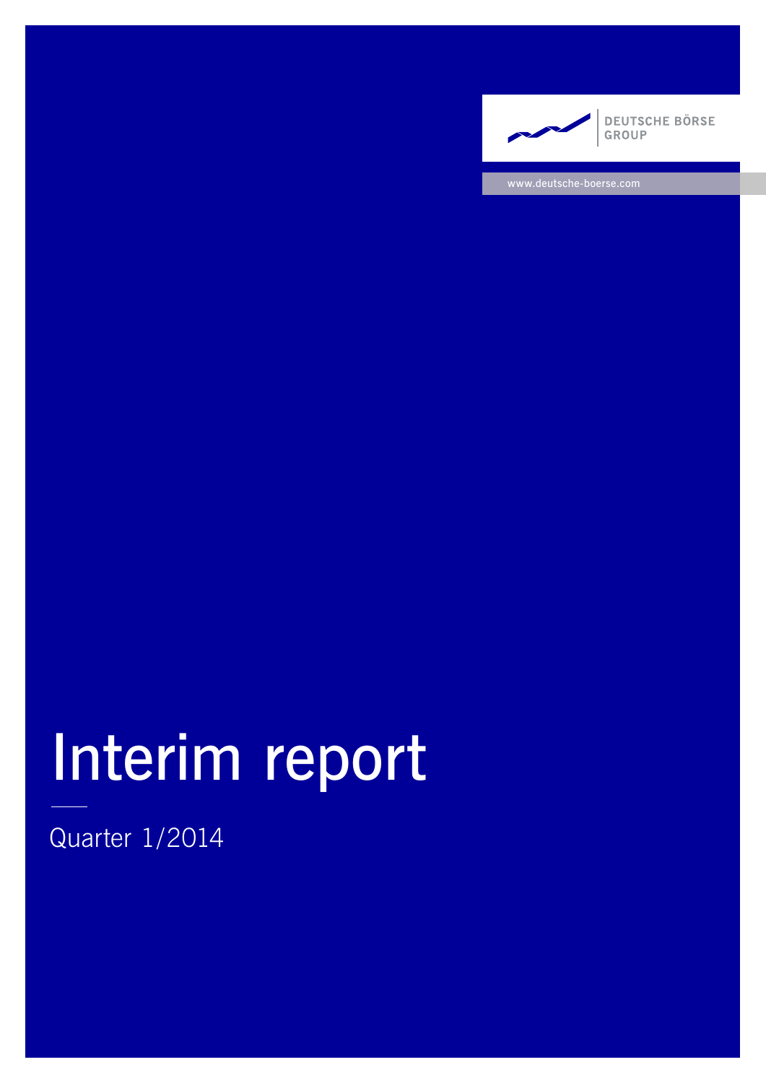

www.deutsche-boerse.com

# Interim report

Quarter 1/2014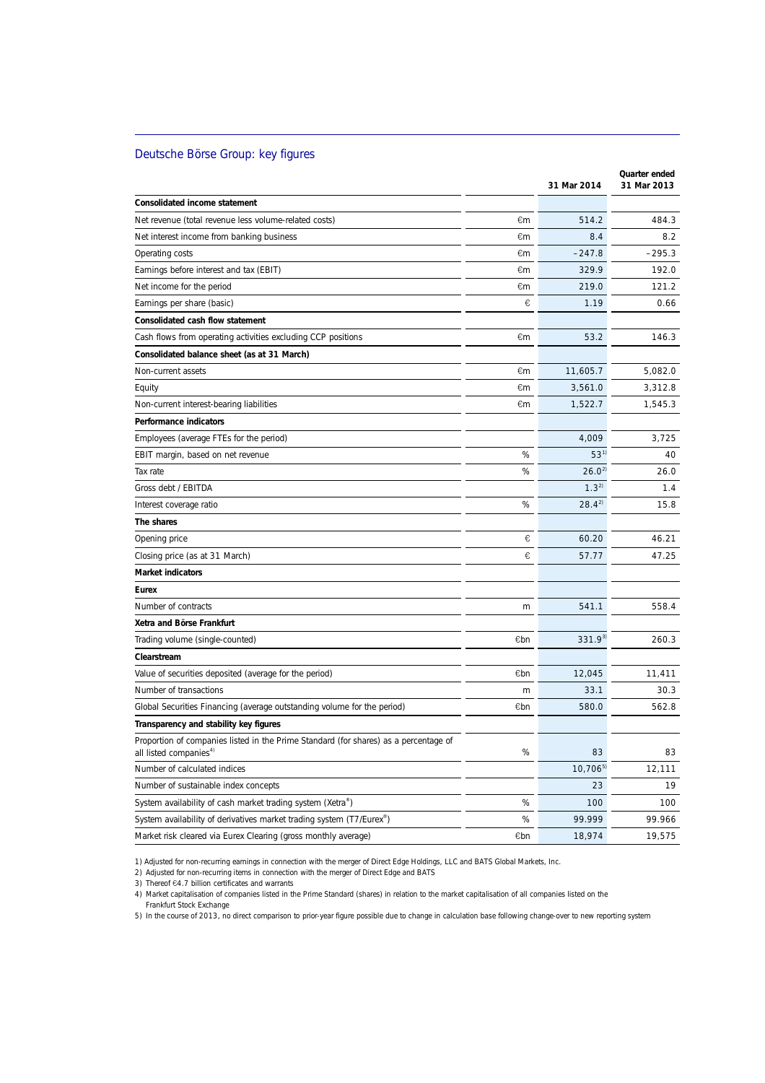# Deutsche Börse Group: key figures

|                                                                                                                            |      |                 | Quarter ended |
|----------------------------------------------------------------------------------------------------------------------------|------|-----------------|---------------|
|                                                                                                                            |      | 31 Mar 2014     | 31 Mar 2013   |
| Consolidated income statement                                                                                              |      |                 |               |
| Net revenue (total revenue less volume-related costs)                                                                      | €m   | 514.2           | 484.3         |
| Net interest income from banking business                                                                                  | €m   | 8.4             | 8.2           |
| Operating costs                                                                                                            | €m   | $-247.8$        | $-295.3$      |
| Earnings before interest and tax (EBIT)                                                                                    | €m   | 329.9           | 192.0         |
| Net income for the period                                                                                                  | €m   | 219.0           | 121.2         |
| Earnings per share (basic)                                                                                                 | €    | 1.19            | 0.66          |
| Consolidated cash flow statement                                                                                           |      |                 |               |
| Cash flows from operating activities excluding CCP positions                                                               | €m   | 53.2            | 146.3         |
| Consolidated balance sheet (as at 31 March)                                                                                |      |                 |               |
| Non-current assets                                                                                                         | €m   | 11,605.7        | 5,082.0       |
| Equity                                                                                                                     | €m   | 3,561.0         | 3,312.8       |
| Non-current interest-bearing liabilities                                                                                   | €m   | 1,522.7         | 1,545.3       |
| Performance indicators                                                                                                     |      |                 |               |
| Employees (average FTEs for the period)                                                                                    |      | 4,009           | 3,725         |
| EBIT margin, based on net revenue                                                                                          | $\%$ | 53 <sup>1</sup> | 40            |
| Tax rate                                                                                                                   | %    | $26.0^{2}$      | 26.0          |
| Gross debt / EBITDA                                                                                                        |      | $1.3^{2}$       | 1.4           |
| Interest coverage ratio                                                                                                    | %    | $28.4^{2}$      | 15.8          |
| The shares                                                                                                                 |      |                 |               |
| Opening price                                                                                                              | €    | 60.20           | 46.21         |
| Closing price (as at 31 March)                                                                                             | €    | 57.77           | 47.25         |
| Market indicators                                                                                                          |      |                 |               |
| Eurex                                                                                                                      |      |                 |               |
| Number of contracts                                                                                                        | m    | 541.1           | 558.4         |
| Xetra and Börse Frankfurt                                                                                                  |      |                 |               |
| Trading volume (single-counted)                                                                                            | €bn  | $331.9^{3}$     | 260.3         |
| Clearstream                                                                                                                |      |                 |               |
| Value of securities deposited (average for the period)                                                                     | €bn  | 12,045          | 11,411        |
| Number of transactions                                                                                                     | m    | 33.1            | 30.3          |
| Global Securities Financing (average outstanding volume for the period)                                                    | €bn  | 580.0           | 562.8         |
| Transparency and stability key figures                                                                                     |      |                 |               |
| Proportion of companies listed in the Prime Standard (for shares) as a percentage of<br>all listed companies <sup>4)</sup> | %    | 83              | 83            |
| Number of calculated indices                                                                                               |      | 10,7065         | 12,111        |
| Number of sustainable index concepts                                                                                       |      | 23              | 19            |
| System availability of cash market trading system (Xetra®)                                                                 | $\%$ | 100             | 100           |
| System availability of derivatives market trading system (T7/Eurex <sup>®</sup> )                                          | $\%$ | 99.999          | 99.966        |
| Market risk cleared via Eurex Clearing (gross monthly average)                                                             | €bn  | 18,974          | 19,575        |

1) Adjusted for non-recurring earnings in connection with the merger of Direct Edge Holdings, LLC and BATS Global Markets, Inc.

2) Adjusted for non-recurring items in connection with the merger of Direct Edge and BATS

3) Thereof €4.7 billion certificates and warrants

4) Market capitalisation of companies listed in the Prime Standard (shares) in relation to the market capitalisation of all companies listed on the Frankfurt Stock Exchange

5) In the course of 2013, no direct comparison to prior-year figure possible due to change in calculation base following change-over to new reporting system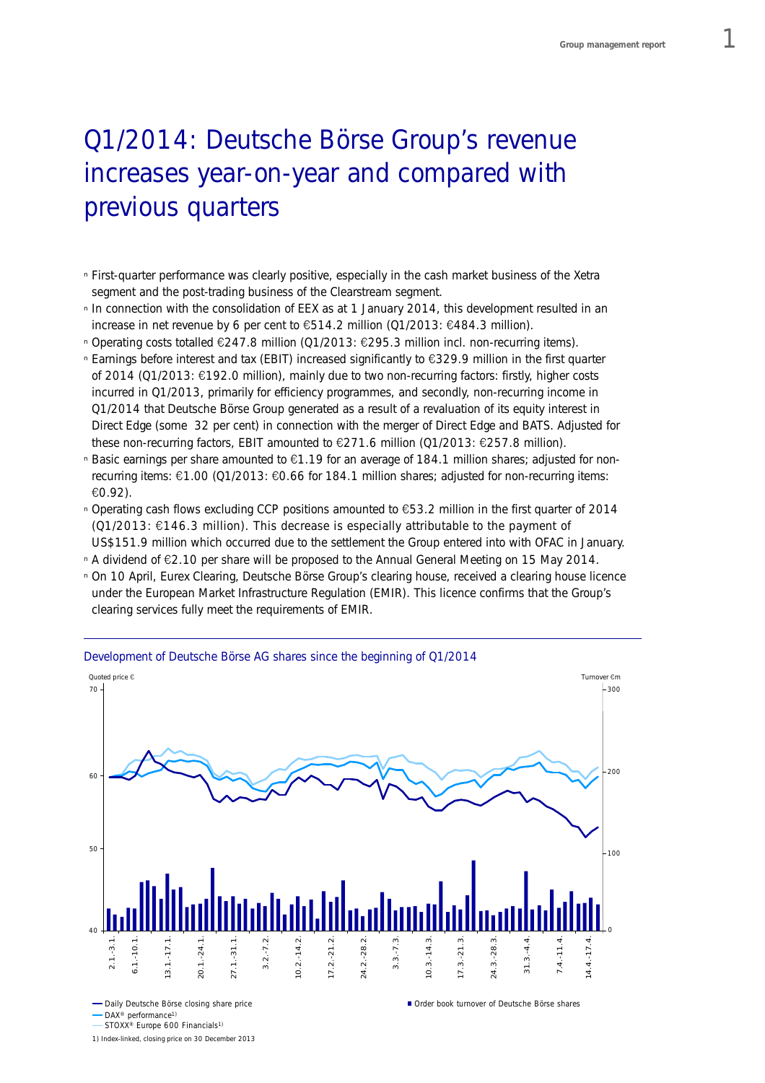# Q1/2014: Deutsche Börse Group's revenue increases year-on-year and compared with previous quarters

- <sup>n</sup> First-quarter performance was clearly positive, especially in the cash market business of the Xetra segment and the post-trading business of the Clearstream segment.
- <sup>n</sup> In connection with the consolidation of EEX as at 1 January 2014, this development resulted in an increase in net revenue by 6 per cent to €514.2 million (Q1/2013: €484.3 million).
- <sup>n</sup> Operating costs totalled €247.8 million (Q1/2013: €295.3 million incl. non-recurring items).
- <sup>n</sup> Earnings before interest and tax (EBIT) increased significantly to €329.9 million in the first quarter of 2014 (Q1/2013: €192.0 million), mainly due to two non-recurring factors: firstly, higher costs incurred in Q1/2013, primarily for efficiency programmes, and secondly, non-recurring income in Q1/2014 that Deutsche Börse Group generated as a result of a revaluation of its equity interest in Direct Edge (some 32 per cent) in connection with the merger of Direct Edge and BATS. Adjusted for these non-recurring factors, EBIT amounted to €271.6 million (Q1/2013: €257.8 million).
- <sup>n</sup> Basic earnings per share amounted to €1.19 for an average of 184.1 million shares; adjusted for nonrecurring items: €1.00 (Q1/2013: €0.66 for 184.1 million shares; adjusted for non-recurring items: €0.92).
- <sup>n</sup> Operating cash flows excluding CCP positions amounted to €53.2 million in the first quarter of 2014 (Q1/2013: €146.3 million). This decrease is especially attributable to the payment of US\$151.9 million which occurred due to the settlement the Group entered into with OFAC in January.
- <sup>n</sup> A dividend of €2.10 per share will be proposed to the Annual General Meeting on 15 May 2014.
- <sup>n</sup> On 10 April, Eurex Clearing, Deutsche Börse Group's clearing house, received a clearing house licence under the European Market Infrastructure Regulation (EMIR). This licence confirms that the Group's clearing services fully meet the requirements of EMIR.



Development of Deutsche Börse AG shares since the beginning of Q1/2014

Daily Deutsche Börse closing share price Order book turnover of Deutsche Börse shares

- DAX<sup>®</sup> performance<sup>1)</sup>

STOXX<sup>®</sup> Europe 600 Financials<sup>1)</sup>

1) Index-linked, closing price on 30 December 2013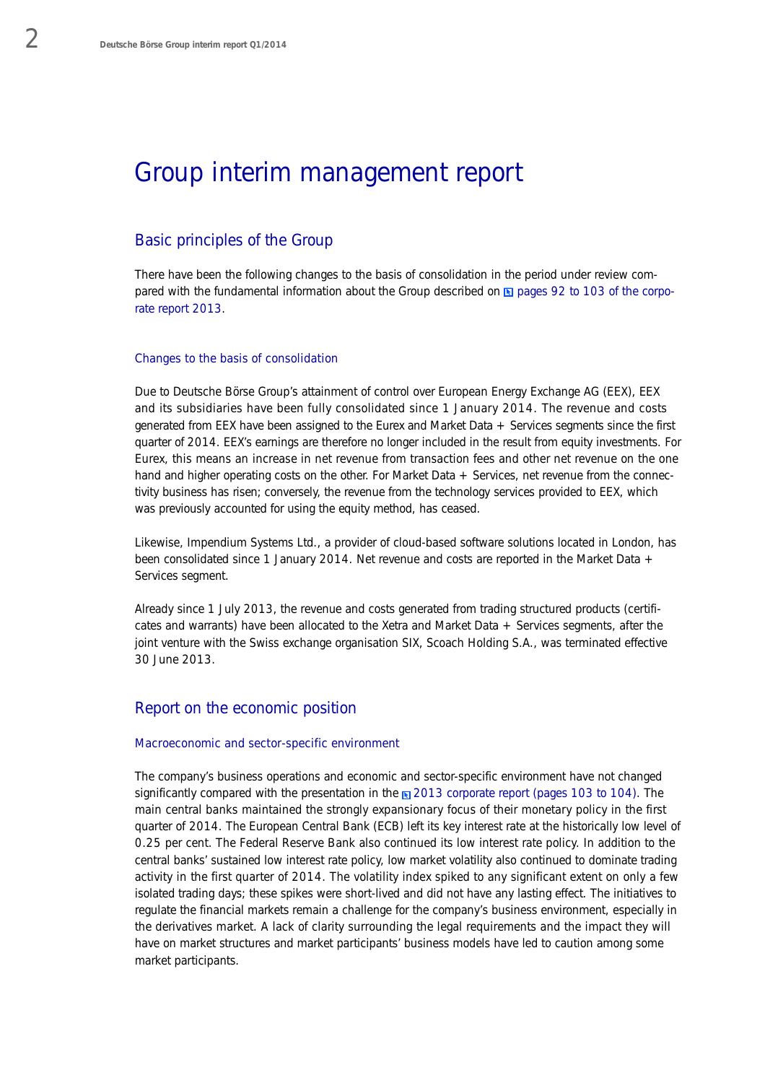# Group interim management report

# Basic principles of the Group

There have been the following changes to the basis of consolidation in the period under review compared with the fundamental information about the Group described on  $E$  pages 92 to 103 of the corporate report 2013.

#### **Changes to the basis of consolidation**

Due to Deutsche Börse Group's attainment of control over European Energy Exchange AG (EEX), EEX and its subsidiaries have been fully consolidated since 1 January 2014. The revenue and costs generated from EEX have been assigned to the Eurex and Market Data + Services segments since the first quarter of 2014. EEX's earnings are therefore no longer included in the result from equity investments. For Eurex, this means an increase in net revenue from transaction fees and other net revenue on the one hand and higher operating costs on the other. For Market Data + Services, net revenue from the connectivity business has risen; conversely, the revenue from the technology services provided to EEX, which was previously accounted for using the equity method, has ceased.

Likewise, Impendium Systems Ltd., a provider of cloud-based software solutions located in London, has been consolidated since 1 January 2014. Net revenue and costs are reported in the Market Data + Services segment.

Already since 1 July 2013, the revenue and costs generated from trading structured products (certificates and warrants) have been allocated to the Xetra and Market Data + Services segments, after the joint venture with the Swiss exchange organisation SIX, Scoach Holding S.A., was terminated effective 30 June 2013.

# Report on the economic position

#### **Macroeconomic and sector-specific environment**

The company's business operations and economic and sector-specific environment have not changed significantly compared with the presentation in the  $\mathbb{R}$  2013 corporate report (pages 103 to 104). The main central banks maintained the strongly expansionary focus of their monetary policy in the first quarter of 2014. The European Central Bank (ECB) left its key interest rate at the historically low level of 0.25 per cent. The Federal Reserve Bank also continued its low interest rate policy. In addition to the central banks' sustained low interest rate policy, low market volatility also continued to dominate trading activity in the first quarter of 2014. The volatility index spiked to any significant extent on only a few isolated trading days; these spikes were short-lived and did not have any lasting effect. The initiatives to regulate the financial markets remain a challenge for the company's business environment, especially in the derivatives market. A lack of clarity surrounding the legal requirements and the impact they will have on market structures and market participants' business models have led to caution among some market participants.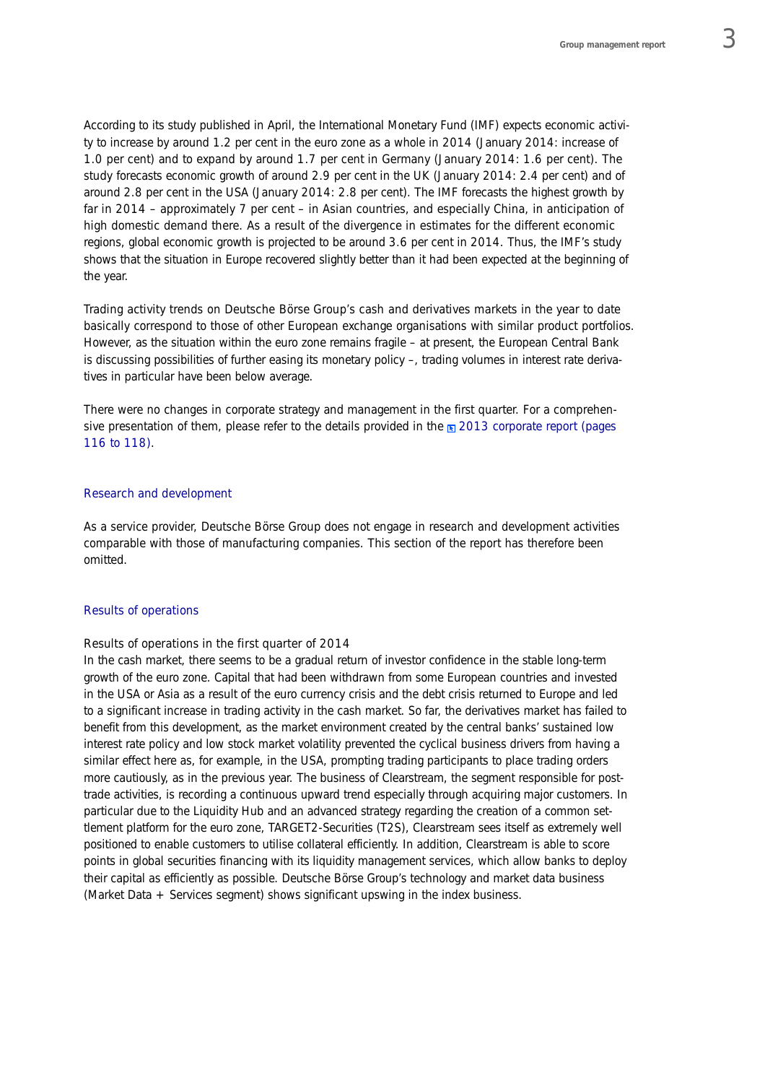According to its study published in April, the International Monetary Fund (IMF) expects economic activity to increase by around 1.2 per cent in the euro zone as a whole in 2014 (January 2014: increase of 1.0 per cent) and to expand by around 1.7 per cent in Germany (January 2014: 1.6 per cent). The study forecasts economic growth of around 2.9 per cent in the UK (January 2014: 2.4 per cent) and of around 2.8 per cent in the USA (January 2014: 2.8 per cent). The IMF forecasts the highest growth by far in 2014 – approximately 7 per cent – in Asian countries, and especially China, in anticipation of high domestic demand there. As a result of the divergence in estimates for the different economic regions, global economic growth is projected to be around 3.6 per cent in 2014. Thus, the IMF's study shows that the situation in Europe recovered slightly better than it had been expected at the beginning of the year.

Trading activity trends on Deutsche Börse Group's cash and derivatives markets in the year to date basically correspond to those of other European exchange organisations with similar product portfolios. However, as the situation within the euro zone remains fragile – at present, the European Central Bank is discussing possibilities of further easing its monetary policy –, trading volumes in interest rate derivatives in particular have been below average.

There were no changes in corporate strategy and management in the first quarter. For a comprehensive presentation of them, please refer to the details provided in the  $\overline{E}$  2013 corporate report (pages 116 to 118).

#### **Research and development**

As a service provider, Deutsche Börse Group does not engage in research and development activities comparable with those of manufacturing companies. This section of the report has therefore been omitted.

#### **Results of operations**

#### **Results of operations in the first quarter of 2014**

In the cash market, there seems to be a gradual return of investor confidence in the stable long-term growth of the euro zone. Capital that had been withdrawn from some European countries and invested in the USA or Asia as a result of the euro currency crisis and the debt crisis returned to Europe and led to a significant increase in trading activity in the cash market. So far, the derivatives market has failed to benefit from this development, as the market environment created by the central banks' sustained low interest rate policy and low stock market volatility prevented the cyclical business drivers from having a similar effect here as, for example, in the USA, prompting trading participants to place trading orders more cautiously, as in the previous year. The business of Clearstream, the segment responsible for posttrade activities, is recording a continuous upward trend especially through acquiring major customers. In particular due to the Liquidity Hub and an advanced strategy regarding the creation of a common settlement platform for the euro zone, TARGET2-Securities (T2S), Clearstream sees itself as extremely well positioned to enable customers to utilise collateral efficiently. In addition, Clearstream is able to score points in global securities financing with its liquidity management services, which allow banks to deploy their capital as efficiently as possible. Deutsche Börse Group's technology and market data business (Market Data + Services segment) shows significant upswing in the index business.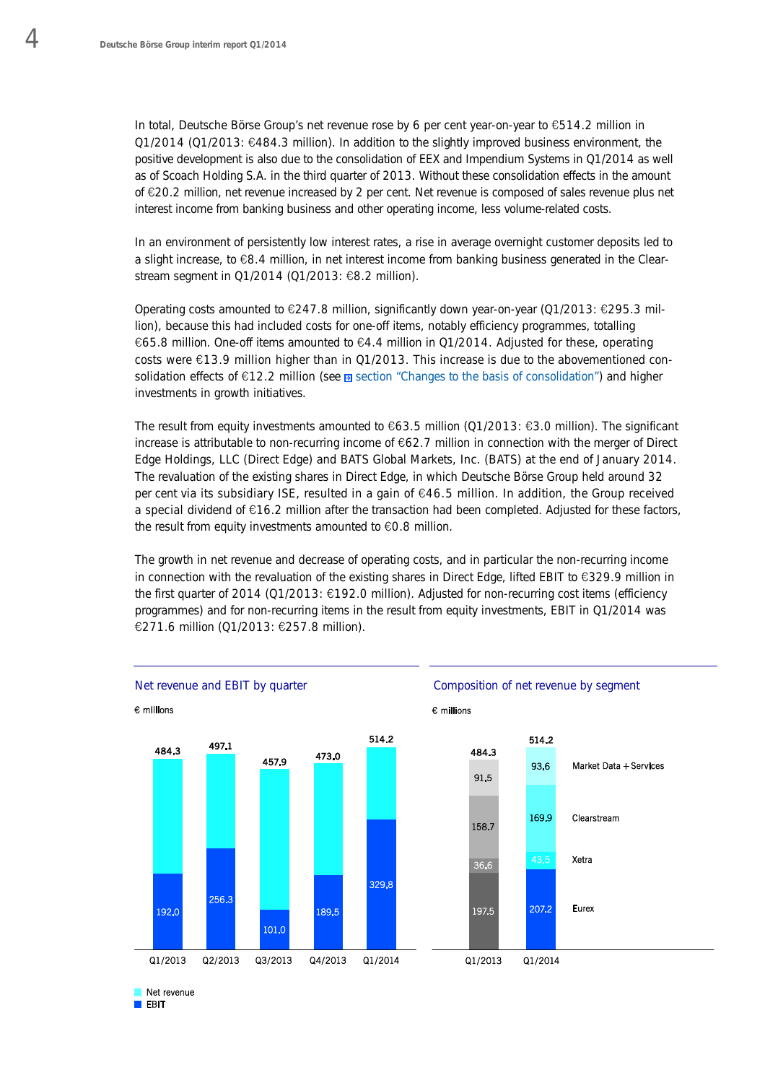In total, Deutsche Börse Group's net revenue rose by 6 per cent year-on-year to €514.2 million in Q1/2014 (Q1/2013: €484.3 million). In addition to the slightly improved business environment, the positive development is also due to the consolidation of EEX and Impendium Systems in Q1/2014 as well as of Scoach Holding S.A. in the third quarter of 2013. Without these consolidation effects in the amount of €20.2 million, net revenue increased by 2 per cent. Net revenue is composed of sales revenue plus net interest income from banking business and other operating income, less volume-related costs.

In an environment of persistently low interest rates, a rise in average overnight customer deposits led to a slight increase, to €8.4 million, in net interest income from banking business generated in the Clearstream segment in Q1/2014 (Q1/2013: €8.2 million).

Operating costs amounted to €247.8 million, significantly down year-on-year (Q1/2013: €295.3 million), because this had included costs for one-off items, notably efficiency programmes, totalling €65.8 million. One-off items amounted to €4.4 million in Q1/2014. Adjusted for these, operating costs were €13.9 million higher than in Q1/2013. This increase is due to the abovementioned consolidation effects of  $E12.2$  million (see  $\overline{B}$  section "Changes to the basis of consolidation") and higher investments in growth initiatives.

The result from equity investments amounted to €63.5 million (Q1/2013: €3.0 million). The significant increase is attributable to non-recurring income of €62.7 million in connection with the merger of Direct Edge Holdings, LLC (Direct Edge) and BATS Global Markets, Inc. (BATS) at the end of January 2014. The revaluation of the existing shares in Direct Edge, in which Deutsche Börse Group held around 32 per cent via its subsidiary ISE, resulted in a gain of €46.5 million. In addition, the Group received a special dividend of €16.2 million after the transaction had been completed. Adjusted for these factors, the result from equity investments amounted to €0.8 million.

The growth in net revenue and decrease of operating costs, and in particular the non-recurring income in connection with the revaluation of the existing shares in Direct Edge, lifted EBIT to €329.9 million in the first quarter of 2014 (Q1/2013: €192.0 million). Adjusted for non-recurring cost items (efficiency programmes) and for non-recurring items in the result from equity investments, EBIT in Q1/2014 was €271.6 million (Q1/2013: €257.8 million).



 $\blacksquare$  EBIT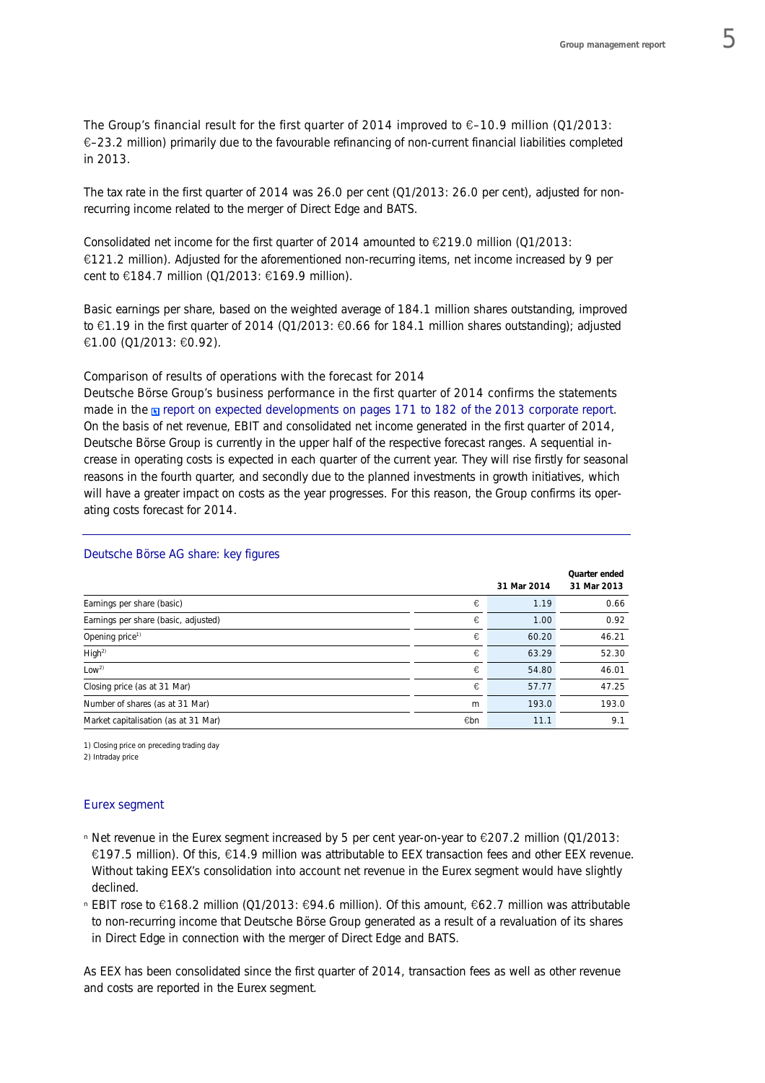The Group's financial result for the first quarter of 2014 improved to  $\epsilon$ -10.9 million (Q1/2013: €–23.2 million) primarily due to the favourable refinancing of non-current financial liabilities completed in 2013.

The tax rate in the first quarter of 2014 was 26.0 per cent (Q1/2013: 26.0 per cent), adjusted for nonrecurring income related to the merger of Direct Edge and BATS.

Consolidated net income for the first quarter of 2014 amounted to  $\epsilon$ 219.0 million (Q1/2013: €121.2 million). Adjusted for the aforementioned non-recurring items, net income increased by 9 per cent to €184.7 million (Q1/2013: €169.9 million).

Basic earnings per share, based on the weighted average of 184.1 million shares outstanding, improved to €1.19 in the first quarter of 2014 (Q1/2013: €0.66 for 184.1 million shares outstanding); adjusted €1.00 (Q1/2013: €0.92).

**Comparison of results of operations with the forecast for 2014** 

Deutsche Börse Group's business performance in the first quarter of 2014 confirms the statements made in the  $E$  report on expected developments on pages 171 to 182 of the 2013 corporate report. On the basis of net revenue, EBIT and consolidated net income generated in the first quarter of 2014, Deutsche Börse Group is currently in the upper half of the respective forecast ranges. A sequential increase in operating costs is expected in each quarter of the current year. They will rise firstly for seasonal reasons in the fourth quarter, and secondly due to the planned investments in growth initiatives, which will have a greater impact on costs as the year progresses. For this reason, the Group confirms its operating costs forecast for 2014.

|                                      |     | 31 Mar 2014 | Quarter ended<br>31 Mar 2013 |
|--------------------------------------|-----|-------------|------------------------------|
| Earnings per share (basic)           | €   | 1.19        | 0.66                         |
| Earnings per share (basic, adjusted) | €   | 1.00        | 0.92                         |
| Opening price <sup>1)</sup>          | €   | 60.20       | 46.21                        |
| High <sup>2</sup>                    | €   | 63.29       | 52.30                        |
| Low <sup>2</sup>                     | €   | 54.80       | 46.01                        |
| Closing price (as at 31 Mar)         | €   | 57.77       | 47.25                        |
| Number of shares (as at 31 Mar)      | m   | 193.0       | 193.0                        |
| Market capitalisation (as at 31 Mar) | €bn | 11.1        | 9.1                          |

### Deutsche Börse AG share: key figures

1) Closing price on preceding trading day

2) Intraday price

#### **Eurex segment**

- <sup>n</sup> Net revenue in the Eurex segment increased by 5 per cent year-on-year to €207.2 million (Q1/2013: €197.5 million). Of this, €14.9 million was attributable to EEX transaction fees and other EEX revenue. Without taking EEX's consolidation into account net revenue in the Eurex segment would have slightly declined.
- <sup>n</sup> EBIT rose to €168.2 million (Q1/2013: €94.6 million). Of this amount, €62.7 million was attributable to non-recurring income that Deutsche Börse Group generated as a result of a revaluation of its shares in Direct Edge in connection with the merger of Direct Edge and BATS.

As EEX has been consolidated since the first quarter of 2014, transaction fees as well as other revenue and costs are reported in the Eurex segment.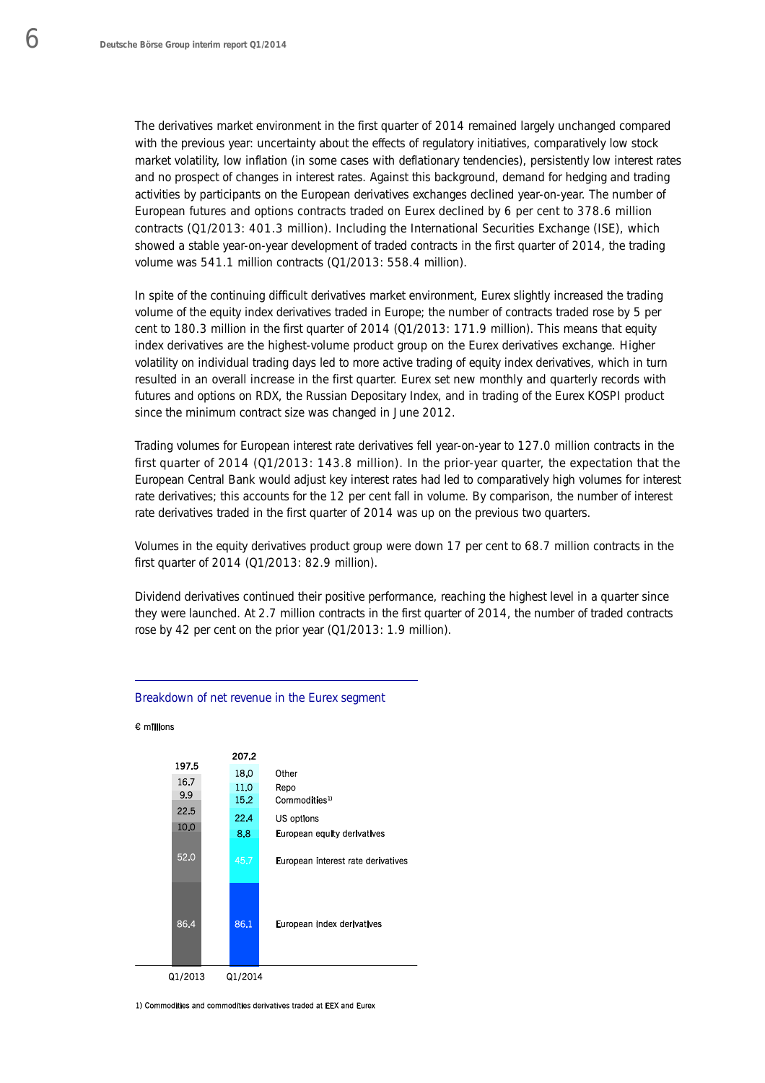The derivatives market environment in the first quarter of 2014 remained largely unchanged compared with the previous year: uncertainty about the effects of regulatory initiatives, comparatively low stock market volatility, low inflation (in some cases with deflationary tendencies), persistently low interest rates and no prospect of changes in interest rates. Against this background, demand for hedging and trading activities by participants on the European derivatives exchanges declined year-on-year. The number of European futures and options contracts traded on Eurex declined by 6 per cent to 378.6 million contracts (Q1/2013: 401.3 million). Including the International Securities Exchange (ISE), which showed a stable year-on-year development of traded contracts in the first quarter of 2014, the trading volume was 541.1 million contracts (Q1/2013: 558.4 million).

In spite of the continuing difficult derivatives market environment, Eurex slightly increased the trading volume of the equity index derivatives traded in Europe; the number of contracts traded rose by 5 per cent to 180.3 million in the first quarter of 2014 (Q1/2013: 171.9 million). This means that equity index derivatives are the highest-volume product group on the Eurex derivatives exchange. Higher volatility on individual trading days led to more active trading of equity index derivatives, which in turn resulted in an overall increase in the first quarter. Eurex set new monthly and quarterly records with futures and options on RDX, the Russian Depositary Index, and in trading of the Eurex KOSPI product since the minimum contract size was changed in June 2012.

Trading volumes for European interest rate derivatives fell year-on-year to 127.0 million contracts in the first quarter of 2014 (Q1/2013: 143.8 million). In the prior-year quarter, the expectation that the European Central Bank would adjust key interest rates had led to comparatively high volumes for interest rate derivatives; this accounts for the 12 per cent fall in volume. By comparison, the number of interest rate derivatives traded in the first quarter of 2014 was up on the previous two quarters.

Volumes in the equity derivatives product group were down 17 per cent to 68.7 million contracts in the first quarter of 2014 (Q1/2013: 82.9 million).

Dividend derivatives continued their positive performance, reaching the highest level in a quarter since they were launched. At 2.7 million contracts in the first quarter of 2014, the number of traded contracts rose by 42 per cent on the prior year (Q1/2013: 1.9 million).



Breakdown of net revenue in the Eurex segment

1) Commodities and commodities derivatives traded at FFX and Furex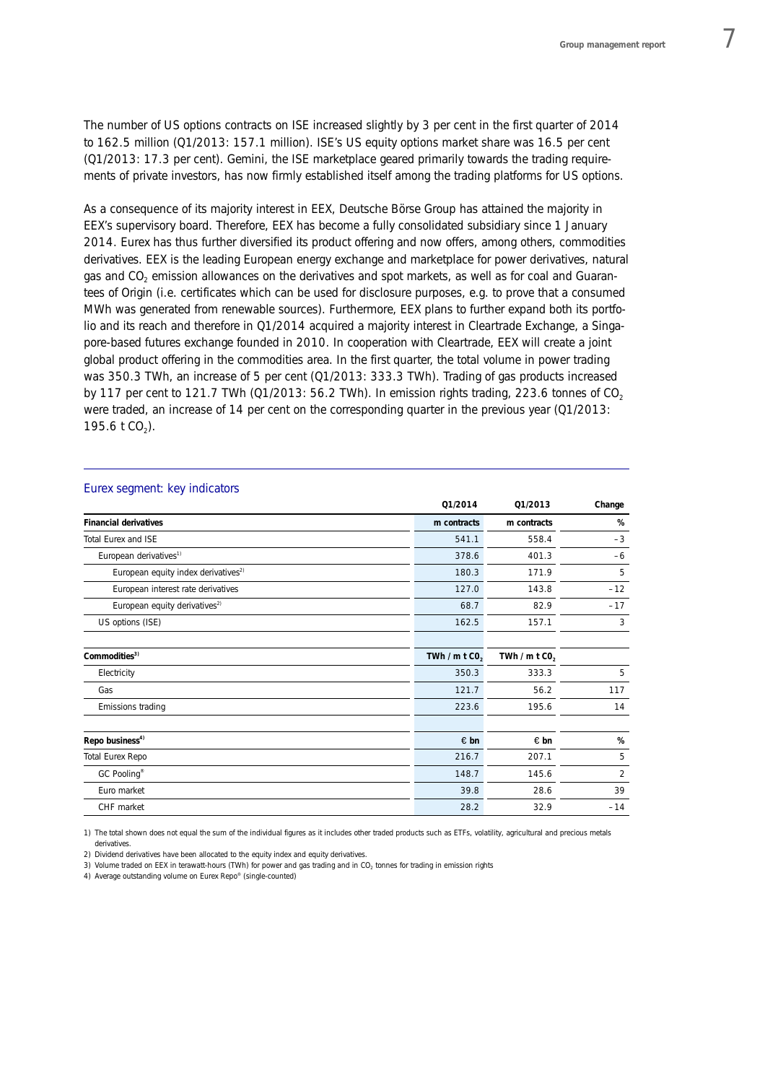The number of US options contracts on ISE increased slightly by 3 per cent in the first quarter of 2014 to 162.5 million (Q1/2013: 157.1 million). ISE's US equity options market share was 16.5 per cent (Q1/2013: 17.3 per cent). Gemini, the ISE marketplace geared primarily towards the trading requirements of private investors, has now firmly established itself among the trading platforms for US options.

As a consequence of its majority interest in EEX, Deutsche Börse Group has attained the majority in EEX's supervisory board. Therefore, EEX has become a fully consolidated subsidiary since 1 January 2014. Eurex has thus further diversified its product offering and now offers, among others, commodities derivatives. EEX is the leading European energy exchange and marketplace for power derivatives, natural gas and CO<sub>2</sub> emission allowances on the derivatives and spot markets, as well as for coal and Guarantees of Origin (i.e. certificates which can be used for disclosure purposes, e.g. to prove that a consumed MWh was generated from renewable sources). Furthermore, EEX plans to further expand both its portfolio and its reach and therefore in Q1/2014 acquired a majority interest in Cleartrade Exchange, a Singapore-based futures exchange founded in 2010. In cooperation with Cleartrade, EEX will create a joint global product offering in the commodities area. In the first quarter, the total volume in power trading was 350.3 TWh, an increase of 5 per cent (Q1/2013: 333.3 TWh). Trading of gas products increased by 117 per cent to 121.7 TWh (Q1/2013:  $56.2$  TWh). In emission rights trading, 223.6 tonnes of CO<sub>2</sub> were traded, an increase of 14 per cent on the corresponding quarter in the previous year (Q1/2013: 195.6 t  $CO<sub>2</sub>$ ).

|                                                 | Q1/2014                     | Q1/2013                     | Change |
|-------------------------------------------------|-----------------------------|-----------------------------|--------|
| <b>Financial derivatives</b>                    | m contracts                 | m contracts                 | %      |
| <b>Total Eurex and ISE</b>                      | 541.1                       | 558.4                       | $-3$   |
| European derivatives <sup>1)</sup>              | 378.6                       | 401.3                       | $-6$   |
| European equity index derivatives <sup>2)</sup> | 180.3                       | 171.9                       | 5      |
| European interest rate derivatives              | 127.0                       | 143.8                       | $-12$  |
| European equity derivatives <sup>2)</sup>       | 68.7                        | 82.9                        | $-17$  |
| US options (ISE)                                | 162.5                       | 157.1                       | 3      |
|                                                 |                             |                             |        |
| Commodities <sup>3)</sup>                       | TWh / $m$ t CO <sub>2</sub> | TWh / $m$ t CO <sub>2</sub> |        |
| Electricity                                     | 350.3                       | 333.3                       | 5      |
| Gas                                             | 121.7                       | 56.2                        | 117    |
| Emissions trading                               | 223.6                       | 195.6                       | 14     |
|                                                 |                             |                             |        |
| Repo business <sup>4)</sup>                     | $\epsilon$ bn               | € bn                        | %      |
| <b>Total Eurex Repo</b>                         | 216.7                       | 207.1                       | 5      |
| GC Pooling®                                     | 148.7                       | 145.6                       | 2      |
| Euro market                                     | 39.8                        | 28.6                        | 39     |
| CHF market                                      | 28.2                        | 32.9                        | $-14$  |

### Eurex segment: key indicators

1) The total shown does not equal the sum of the individual figures as it includes other traded products such as ETFs, volatility, agricultural and precious metals derivatives.

2) Dividend derivatives have been allocated to the equity index and equity derivatives.

3) Volume traded on EEX in terawatt-hours (TWh) for power and gas trading and in CO<sub>2</sub> tonnes for trading in emission rights

4) Average outstanding volume on Eurex Repo® (single-counted)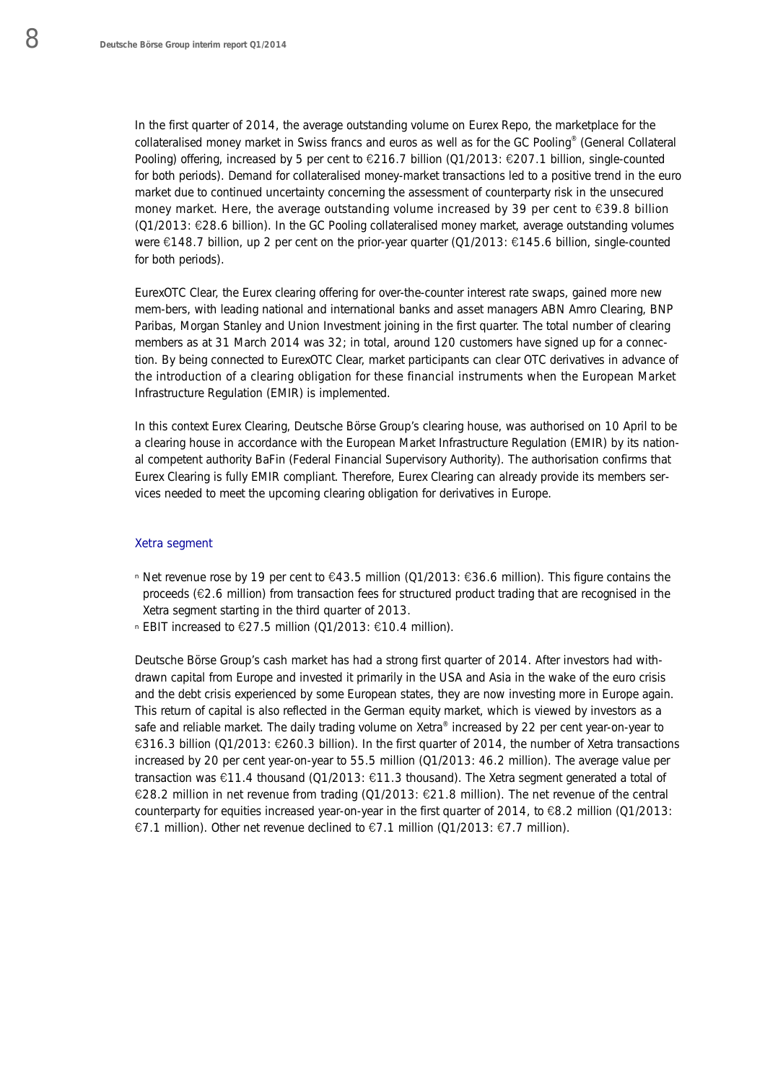In the first quarter of 2014, the average outstanding volume on Eurex Repo, the marketplace for the collateralised money market in Swiss francs and euros as well as for the GC Pooling® (General Collateral Pooling) offering, increased by 5 per cent to €216.7 billion (Q1/2013: €207.1 billion, single-counted for both periods). Demand for collateralised money-market transactions led to a positive trend in the euro market due to continued uncertainty concerning the assessment of counterparty risk in the unsecured money market. Here, the average outstanding volume increased by 39 per cent to €39.8 billion (Q1/2013: €28.6 billion). In the GC Pooling collateralised money market, average outstanding volumes were €148.7 billion, up 2 per cent on the prior-year quarter (Q1/2013: €145.6 billion, single-counted for both periods).

EurexOTC Clear, the Eurex clearing offering for over-the-counter interest rate swaps, gained more new mem-bers, with leading national and international banks and asset managers ABN Amro Clearing, BNP Paribas, Morgan Stanley and Union Investment joining in the first quarter. The total number of clearing members as at 31 March 2014 was 32; in total, around 120 customers have signed up for a connection. By being connected to EurexOTC Clear, market participants can clear OTC derivatives in advance of the introduction of a clearing obligation for these financial instruments when the European Market Infrastructure Regulation (EMIR) is implemented.

In this context Eurex Clearing, Deutsche Börse Group's clearing house, was authorised on 10 April to be a clearing house in accordance with the European Market Infrastructure Regulation (EMIR) by its national competent authority BaFin (Federal Financial Supervisory Authority). The authorisation confirms that Eurex Clearing is fully EMIR compliant. Therefore, Eurex Clearing can already provide its members services needed to meet the upcoming clearing obligation for derivatives in Europe.

#### **Xetra segment**

- <sup>n</sup> Net revenue rose by 19 per cent to €43.5 million (Q1/2013: €36.6 million). This figure contains the proceeds (€2.6 million) from transaction fees for structured product trading that are recognised in the Xetra segment starting in the third quarter of 2013.
- <sup>n</sup> EBIT increased to €27.5 million (Q1/2013: €10.4 million).

Deutsche Börse Group's cash market has had a strong first quarter of 2014. After investors had withdrawn capital from Europe and invested it primarily in the USA and Asia in the wake of the euro crisis and the debt crisis experienced by some European states, they are now investing more in Europe again. This return of capital is also reflected in the German equity market, which is viewed by investors as a safe and reliable market. The daily trading volume on Xetra® increased by 22 per cent year-on-year to €316.3 billion (Q1/2013: €260.3 billion). In the first quarter of 2014, the number of Xetra transactions increased by 20 per cent year-on-year to 55.5 million (Q1/2013: 46.2 million). The average value per transaction was €11.4 thousand (Q1/2013: €11.3 thousand). The Xetra segment generated a total of €28.2 million in net revenue from trading (Q1/2013: €21.8 million). The net revenue of the central counterparty for equities increased year-on-year in the first quarter of 2014, to  $E8.2$  million (Q1/2013: €7.1 million). Other net revenue declined to €7.1 million (Q1/2013: €7.7 million).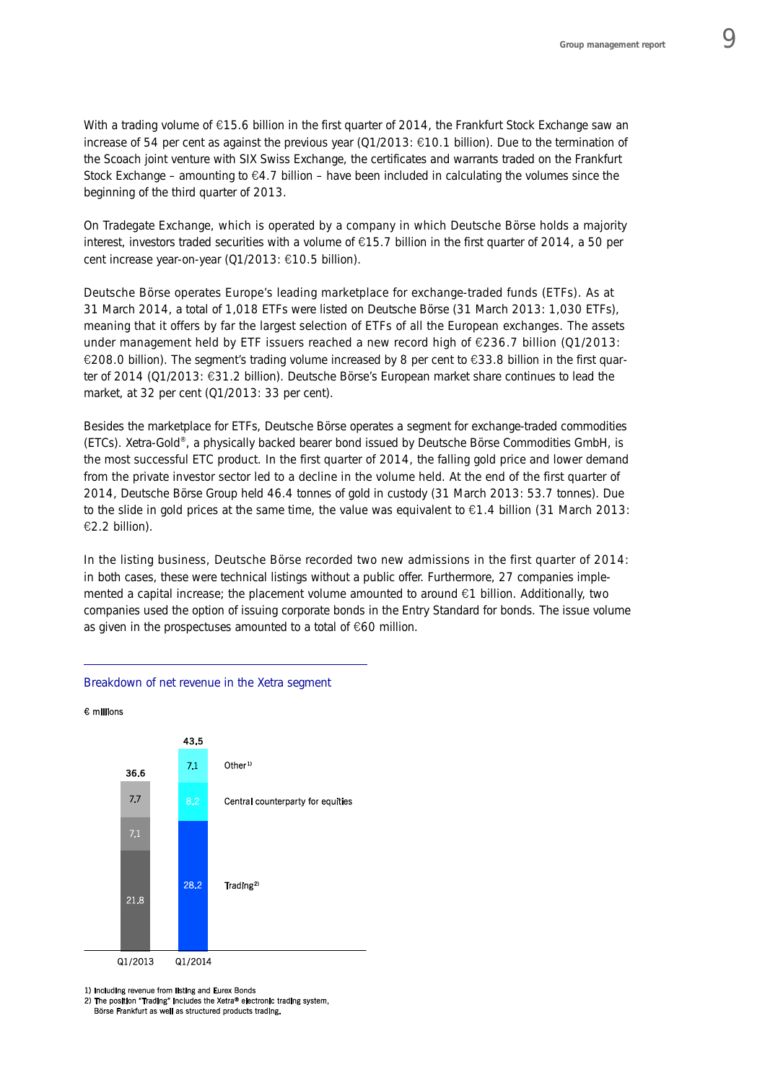With a trading volume of €15.6 billion in the first quarter of 2014, the Frankfurt Stock Exchange saw an increase of 54 per cent as against the previous year (Q1/2013: €10.1 billion). Due to the termination of the Scoach joint venture with SIX Swiss Exchange, the certificates and warrants traded on the Frankfurt Stock Exchange – amounting to  $E$ 4.7 billion – have been included in calculating the volumes since the beginning of the third quarter of 2013.

On Tradegate Exchange, which is operated by a company in which Deutsche Börse holds a majority interest, investors traded securities with a volume of €15.7 billion in the first quarter of 2014, a 50 per cent increase year-on-year (Q1/2013: €10.5 billion).

Deutsche Börse operates Europe's leading marketplace for exchange-traded funds (ETFs). As at 31 March 2014, a total of 1,018 ETFs were listed on Deutsche Börse (31 March 2013: 1,030 ETFs), meaning that it offers by far the largest selection of ETFs of all the European exchanges. The assets under management held by ETF issuers reached a new record high of €236.7 billion (Q1/2013: €208.0 billion). The segment's trading volume increased by 8 per cent to €33.8 billion in the first quarter of 2014 (Q1/2013: €31.2 billion). Deutsche Börse's European market share continues to lead the market, at 32 per cent (Q1/2013: 33 per cent).

Besides the marketplace for ETFs, Deutsche Börse operates a segment for exchange-traded commodities (ETCs). Xetra-Gold® , a physically backed bearer bond issued by Deutsche Börse Commodities GmbH, is the most successful ETC product. In the first quarter of 2014, the falling gold price and lower demand from the private investor sector led to a decline in the volume held. At the end of the first quarter of 2014, Deutsche Börse Group held 46.4 tonnes of gold in custody (31 March 2013: 53.7 tonnes). Due to the slide in gold prices at the same time, the value was equivalent to €1.4 billion (31 March 2013: €2.2 billion).

In the listing business, Deutsche Börse recorded two new admissions in the first quarter of 2014: in both cases, these were technical listings without a public offer. Furthermore, 27 companies implemented a capital increase; the placement volume amounted to around €1 billion. Additionally, two companies used the option of issuing corporate bonds in the Entry Standard for bonds. The issue volume as given in the prospectuses amounted to a total of €60 million.



#### Breakdown of net revenue in the Xetra segment

1) Including revenue from listing and Eurex Bonds

2) The position "Trading" includes the Xetra® electronic trading system,

Börse Frankfurt as well as structured products trading.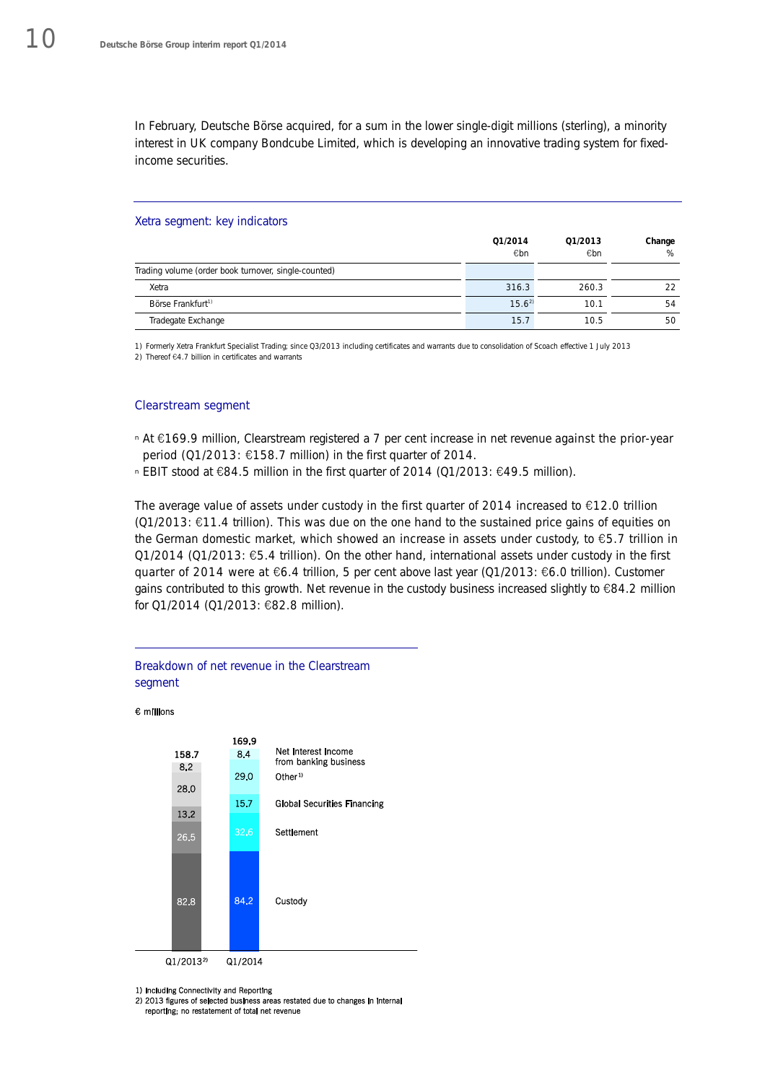In February, Deutsche Börse acquired, for a sum in the lower single-digit millions (sterling), a minority interest in UK company Bondcube Limited, which is developing an innovative trading system for fixedincome securities.

#### Xetra segment: key indicators

|                                                      | 01/2014<br>€bn | Q1/2013<br>€bn | Change<br>% |
|------------------------------------------------------|----------------|----------------|-------------|
| Trading volume (order book turnover, single-counted) |                |                |             |
| Xetra                                                | 316.3          | 260.3          | 22          |
| Börse Frankfurt <sup>1)</sup>                        | $15.6^{2}$     | 10.1           | 54          |
| Tradegate Exchange                                   | 15.7           | 10.5           | 50          |

1) Formerly Xetra Frankfurt Specialist Trading; since Q3/2013 including certificates and warrants due to consolidation of Scoach effective 1 July 2013 2) Thereof €4.7 billion in certificates and warrants

#### **Clearstream segment**

- <sup>n</sup> At €169.9 million, Clearstream registered a 7 per cent increase in net revenue against the prior-year period (Q1/2013: €158.7 million) in the first quarter of 2014.
- <sup>n</sup> EBIT stood at €84.5 million in the first quarter of 2014 (Q1/2013: €49.5 million).

The average value of assets under custody in the first quarter of 2014 increased to  $€12.0$  trillion  $(Q1/2013: \text{€}11.4$  trillion). This was due on the one hand to the sustained price gains of equities on the German domestic market, which showed an increase in assets under custody, to €5.7 trillion in Q1/2014 (Q1/2013: €5.4 trillion). On the other hand, international assets under custody in the first quarter of 2014 were at €6.4 trillion, 5 per cent above last year (Q1/2013: €6.0 trillion). Customer gains contributed to this growth. Net revenue in the custody business increased slightly to €84.2 million for Q1/2014 (Q1/2013: €82.8 million).



1) Including Connectivity and Reporting

Q1/2013<sup>2)</sup>

2) 2013 figures of selected business areas restated due to changes in internal reporting; no restatement of total net revenue

Q1/2014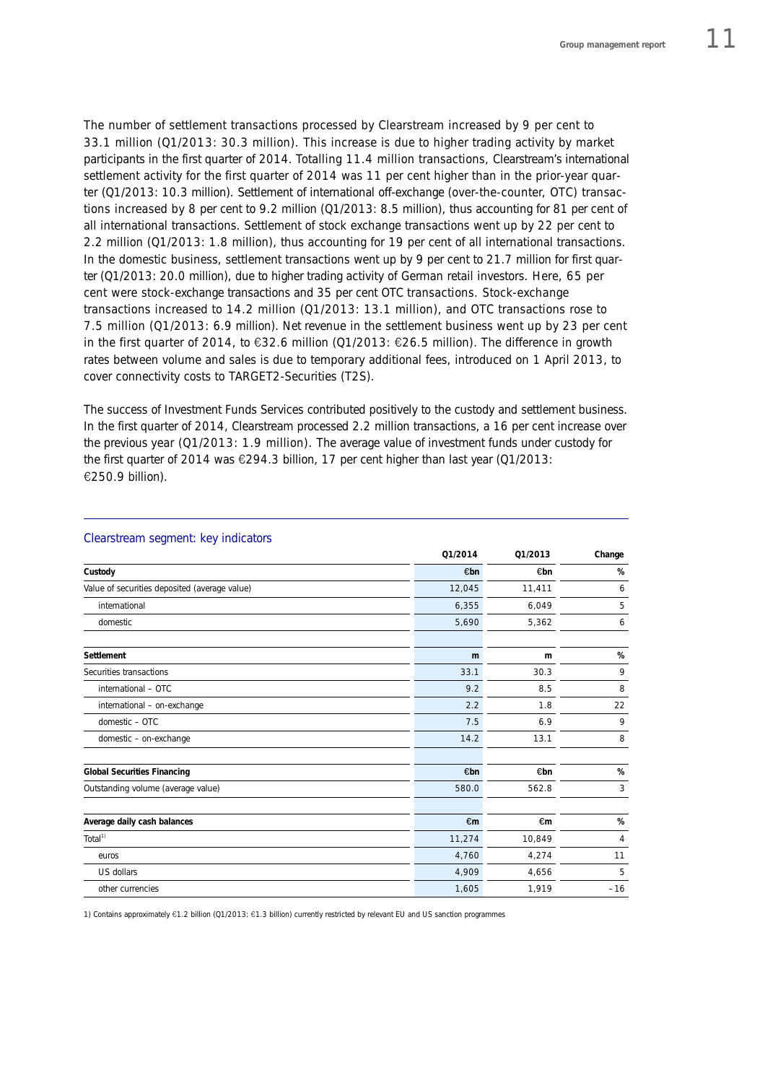The number of settlement transactions processed by Clearstream increased by 9 per cent to 33.1 million (Q1/2013: 30.3 million). This increase is due to higher trading activity by market participants in the first quarter of 2014. Totalling 11.4 million transactions, Clearstream's international settlement activity for the first quarter of 2014 was 11 per cent higher than in the prior-year quarter (Q1/2013: 10.3 million). Settlement of international off-exchange (over-the-counter, OTC) transactions increased by 8 per cent to 9.2 million (Q1/2013: 8.5 million), thus accounting for 81 per cent of all international transactions. Settlement of stock exchange transactions went up by 22 per cent to 2.2 million (Q1/2013: 1.8 million), thus accounting for 19 per cent of all international transactions. In the domestic business, settlement transactions went up by 9 per cent to 21.7 million for first quarter (Q1/2013: 20.0 million), due to higher trading activity of German retail investors. Here, 65 per cent were stock-exchange transactions and 35 per cent OTC transactions. Stock-exchange transactions increased to 14.2 million (Q1/2013: 13.1 million), and OTC transactions rose to 7.5 million (Q1/2013: 6.9 million). Net revenue in the settlement business went up by 23 per cent in the first quarter of 2014, to €32.6 million (Q1/2013: €26.5 million). The difference in growth rates between volume and sales is due to temporary additional fees, introduced on 1 April 2013, to cover connectivity costs to TARGET2-Securities (T2S).

The success of Investment Funds Services contributed positively to the custody and settlement business. In the first quarter of 2014, Clearstream processed 2.2 million transactions, a 16 per cent increase over the previous year (Q1/2013: 1.9 million). The average value of investment funds under custody for the first quarter of 2014 was €294.3 billion, 17 per cent higher than last year (Q1/2013: €250.9 billion).

| $\frac{1}{2}$ order of $\frac{1}{2}$ order $\frac{1}{2}$ . The contract of $\frac{1}{2}$ |         |         |        |
|------------------------------------------------------------------------------------------|---------|---------|--------|
|                                                                                          | Q1/2014 | Q1/2013 | Change |
| Custody                                                                                  | €bn     | €bn     | $\%$   |
| Value of securities deposited (average value)                                            | 12,045  | 11,411  | 6      |
| international                                                                            | 6,355   | 6,049   | 5      |
| domestic                                                                                 | 5,690   | 5,362   | 6      |
| Settlement                                                                               | m       | m       | $\%$   |
| Securities transactions                                                                  | 33.1    | 30.3    | 9      |
| international - OTC                                                                      | 9.2     | 8.5     | 8      |
| international - on-exchange                                                              | 2.2     | 1.8     | 22     |
| domestic - OTC                                                                           | 7.5     | 6.9     | 9      |
| domestic - on-exchange                                                                   | 14.2    | 13.1    | 8      |
| Global Securities Financing                                                              | €bn     | €bn     | $\%$   |
| Outstanding volume (average value)                                                       | 580.0   | 562.8   | 3      |
| Average daily cash balances                                                              | €m      | €m      | %      |
| Total <sup>1</sup>                                                                       | 11,274  | 10,849  | 4      |
| euros                                                                                    | 4,760   | 4,274   | 11     |
| US dollars                                                                               | 4,909   | 4,656   | 5      |
| other currencies                                                                         | 1,605   | 1,919   | $-16$  |

#### Clearstream segment: key indicators

1) Contains approximately €1.2 billion (Q1/2013: €1.3 billion) currently restricted by relevant EU and US sanction programmes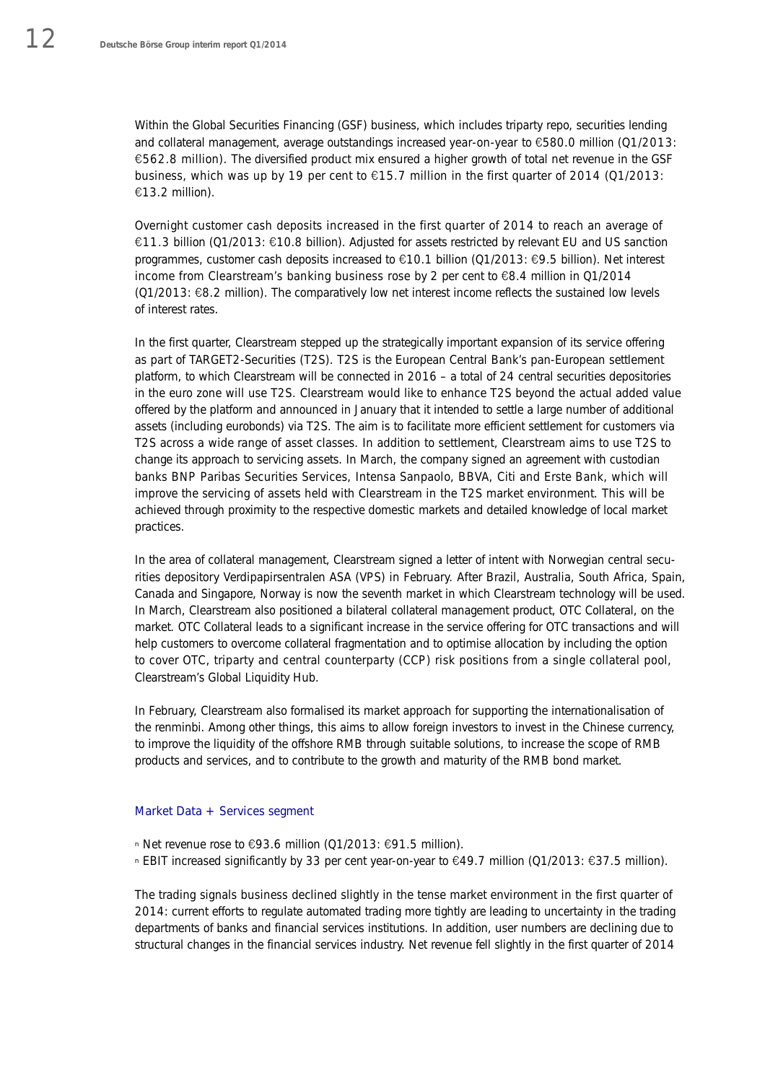Within the Global Securities Financing (GSF) business, which includes triparty repo, securities lending and collateral management, average outstandings increased year-on-year to €580.0 million (Q1/2013: €562.8 million). The diversified product mix ensured a higher growth of total net revenue in the GSF business, which was up by 19 per cent to €15.7 million in the first quarter of 2014 (Q1/2013: €13.2 million).

Overnight customer cash deposits increased in the first quarter of 2014 to reach an average of €11.3 billion (Q1/2013: €10.8 billion). Adjusted for assets restricted by relevant EU and US sanction programmes, customer cash deposits increased to €10.1 billion (Q1/2013: €9.5 billion). Net interest income from Clearstream's banking business rose by 2 per cent to €8.4 million in Q1/2014 (Q1/2013: €8.2 million). The comparatively low net interest income reflects the sustained low levels of interest rates.

In the first quarter, Clearstream stepped up the strategically important expansion of its service offering as part of TARGET2-Securities (T2S). T2S is the European Central Bank's pan-European settlement platform, to which Clearstream will be connected in 2016 – a total of 24 central securities depositories in the euro zone will use T2S. Clearstream would like to enhance T2S beyond the actual added value offered by the platform and announced in January that it intended to settle a large number of additional assets (including eurobonds) via T2S. The aim is to facilitate more efficient settlement for customers via T2S across a wide range of asset classes. In addition to settlement, Clearstream aims to use T2S to change its approach to servicing assets. In March, the company signed an agreement with custodian banks BNP Paribas Securities Services, Intensa Sanpaolo, BBVA, Citi and Erste Bank, which will improve the servicing of assets held with Clearstream in the T2S market environment. This will be achieved through proximity to the respective domestic markets and detailed knowledge of local market practices.

In the area of collateral management, Clearstream signed a letter of intent with Norwegian central securities depository Verdipapirsentralen ASA (VPS) in February. After Brazil, Australia, South Africa, Spain, Canada and Singapore, Norway is now the seventh market in which Clearstream technology will be used. In March, Clearstream also positioned a bilateral collateral management product, OTC Collateral, on the market. OTC Collateral leads to a significant increase in the service offering for OTC transactions and will help customers to overcome collateral fragmentation and to optimise allocation by including the option to cover OTC, triparty and central counterparty (CCP) risk positions from a single collateral pool, Clearstream's Global Liquidity Hub.

In February, Clearstream also formalised its market approach for supporting the internationalisation of the renminbi. Among other things, this aims to allow foreign investors to invest in the Chinese currency, to improve the liquidity of the offshore RMB through suitable solutions, to increase the scope of RMB products and services, and to contribute to the growth and maturity of the RMB bond market.

### **Market Data + Services segment**

- <sup>n</sup> Net revenue rose to €93.6 million (Q1/2013: €91.5 million).
- <sup>n</sup> EBIT increased significantly by 33 per cent year-on-year to €49.7 million (Q1/2013: €37.5 million).

The trading signals business declined slightly in the tense market environment in the first quarter of 2014: current efforts to regulate automated trading more tightly are leading to uncertainty in the trading departments of banks and financial services institutions. In addition, user numbers are declining due to structural changes in the financial services industry. Net revenue fell slightly in the first quarter of 2014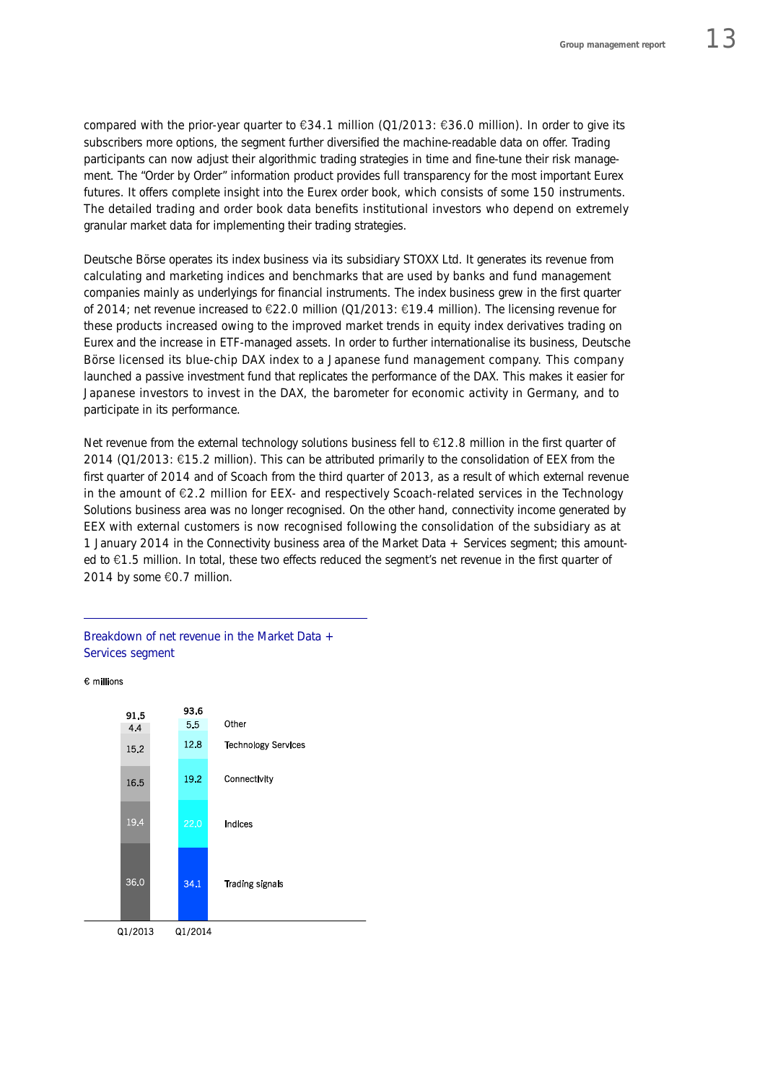compared with the prior-year quarter to  $\epsilon$ 34.1 million (Q1/2013:  $\epsilon$ 36.0 million). In order to give its subscribers more options, the segment further diversified the machine-readable data on offer. Trading participants can now adjust their algorithmic trading strategies in time and fine-tune their risk management. The "Order by Order" information product provides full transparency for the most important Eurex futures. It offers complete insight into the Eurex order book, which consists of some 150 instruments. The detailed trading and order book data benefits institutional investors who depend on extremely granular market data for implementing their trading strategies.

Deutsche Börse operates its index business via its subsidiary STOXX Ltd. It generates its revenue from calculating and marketing indices and benchmarks that are used by banks and fund management companies mainly as underlyings for financial instruments. The index business grew in the first quarter of 2014; net revenue increased to €22.0 million (Q1/2013: €19.4 million). The licensing revenue for these products increased owing to the improved market trends in equity index derivatives trading on Eurex and the increase in ETF-managed assets. In order to further internationalise its business, Deutsche Börse licensed its blue-chip DAX index to a Japanese fund management company. This company launched a passive investment fund that replicates the performance of the DAX. This makes it easier for Japanese investors to invest in the DAX, the barometer for economic activity in Germany, and to participate in its performance.

Net revenue from the external technology solutions business fell to €12.8 million in the first quarter of 2014 (Q1/2013: €15.2 million). This can be attributed primarily to the consolidation of EEX from the first quarter of 2014 and of Scoach from the third quarter of 2013, as a result of which external revenue in the amount of €2.2 million for EEX- and respectively Scoach-related services in the Technology Solutions business area was no longer recognised. On the other hand, connectivity income generated by EEX with external customers is now recognised following the consolidation of the subsidiary as at 1 January 2014 in the Connectivity business area of the Market Data + Services segment; this amounted to €1.5 million. In total, these two effects reduced the segment's net revenue in the first quarter of 2014 by some €0.7 million.

Breakdown of net revenue in the Market Data + Services segment

#### $\epsilon$  millions

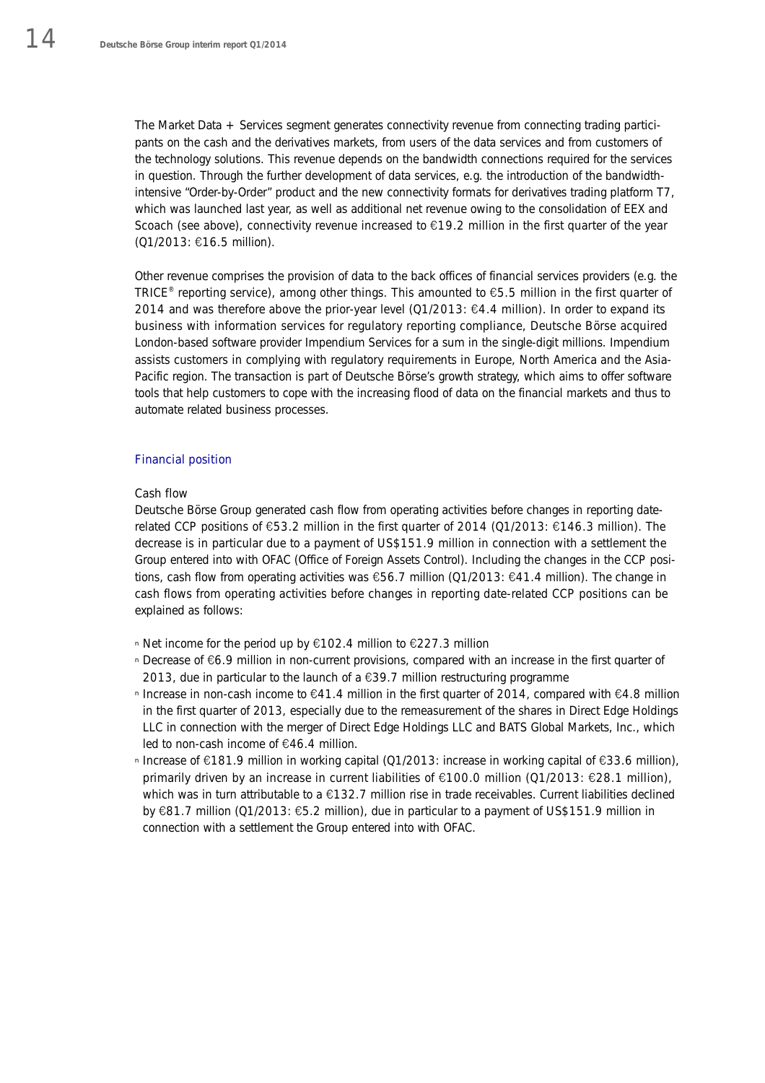The Market Data + Services segment generates connectivity revenue from connecting trading participants on the cash and the derivatives markets, from users of the data services and from customers of the technology solutions. This revenue depends on the bandwidth connections required for the services in question. Through the further development of data services, e.g. the introduction of the bandwidthintensive "Order-by-Order" product and the new connectivity formats for derivatives trading platform T7, which was launched last year, as well as additional net revenue owing to the consolidation of EEX and Scoach (see above), connectivity revenue increased to €19.2 million in the first quarter of the year (Q1/2013: €16.5 million).

Other revenue comprises the provision of data to the back offices of financial services providers (e.g. the TRICE® reporting service), among other things. This amounted to  $\epsilon$ 5.5 million in the first quarter of 2014 and was therefore above the prior-year level (Q1/2013: €4.4 million). In order to expand its business with information services for regulatory reporting compliance, Deutsche Börse acquired London-based software provider Impendium Services for a sum in the single-digit millions. Impendium assists customers in complying with regulatory requirements in Europe, North America and the Asia-Pacific region. The transaction is part of Deutsche Börse's growth strategy, which aims to offer software tools that help customers to cope with the increasing flood of data on the financial markets and thus to automate related business processes.

# **Financial position**

### **Cash flow**

Deutsche Börse Group generated cash flow from operating activities before changes in reporting daterelated CCP positions of €53.2 million in the first quarter of 2014 (Q1/2013: €146.3 million). The decrease is in particular due to a payment of US\$151.9 million in connection with a settlement the Group entered into with OFAC (Office of Foreign Assets Control). Including the changes in the CCP positions, cash flow from operating activities was €56.7 million (Q1/2013: €41.4 million). The change in cash flows from operating activities before changes in reporting date-related CCP positions can be explained as follows:

- <sup>n</sup> Net income for the period up by €102.4 million to €227.3 million
- <sup>n</sup> Decrease of €6.9 million in non-current provisions, compared with an increase in the first quarter of 2013, due in particular to the launch of a  $\epsilon$ 39.7 million restructuring programme
- <sup>n</sup> Increase in non-cash income to €41.4 million in the first quarter of 2014, compared with €4.8 million in the first quarter of 2013, especially due to the remeasurement of the shares in Direct Edge Holdings LLC in connection with the merger of Direct Edge Holdings LLC and BATS Global Markets, Inc., which led to non-cash income of €46.4 million.
- <sup>n</sup> Increase of €181.9 million in working capital (Q1/2013: increase in working capital of €33.6 million), primarily driven by an increase in current liabilities of €100.0 million (Q1/2013: €28.1 million), which was in turn attributable to a €132.7 million rise in trade receivables. Current liabilities declined by €81.7 million (Q1/2013: €5.2 million), due in particular to a payment of US\$151.9 million in connection with a settlement the Group entered into with OFAC.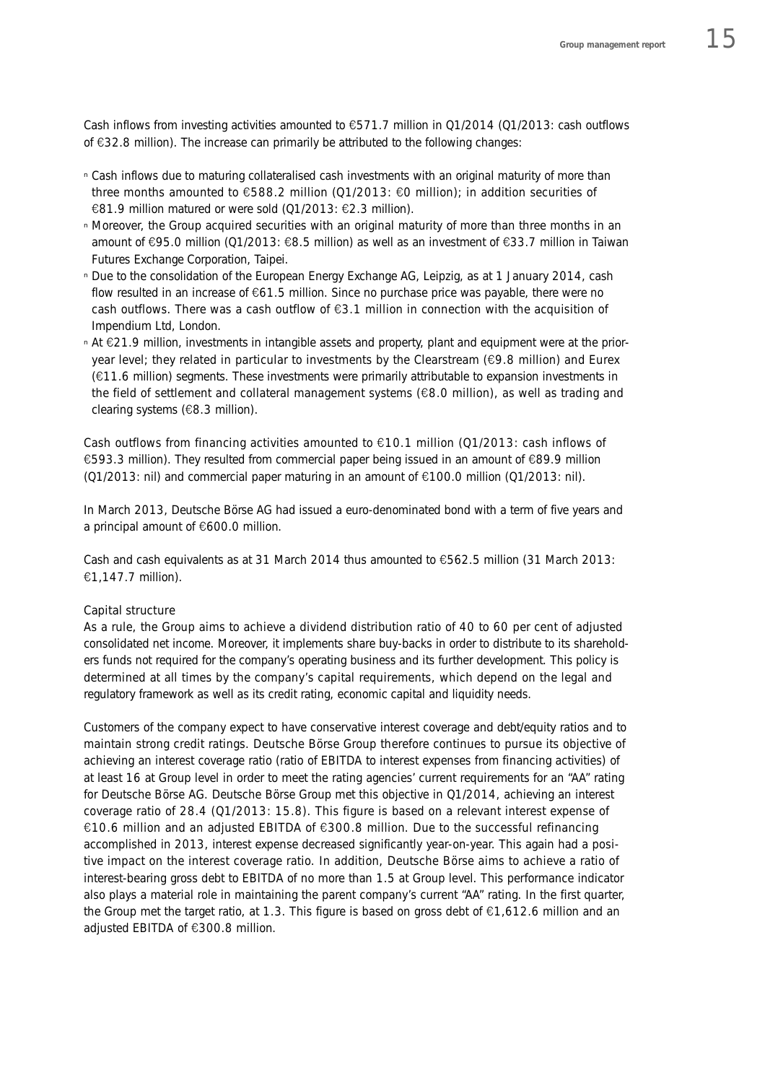Cash inflows from investing activities amounted to  $\epsilon$ 571.7 million in Q1/2014 (Q1/2013: cash outflows of €32.8 million). The increase can primarily be attributed to the following changes:

- <sup>n</sup> Cash inflows due to maturing collateralised cash investments with an original maturity of more than three months amounted to €588.2 million (Q1/2013: €0 million); in addition securities of €81.9 million matured or were sold (Q1/2013: €2.3 million).
- <sup>n</sup> Moreover, the Group acquired securities with an original maturity of more than three months in an amount of €95.0 million (Q1/2013: €8.5 million) as well as an investment of €33.7 million in Taiwan Futures Exchange Corporation, Taipei.
- <sup>n</sup> Due to the consolidation of the European Energy Exchange AG, Leipzig, as at 1 January 2014, cash flow resulted in an increase of €61.5 million. Since no purchase price was payable, there were no cash outflows. There was a cash outflow of €3.1 million in connection with the acquisition of Impendium Ltd, London.
- <sup>n</sup> At €21.9 million, investments in intangible assets and property, plant and equipment were at the prioryear level; they related in particular to investments by the Clearstream (€9.8 million) and Eurex (€11.6 million) segments. These investments were primarily attributable to expansion investments in the field of settlement and collateral management systems (€8.0 million), as well as trading and clearing systems (€8.3 million).

Cash outflows from financing activities amounted to  $\epsilon$ 10.1 million (Q1/2013: cash inflows of €593.3 million). They resulted from commercial paper being issued in an amount of €89.9 million  $(Q1/2013: \text{nil})$  and commercial paper maturing in an amount of  $\text{\textsterling}100.0$  million  $(Q1/2013: \text{nil})$ .

In March 2013, Deutsche Börse AG had issued a euro-denominated bond with a term of five years and a principal amount of €600.0 million.

Cash and cash equivalents as at 31 March 2014 thus amounted to  $€562.5$  million (31 March 2013: €1,147.7 million).

#### **Capital structure**

As a rule, the Group aims to achieve a dividend distribution ratio of 40 to 60 per cent of adjusted consolidated net income. Moreover, it implements share buy-backs in order to distribute to its shareholders funds not required for the company's operating business and its further development. This policy is determined at all times by the company's capital requirements, which depend on the legal and regulatory framework as well as its credit rating, economic capital and liquidity needs.

Customers of the company expect to have conservative interest coverage and debt/equity ratios and to maintain strong credit ratings. Deutsche Börse Group therefore continues to pursue its objective of achieving an interest coverage ratio (ratio of EBITDA to interest expenses from financing activities) of at least 16 at Group level in order to meet the rating agencies' current requirements for an "AA" rating for Deutsche Börse AG. Deutsche Börse Group met this objective in Q1/2014, achieving an interest coverage ratio of 28.4 (Q1/2013: 15.8). This figure is based on a relevant interest expense of €10.6 million and an adjusted EBITDA of €300.8 million. Due to the successful refinancing accomplished in 2013, interest expense decreased significantly year-on-year. This again had a positive impact on the interest coverage ratio. In addition, Deutsche Börse aims to achieve a ratio of interest-bearing gross debt to EBITDA of no more than 1.5 at Group level. This performance indicator also plays a material role in maintaining the parent company's current "AA" rating. In the first quarter, the Group met the target ratio, at 1.3. This figure is based on gross debt of €1,612.6 million and an adjusted EBITDA of €300.8 million.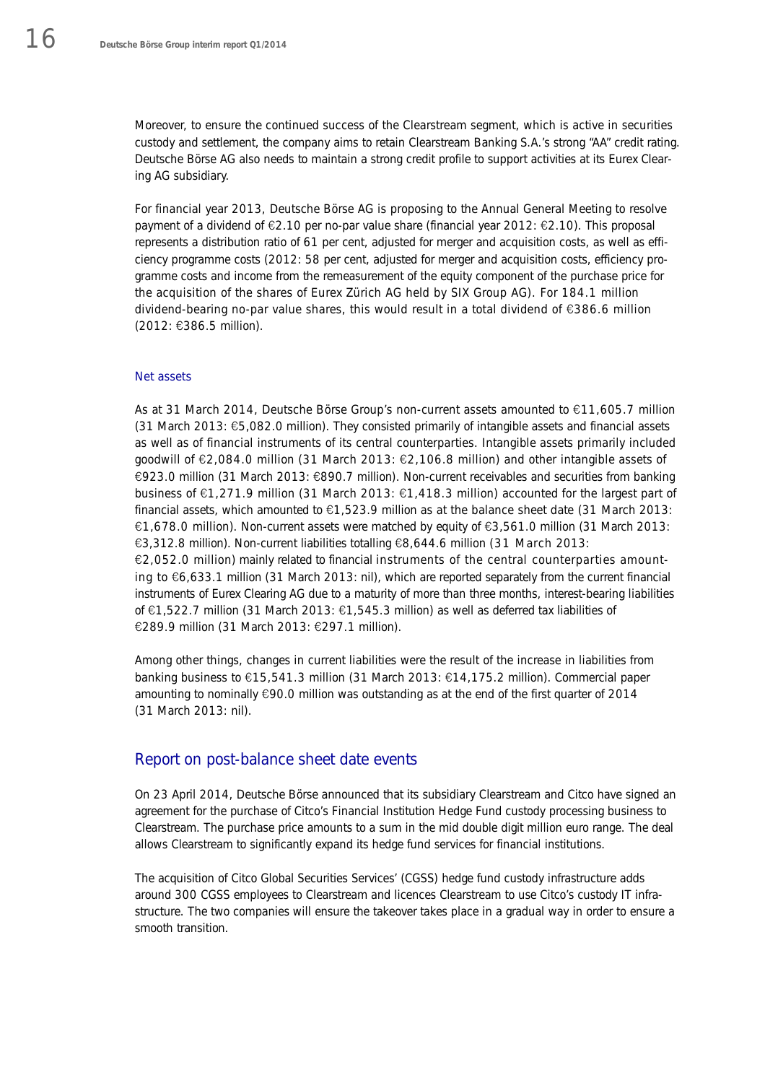Moreover, to ensure the continued success of the Clearstream segment, which is active in securities custody and settlement, the company aims to retain Clearstream Banking S.A.'s strong "AA" credit rating. Deutsche Börse AG also needs to maintain a strong credit profile to support activities at its Eurex Clearing AG subsidiary.

For financial year 2013, Deutsche Börse AG is proposing to the Annual General Meeting to resolve payment of a dividend of €2.10 per no-par value share (financial year 2012: €2.10). This proposal represents a distribution ratio of 61 per cent, adjusted for merger and acquisition costs, as well as efficiency programme costs (2012: 58 per cent, adjusted for merger and acquisition costs, efficiency programme costs and income from the remeasurement of the equity component of the purchase price for the acquisition of the shares of Eurex Zürich AG held by SIX Group AG). For 184.1 million dividend-bearing no-par value shares, this would result in a total dividend of €386.6 million (2012: €386.5 million).

# **Net assets**

As at 31 March 2014, Deutsche Börse Group's non-current assets amounted to €11,605.7 million (31 March 2013: €5,082.0 million). They consisted primarily of intangible assets and financial assets as well as of financial instruments of its central counterparties. Intangible assets primarily included goodwill of €2,084.0 million (31 March 2013: €2,106.8 million) and other intangible assets of €923.0 million (31 March 2013: €890.7 million). Non-current receivables and securities from banking business of €1,271.9 million (31 March 2013: €1,418.3 million) accounted for the largest part of financial assets, which amounted to €1,523.9 million as at the balance sheet date (31 March 2013: €1,678.0 million). Non-current assets were matched by equity of €3,561.0 million (31 March 2013: €3,312.8 million). Non-current liabilities totalling €8,644.6 million (31 March 2013: €2,052.0 million) mainly related to financial instruments of the central counterparties amounting to €6,633.1 million (31 March 2013: nil), which are reported separately from the current financial instruments of Eurex Clearing AG due to a maturity of more than three months, interest-bearing liabilities of €1,522.7 million (31 March 2013: €1,545.3 million) as well as deferred tax liabilities of €289.9 million (31 March 2013: €297.1 million).

Among other things, changes in current liabilities were the result of the increase in liabilities from banking business to €15,541.3 million (31 March 2013: €14,175.2 million). Commercial paper amounting to nominally €90.0 million was outstanding as at the end of the first quarter of 2014 (31 March 2013: nil).

# Report on post-balance sheet date events

On 23 April 2014, Deutsche Börse announced that its subsidiary Clearstream and Citco have signed an agreement for the purchase of Citco's Financial Institution Hedge Fund custody processing business to Clearstream. The purchase price amounts to a sum in the mid double digit million euro range. The deal allows Clearstream to significantly expand its hedge fund services for financial institutions.

The acquisition of Citco Global Securities Services' (CGSS) hedge fund custody infrastructure adds around 300 CGSS employees to Clearstream and licences Clearstream to use Citco's custody IT infrastructure. The two companies will ensure the takeover takes place in a gradual way in order to ensure a smooth transition.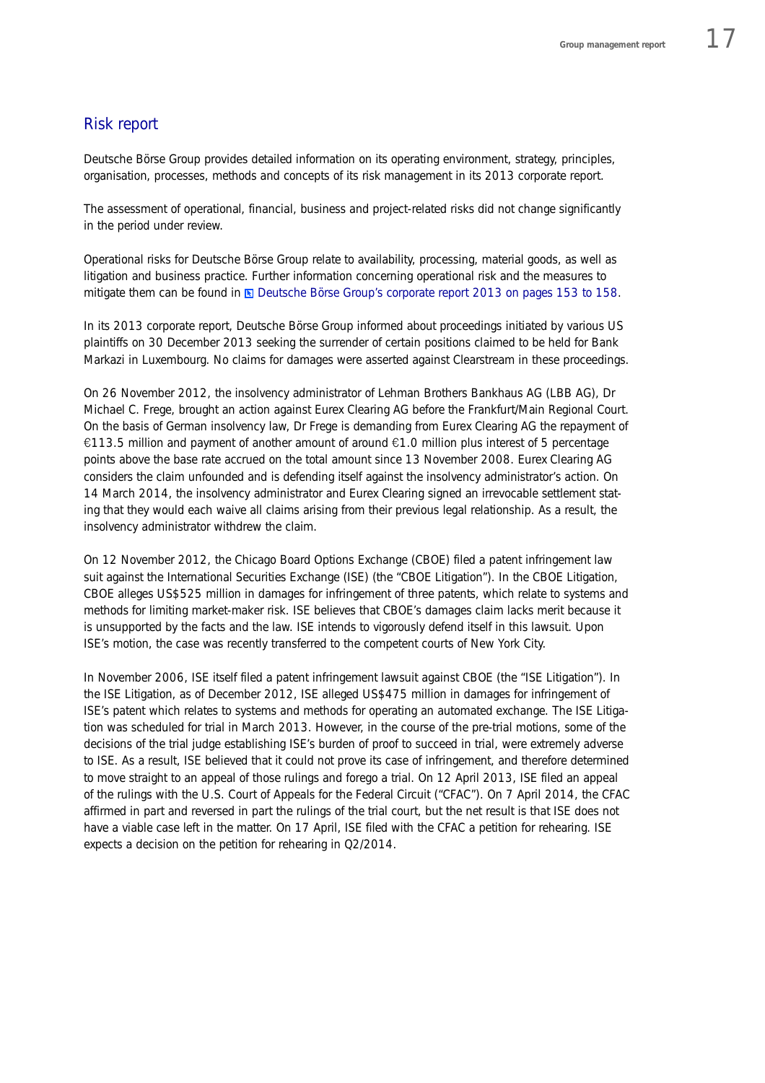# Risk report

Deutsche Börse Group provides detailed information on its operating environment, strategy, principles, organisation, processes, methods and concepts of its risk management in its 2013 corporate report.

The assessment of operational, financial, business and project-related risks did not change significantly in the period under review.

Operational risks for Deutsche Börse Group relate to availability, processing, material goods, as well as litigation and business practice. Further information concerning operational risk and the measures to mitigate them can be found in  $\overline{N}$  Deutsche Börse Group's corporate report 2013 on pages 153 to 158.

In its 2013 corporate report, Deutsche Börse Group informed about proceedings initiated by various US plaintiffs on 30 December 2013 seeking the surrender of certain positions claimed to be held for Bank Markazi in Luxembourg. No claims for damages were asserted against Clearstream in these proceedings.

On 26 November 2012, the insolvency administrator of Lehman Brothers Bankhaus AG (LBB AG), Dr Michael C. Frege, brought an action against Eurex Clearing AG before the Frankfurt/Main Regional Court. On the basis of German insolvency law, Dr Frege is demanding from Eurex Clearing AG the repayment of €113.5 million and payment of another amount of around €1.0 million plus interest of 5 percentage points above the base rate accrued on the total amount since 13 November 2008. Eurex Clearing AG considers the claim unfounded and is defending itself against the insolvency administrator's action. On 14 March 2014, the insolvency administrator and Eurex Clearing signed an irrevocable settlement stating that they would each waive all claims arising from their previous legal relationship. As a result, the insolvency administrator withdrew the claim.

On 12 November 2012, the Chicago Board Options Exchange (CBOE) filed a patent infringement law suit against the International Securities Exchange (ISE) (the "CBOE Litigation"). In the CBOE Litigation, CBOE alleges US\$525 million in damages for infringement of three patents, which relate to systems and methods for limiting market-maker risk. ISE believes that CBOE's damages claim lacks merit because it is unsupported by the facts and the law. ISE intends to vigorously defend itself in this lawsuit. Upon ISE's motion, the case was recently transferred to the competent courts of New York City.

In November 2006, ISE itself filed a patent infringement lawsuit against CBOE (the "ISE Litigation"). In the ISE Litigation, as of December 2012, ISE alleged US\$475 million in damages for infringement of ISE's patent which relates to systems and methods for operating an automated exchange. The ISE Litigation was scheduled for trial in March 2013. However, in the course of the pre-trial motions, some of the decisions of the trial judge establishing ISE's burden of proof to succeed in trial, were extremely adverse to ISE. As a result, ISE believed that it could not prove its case of infringement, and therefore determined to move straight to an appeal of those rulings and forego a trial. On 12 April 2013, ISE filed an appeal of the rulings with the U.S. Court of Appeals for the Federal Circuit ("CFAC"). On 7 April 2014, the CFAC affirmed in part and reversed in part the rulings of the trial court, but the net result is that ISE does not have a viable case left in the matter. On 17 April, ISE filed with the CFAC a petition for rehearing. ISE expects a decision on the petition for rehearing in Q2/2014.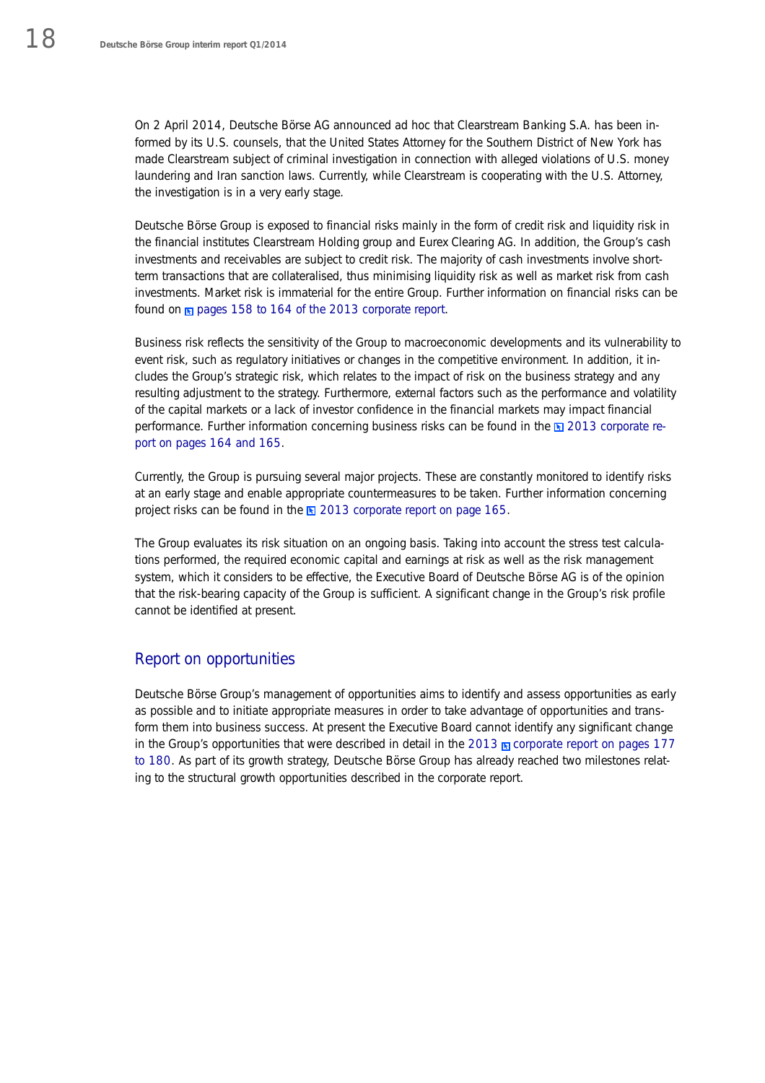On 2 April 2014, Deutsche Börse AG announced ad hoc that Clearstream Banking S.A. has been informed by its U.S. counsels, that the United States Attorney for the Southern District of New York has made Clearstream subject of criminal investigation in connection with alleged violations of U.S. money laundering and Iran sanction laws. Currently, while Clearstream is cooperating with the U.S. Attorney, the investigation is in a very early stage.

Deutsche Börse Group is exposed to financial risks mainly in the form of credit risk and liquidity risk in the financial institutes Clearstream Holding group and Eurex Clearing AG. In addition, the Group's cash investments and receivables are subject to credit risk. The majority of cash investments involve shortterm transactions that are collateralised, thus minimising liquidity risk as well as market risk from cash investments. Market risk is immaterial for the entire Group. Further information on financial risks can be found on **R** pages 158 to 164 of the 2013 corporate report.

Business risk reflects the sensitivity of the Group to macroeconomic developments and its vulnerability to event risk, such as regulatory initiatives or changes in the competitive environment. In addition, it includes the Group's strategic risk, which relates to the impact of risk on the business strategy and any resulting adjustment to the strategy. Furthermore, external factors such as the performance and volatility of the capital markets or a lack of investor confidence in the financial markets may impact financial performance. Further information concerning business risks can be found in the  $\boxtimes$  2013 corporate report on pages 164 and 165.

Currently, the Group is pursuing several major projects. These are constantly monitored to identify risks at an early stage and enable appropriate countermeasures to be taken. Further information concerning project risks can be found in the **E** 2013 corporate report on page 165.

The Group evaluates its risk situation on an ongoing basis. Taking into account the stress test calculations performed, the required economic capital and earnings at risk as well as the risk management system, which it considers to be effective, the Executive Board of Deutsche Börse AG is of the opinion that the risk-bearing capacity of the Group is sufficient. A significant change in the Group's risk profile cannot be identified at present.

# Report on opportunities

Deutsche Börse Group's management of opportunities aims to identify and assess opportunities as early as possible and to initiate appropriate measures in order to take advantage of opportunities and transform them into business success. At present the Executive Board cannot identify any significant change in the Group's opportunities that were described in detail in the 2013  $\overline{N}$  corporate report on pages 177 to 180. As part of its growth strategy, Deutsche Börse Group has already reached two milestones relating to the structural growth opportunities described in the corporate report.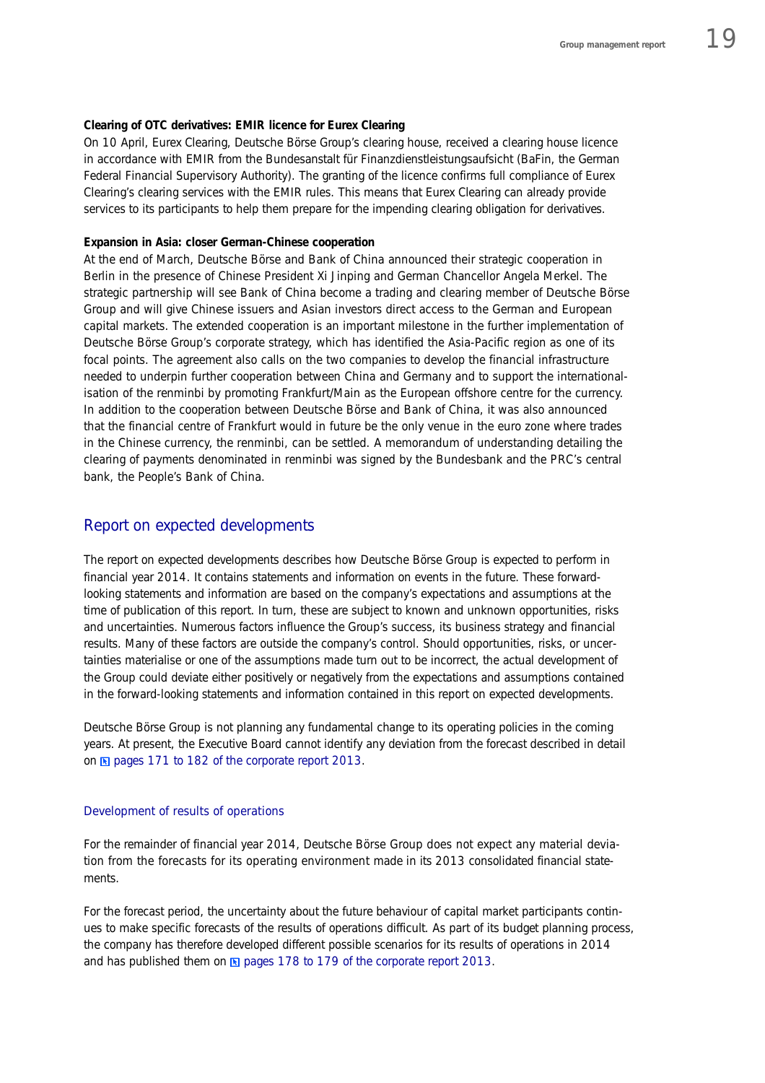#### **Clearing of OTC derivatives: EMIR licence for Eurex Clearing**

On 10 April, Eurex Clearing, Deutsche Börse Group's clearing house, received a clearing house licence in accordance with EMIR from the Bundesanstalt für Finanzdienstleistungsaufsicht (BaFin, the German Federal Financial Supervisory Authority). The granting of the licence confirms full compliance of Eurex Clearing's clearing services with the EMIR rules. This means that Eurex Clearing can already provide services to its participants to help them prepare for the impending clearing obligation for derivatives.

#### **Expansion in Asia: closer German-Chinese cooperation**

At the end of March, Deutsche Börse and Bank of China announced their strategic cooperation in Berlin in the presence of Chinese President Xi Jinping and German Chancellor Angela Merkel. The strategic partnership will see Bank of China become a trading and clearing member of Deutsche Börse Group and will give Chinese issuers and Asian investors direct access to the German and European capital markets. The extended cooperation is an important milestone in the further implementation of Deutsche Börse Group's corporate strategy, which has identified the Asia-Pacific region as one of its focal points. The agreement also calls on the two companies to develop the financial infrastructure needed to underpin further cooperation between China and Germany and to support the internationalisation of the renminbi by promoting Frankfurt/Main as the European offshore centre for the currency. In addition to the cooperation between Deutsche Börse and Bank of China, it was also announced that the financial centre of Frankfurt would in future be the only venue in the euro zone where trades in the Chinese currency, the renminbi, can be settled. A memorandum of understanding detailing the clearing of payments denominated in renminbi was signed by the Bundesbank and the PRC's central bank, the People's Bank of China.

# Report on expected developments

The report on expected developments describes how Deutsche Börse Group is expected to perform in financial year 2014. It contains statements and information on events in the future. These forwardlooking statements and information are based on the company's expectations and assumptions at the time of publication of this report. In turn, these are subject to known and unknown opportunities, risks and uncertainties. Numerous factors influence the Group's success, its business strategy and financial results. Many of these factors are outside the company's control. Should opportunities, risks, or uncertainties materialise or one of the assumptions made turn out to be incorrect, the actual development of the Group could deviate either positively or negatively from the expectations and assumptions contained in the forward-looking statements and information contained in this report on expected developments.

Deutsche Börse Group is not planning any fundamental change to its operating policies in the coming years. At present, the Executive Board cannot identify any deviation from the forecast described in detail on **b** pages 171 to 182 of the corporate report 2013.

#### **Development of results of operations**

For the remainder of financial year 2014, Deutsche Börse Group does not expect any material deviation from the forecasts for its operating environment made in its 2013 consolidated financial statements.

For the forecast period, the uncertainty about the future behaviour of capital market participants continues to make specific forecasts of the results of operations difficult. As part of its budget planning process, the company has therefore developed different possible scenarios for its results of operations in 2014 and has published them on  $\blacksquare$  pages 178 to 179 of the corporate report 2013.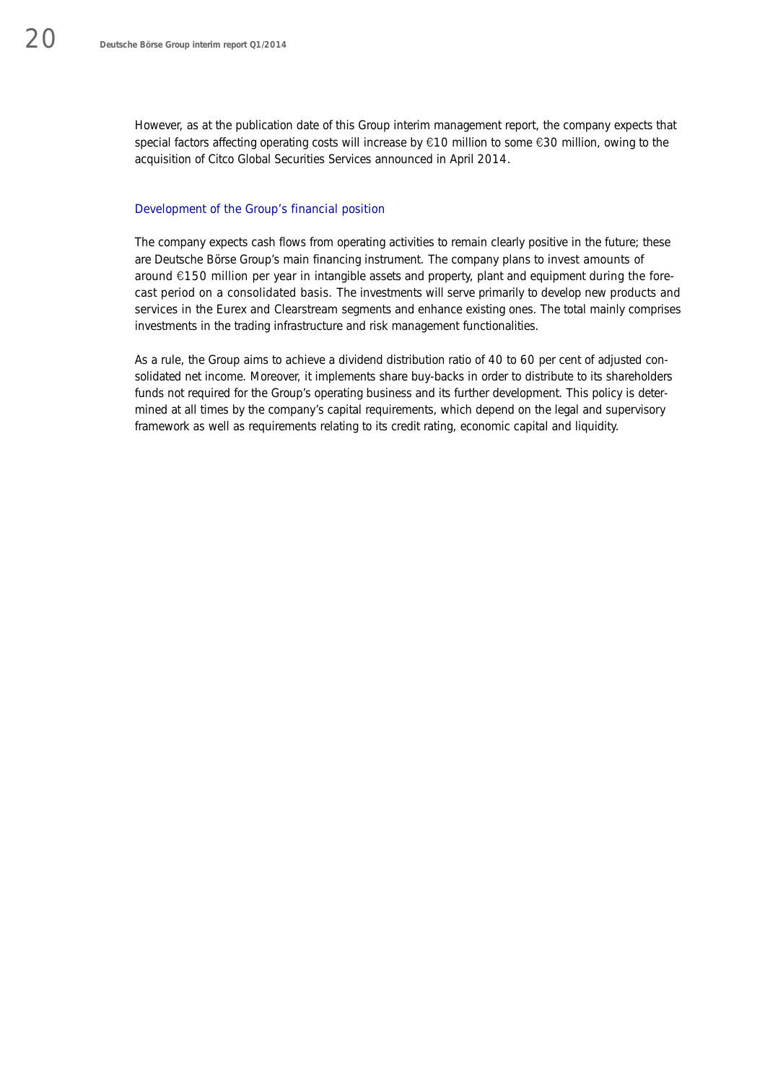However, as at the publication date of this Group interim management report, the company expects that special factors affecting operating costs will increase by €10 million to some €30 million, owing to the acquisition of Citco Global Securities Services announced in April 2014.

### **Development of the Group's financial position**

The company expects cash flows from operating activities to remain clearly positive in the future; these are Deutsche Börse Group's main financing instrument. The company plans to invest amounts of around €150 million per year in intangible assets and property, plant and equipment during the forecast period on a consolidated basis. The investments will serve primarily to develop new products and services in the Eurex and Clearstream segments and enhance existing ones. The total mainly comprises investments in the trading infrastructure and risk management functionalities.

As a rule, the Group aims to achieve a dividend distribution ratio of 40 to 60 per cent of adjusted consolidated net income. Moreover, it implements share buy-backs in order to distribute to its shareholders funds not required for the Group's operating business and its further development. This policy is determined at all times by the company's capital requirements, which depend on the legal and supervisory framework as well as requirements relating to its credit rating, economic capital and liquidity.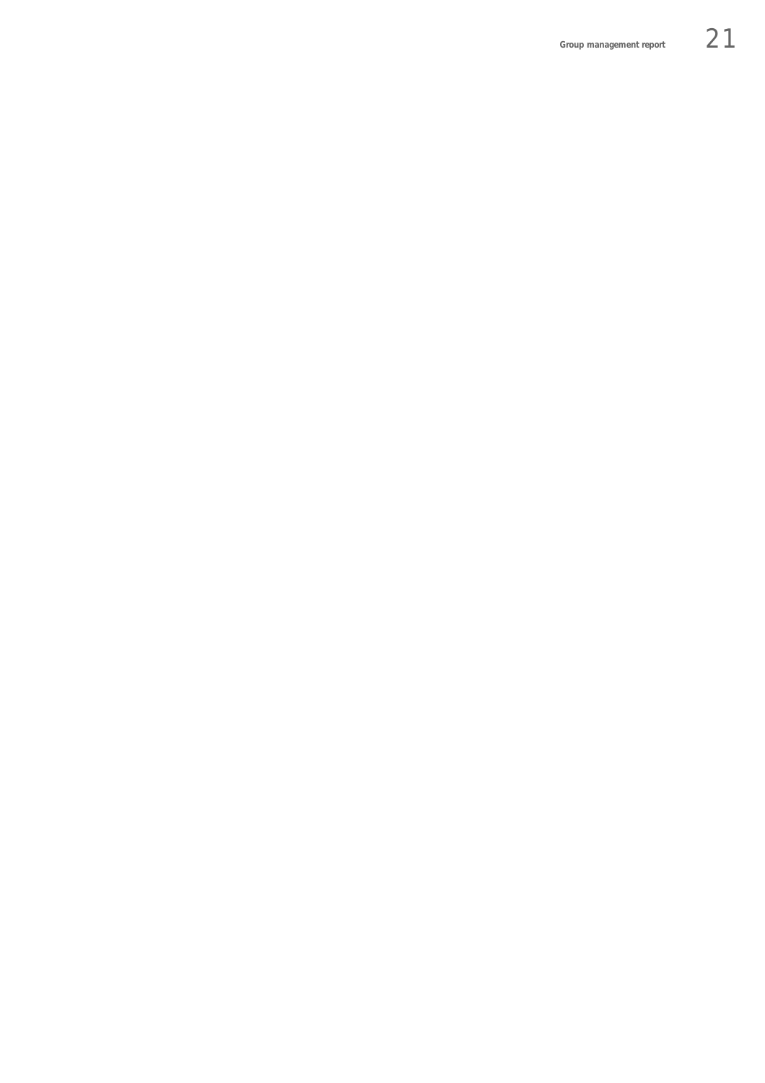**Group management report** 21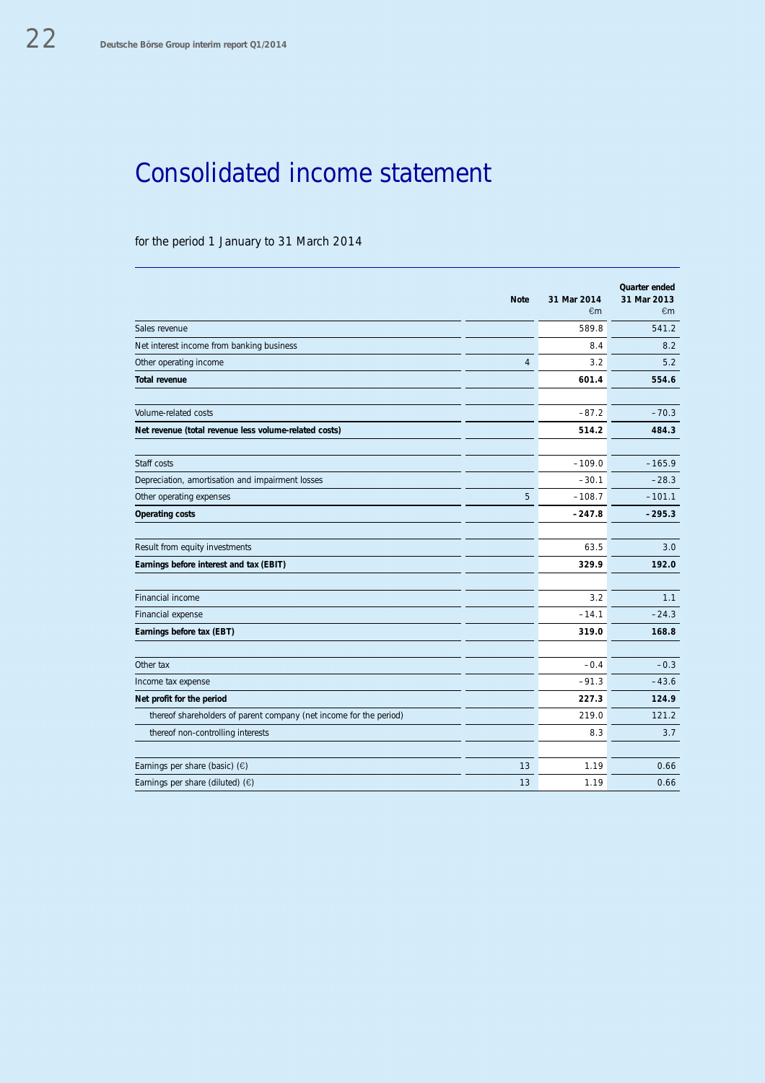# Consolidated income statement

# for the period 1 January to 31 March 2014

|                                                                    | <b>Note</b>    | 31 Mar 2014<br>€m | Quarter ended<br>31 Mar 2013<br>€m |
|--------------------------------------------------------------------|----------------|-------------------|------------------------------------|
| Sales revenue                                                      |                | 589.8             | 541.2                              |
| Net interest income from banking business                          |                | 8.4               | 8.2                                |
| Other operating income                                             | $\overline{4}$ | 3.2               | 5.2                                |
| Total revenue                                                      |                | 601.4             | 554.6                              |
| Volume-related costs                                               |                | $-87.2$           | $-70.3$                            |
| Net revenue (total revenue less volume-related costs)              |                | 514.2             | 484.3                              |
| Staff costs                                                        |                | $-109.0$          | $-165.9$                           |
| Depreciation, amortisation and impairment losses                   |                | $-30.1$           | $-28.3$                            |
| Other operating expenses                                           | 5              | $-108.7$          | $-101.1$                           |
| Operating costs                                                    |                | $-247.8$          | $-295.3$                           |
| Result from equity investments                                     |                | 63.5              | 3.0                                |
| Earnings before interest and tax (EBIT)                            |                | 329.9             | 192.0                              |
| Financial income                                                   |                | 3.2               | 1.1                                |
| Financial expense                                                  |                | $-14.1$           | $-24.3$                            |
| Earnings before tax (EBT)                                          |                | 319.0             | 168.8                              |
| Other tax                                                          |                | $-0.4$            | $-0.3$                             |
| Income tax expense                                                 |                | $-91.3$           | $-43.6$                            |
| Net profit for the period                                          |                | 227.3             | 124.9                              |
| thereof shareholders of parent company (net income for the period) |                | 219.0             | 121.2                              |
| thereof non-controlling interests                                  |                | 8.3               | 3.7                                |
| Earnings per share (basic) $(E)$                                   | 13             | 1.19              | 0.66                               |
| Earnings per share (diluted) $(E)$                                 | 13             | 1.19              | 0.66                               |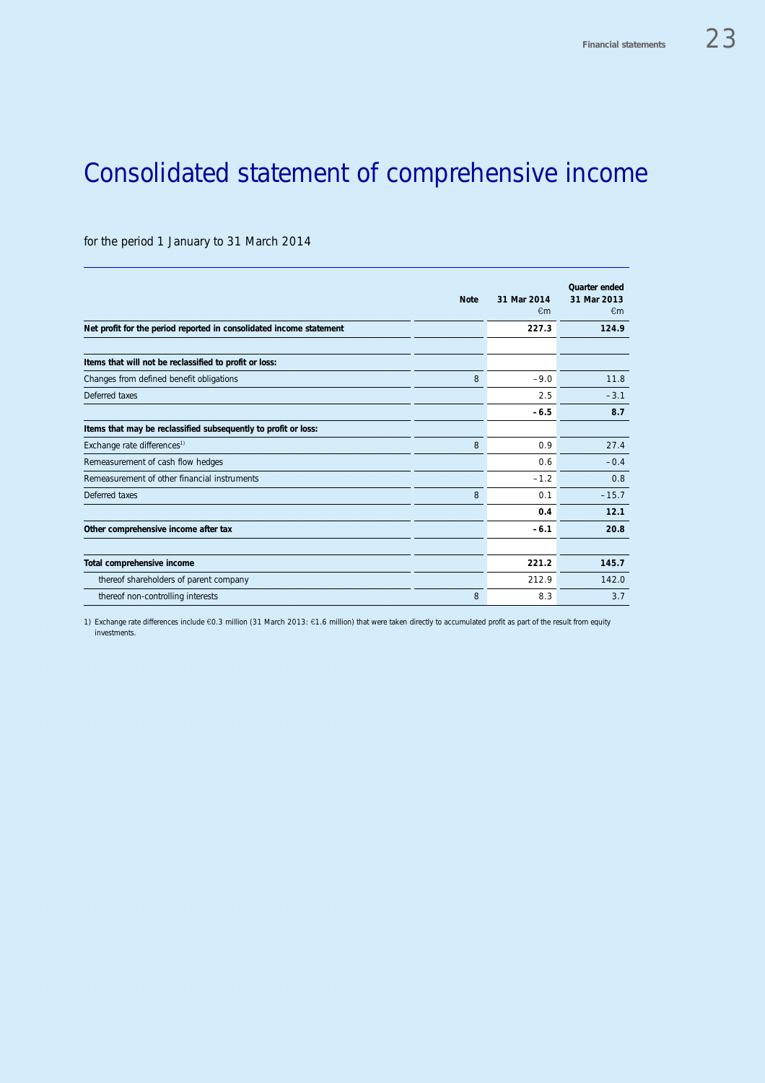# Consolidated statement of comprehensive income

# for the period 1 January to 31 March 2014

|                                                                     | <b>Note</b> | 31 Mar 2014<br>$\epsilon$ m | Quarter ended<br>31 Mar 2013<br>$\epsilon$ m |
|---------------------------------------------------------------------|-------------|-----------------------------|----------------------------------------------|
| Net profit for the period reported in consolidated income statement |             | 227.3                       | 124.9                                        |
| Items that will not be reclassified to profit or loss:              |             |                             |                                              |
| Changes from defined benefit obligations                            | 8           | $-9.0$                      | 11.8                                         |
| Deferred taxes                                                      |             | 2.5                         | $-3.1$                                       |
|                                                                     |             | $-6.5$                      | 8.7                                          |
| Items that may be reclassified subsequently to profit or loss:      |             |                             |                                              |
| Exchange rate differences <sup>1)</sup>                             | 8           | 0.9                         | 27.4                                         |
| Remeasurement of cash flow hedges                                   |             | 0.6                         | $-0.4$                                       |
| Remeasurement of other financial instruments                        |             | $-1.2$                      | 0.8                                          |
| Deferred taxes                                                      | 8           | 0.1                         | $-15.7$                                      |
|                                                                     |             | 0.4                         | 12.1                                         |
| Other comprehensive income after tax                                |             | $-6.1$                      | 20.8                                         |
|                                                                     |             |                             |                                              |
| Total comprehensive income                                          |             | 221.2                       | 145.7                                        |
| thereof shareholders of parent company                              |             | 212.9                       | 142.0                                        |
| thereof non-controlling interests                                   | 8           | 8.3                         | 3.7                                          |

1) Exchange rate differences include €0.3 million (31 March 2013: €1.6 million) that were taken directly to accumulated profit as part of the result from equity investments.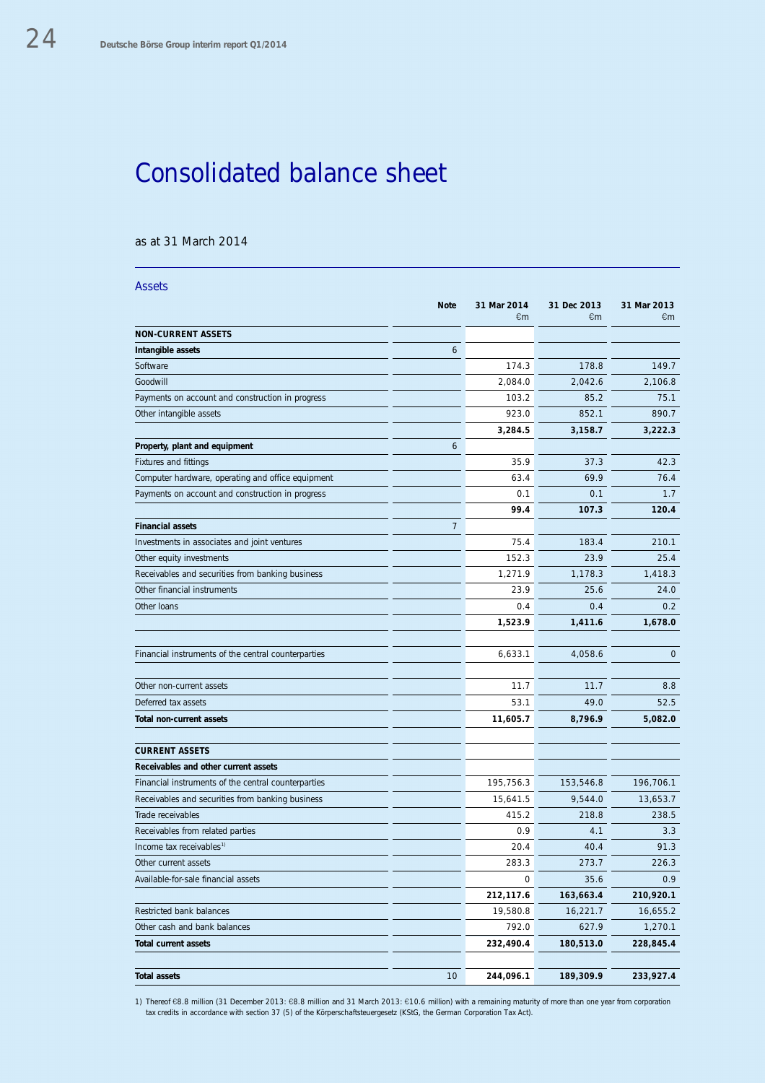# Consolidated balance sheet

#### as at 31 March 2014

# Assets **Note 31 Mar 2014 31 Dec 2013 31 Mar 2013**  €m €m €m **NON-CURRENT ASSETS Intangible assets** 6 Software 178.8 149.7 Goodwill 2,084.0 2,042.6 2,106.8 Payments on account and construction in progress 103.2 85.2 75.1 Other intangible assets 890.7 and 1990.7 and 2011 12:00 and 2012 12:00 and 2012 12:00 and 2012 12:00 and 2012 12:00 and 2012 12:00 and 2012 12:00 and 2012 12:00 and 2012 12:00 and 2012 12:00 and 2012 12:00 and 2012 12:00 a **3,284.5 3,158.7 3,222.3 Property, plant and equipment** 6 Fixtures and fittings 35.9 37.3 42.3 Computer hardware, operating and office equipment 63.4 69.9 76.4 Payments on account and construction in progress 0.1 0.1 0.1 1.7 1.7 **99.4 107.3 120.4 Financial assets 7** Investments in associates and joint ventures 75.4 183.4 210.1 Other equity investments 23.9 25.4 Receivables and securities from banking business 1,271.9 1,271.9 1,178.3 1,418.3 Other financial instruments 23.9 25.6 24.0 Other loans  $0.4$  0.2  $0.4$  0.2  $0.4$  0.2  $0.2$ **1,523.9 1,411.6 1,678.0** Financial instruments of the central counterparties and the central counterparties of the central counterparties of the central counterparties and the central counterparties of the central counterparties of the central cou Other non-current assets 8.8 Deferred tax assets 53.1 **53.1** 49.0 52.5 **Total non-current assets 11,605.7 8,796.9 5,082.0 CURRENT ASSETS Receivables and other current assets**  Financial instruments of the central counterparties 195,766.3 153,546.8 196,706.1 Receivables and securities from banking business 15,641.5 9,544.0 13,653.7 Trade receivables 238.5 238.5 238.5 238.5 238.5 238.5 238.5 238.5 238.5 238.5 238.5 238.5 238.5 238.5 238.5 238.5 238.5 238.5 238.5 238.5 238.5 238.5 238.5 238.5 238.5 238.5 238.5 238.5 238.5 238.5 238.5 238.5 238.5 238.5 Receivables from related parties 6.1 Automobiles from related parties 6.1 Automobiles from related parties 6.3 Income tax receivables<sup>1)</sup> 20.4 40.4 91.3 Other current assets 226.3 273.7 226.3 Available-for-sale financial assets 0 35.6 0.9 **212,117.6 163,663.4 210,920.1** Restricted bank balances 19,580.8 16,221.7 16,655.2 Other cash and bank balances **792.0** 627.9 1,270.1 **Total current assets 232,490.4 180,513.0 228,845.4**

1) Thereof €8.8 million (31 December 2013: €8.8 million and 31 March 2013: €10.6 million) with a remaining maturity of more than one year from corporation tax credits in accordance with section 37 (5) of the Körperschaftsteuergesetz (KStG, the German Corporation Tax Act).

**Total assets** 10 **244,096.1 189,309.9 233,927.4**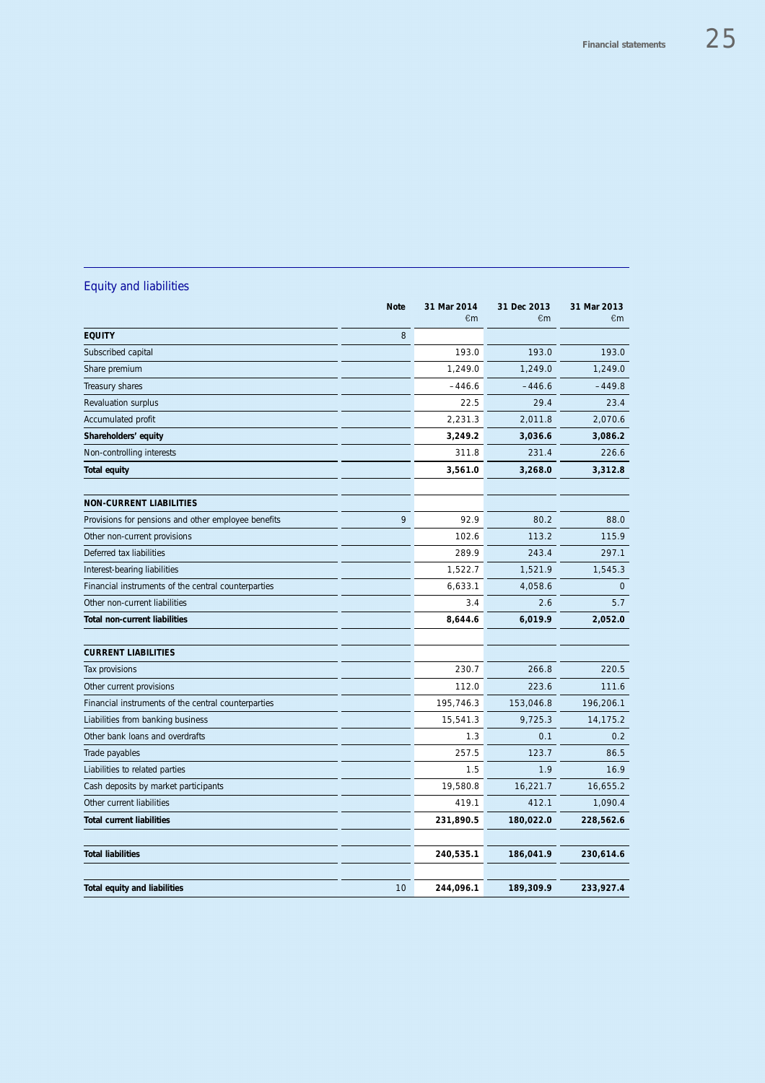# Equity and liabilities

|                                                     | <b>Note</b> | 31 Mar 2014<br>€m | 31 Dec 2013<br>€m | 31 Mar 2013<br>$\epsilon$ m |
|-----------------------------------------------------|-------------|-------------------|-------------------|-----------------------------|
| <b>EQUITY</b>                                       | 8           |                   |                   |                             |
| Subscribed capital                                  |             | 193.0             | 193.0             | 193.0                       |
| Share premium                                       |             | 1,249.0           | 1,249.0           | 1,249.0                     |
| Treasury shares                                     |             | $-446.6$          | $-446.6$          | $-449.8$                    |
| Revaluation surplus                                 |             | 22.5              | 29.4              | 23.4                        |
| Accumulated profit                                  |             | 2,231.3           | 2,011.8           | 2,070.6                     |
| Shareholders' equity                                |             | 3,249.2           | 3,036.6           | 3,086.2                     |
| Non-controlling interests                           |             | 311.8             | 231.4             | 226.6                       |
| Total equity                                        |             | 3,561.0           | 3,268.0           | 3,312.8                     |
| NON-CURRENT LIABILITIES                             |             |                   |                   |                             |
| Provisions for pensions and other employee benefits | 9           | 92.9              | 80.2              | 88.0                        |
| Other non-current provisions                        |             | 102.6             | 113.2             | 115.9                       |
| Deferred tax liabilities                            |             | 289.9             | 243.4             | 297.1                       |
| Interest-bearing liabilities                        |             | 1,522.7           | 1,521.9           | 1,545.3                     |
| Financial instruments of the central counterparties |             | 6,633.1           | 4,058.6           | $\mathbf 0$                 |
| Other non-current liabilities                       |             | 3.4               | 2.6               | 5.7                         |
| Total non-current liabilities                       |             | 8,644.6           | 6,019.9           | 2,052.0                     |
| <b>CURRENT LIABILITIES</b>                          |             |                   |                   |                             |
| Tax provisions                                      |             | 230.7             | 266.8             | 220.5                       |
| Other current provisions                            |             | 112.0             | 223.6             | 111.6                       |
| Financial instruments of the central counterparties |             | 195,746.3         | 153,046.8         | 196,206.1                   |
| Liabilities from banking business                   |             | 15,541.3          | 9,725.3           | 14,175.2                    |
| Other bank loans and overdrafts                     |             | 1.3               | 0.1               | 0.2                         |
| Trade payables                                      |             | 257.5             | 123.7             | 86.5                        |
| Liabilities to related parties                      |             | 1.5               | 1.9               | 16.9                        |
| Cash deposits by market participants                |             | 19,580.8          | 16,221.7          | 16,655.2                    |
| Other current liabilities                           |             | 419.1             | 412.1             | 1,090.4                     |
| <b>Total current liabilities</b>                    |             | 231,890.5         | 180,022.0         | 228,562.6                   |
| <b>Total liabilities</b>                            |             | 240,535.1         | 186,041.9         | 230,614.6                   |
|                                                     |             |                   |                   |                             |
| Total equity and liabilities                        | 10          | 244,096.1         | 189,309.9         | 233,927.4                   |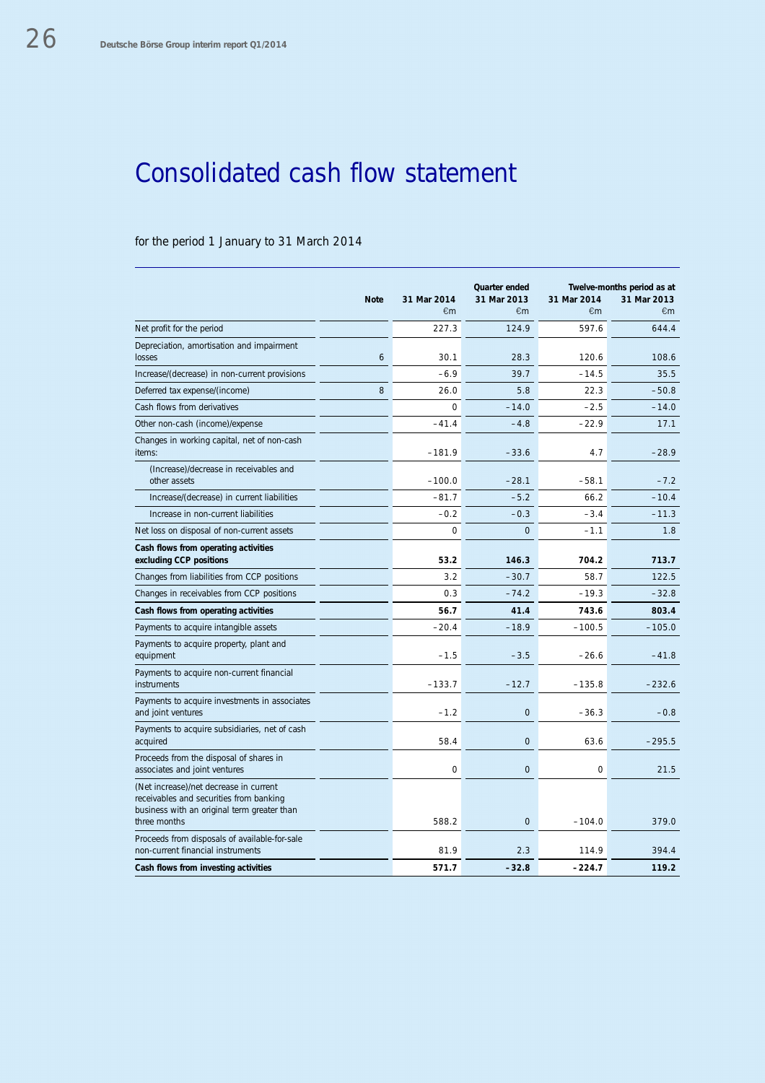# Consolidated cash flow statement

# for the period 1 January to 31 March 2014

|                                                                                                                                                  |             |                             | Quarter ended     |                   | Twelve-months period as at  |
|--------------------------------------------------------------------------------------------------------------------------------------------------|-------------|-----------------------------|-------------------|-------------------|-----------------------------|
|                                                                                                                                                  | <b>Note</b> | 31 Mar 2014<br>$\epsilon$ m | 31 Mar 2013<br>€m | 31 Mar 2014<br>€m | 31 Mar 2013<br>$\epsilon$ m |
| Net profit for the period                                                                                                                        |             | 227.3                       | 124.9             | 597.6             | 644.4                       |
| Depreciation, amortisation and impairment<br>losses                                                                                              | 6           | 30.1                        | 28.3              | 120.6             | 108.6                       |
| Increase/(decrease) in non-current provisions                                                                                                    |             | $-6.9$                      | 39.7              | $-14.5$           | 35.5                        |
| Deferred tax expense/(income)                                                                                                                    | 8           | 26.0                        | 5.8               | 22.3              | $-50.8$                     |
| Cash flows from derivatives                                                                                                                      |             | $\mathbf{O}$                | $-14.0$           | $-2.5$            | $-14.0$                     |
| Other non-cash (income)/expense                                                                                                                  |             | $-41.4$                     | $-4.8$            | $-22.9$           | 17.1                        |
| Changes in working capital, net of non-cash<br>items:                                                                                            |             | $-181.9$                    | $-33.6$           | 4.7               | $-28.9$                     |
| (Increase)/decrease in receivables and<br>other assets                                                                                           |             | $-100.0$                    | $-28.1$           | $-58.1$           | $-7.2$                      |
| Increase/(decrease) in current liabilities                                                                                                       |             | $-81.7$                     | $-5.2$            | 66.2              | $-10.4$                     |
| Increase in non-current liabilities                                                                                                              |             | $-0.2$                      | $-0.3$            | $-3.4$            | $-11.3$                     |
| Net loss on disposal of non-current assets                                                                                                       |             | 0                           | $\mathbf{O}$      | $-1.1$            | 1.8                         |
| Cash flows from operating activities<br>excluding CCP positions                                                                                  |             | 53.2                        | 146.3             | 704.2             | 713.7                       |
| Changes from liabilities from CCP positions                                                                                                      |             | 3.2                         | $-30.7$           | 58.7              | 122.5                       |
| Changes in receivables from CCP positions                                                                                                        |             | 0.3                         | $-74.2$           | $-19.3$           | $-32.8$                     |
| Cash flows from operating activities                                                                                                             |             | 56.7                        | 41.4              | 743.6             | 803.4                       |
| Payments to acquire intangible assets                                                                                                            |             | $-20.4$                     | $-18.9$           | $-100.5$          | $-105.0$                    |
| Payments to acquire property, plant and<br>equipment                                                                                             |             | $-1.5$                      | $-3.5$            | $-26.6$           | $-41.8$                     |
| Payments to acquire non-current financial<br>instruments                                                                                         |             | $-133.7$                    | $-12.7$           | $-135.8$          | $-232.6$                    |
| Payments to acquire investments in associates<br>and joint ventures                                                                              |             | $-1.2$                      | $\mathbf 0$       | $-36.3$           | $-0.8$                      |
| Payments to acquire subsidiaries, net of cash<br>acquired                                                                                        |             | 58.4                        | $\mathbf{O}$      | 63.6              | $-295.5$                    |
| Proceeds from the disposal of shares in<br>associates and joint ventures                                                                         |             | 0                           | $\overline{O}$    | $\circ$           | 21.5                        |
| (Net increase)/net decrease in current<br>receivables and securities from banking<br>business with an original term greater than<br>three months |             | 588.2                       | 0                 | $-104.0$          | 379.0                       |
| Proceeds from disposals of available-for-sale                                                                                                    |             |                             |                   |                   |                             |
| non-current financial instruments                                                                                                                |             | 81.9                        | 2.3               | 114.9             | 394.4                       |
| Cash flows from investing activities                                                                                                             |             | 571.7                       | $-32.8$           | $-224.7$          | 119.2                       |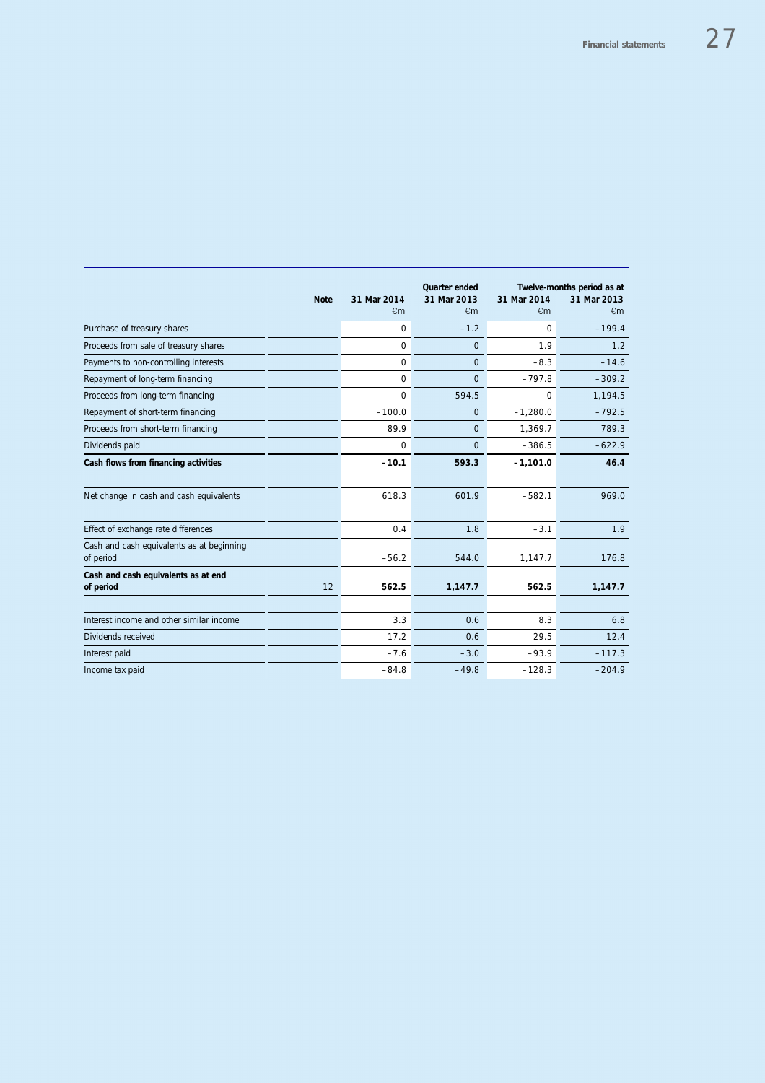|                                           |             |              | Quarter ended |             | Twelve-months period as at |
|-------------------------------------------|-------------|--------------|---------------|-------------|----------------------------|
|                                           | <b>Note</b> | 31 Mar 2014  | 31 Mar 2013   | 31 Mar 2014 | 31 Mar 2013                |
|                                           |             | €m           | $\epsilon$ m  | €m          | $\epsilon$ m               |
| Purchase of treasury shares               |             | 0            | $-1.2$        | 0           | $-199.4$                   |
| Proceeds from sale of treasury shares     |             | 0            | $\mathbf{0}$  | 1.9         | 1.2                        |
| Payments to non-controlling interests     |             | 0            | $\mathbf{0}$  | $-8.3$      | $-14.6$                    |
| Repayment of long-term financing          |             | 0            | $\mathbf{0}$  | $-797.8$    | $-309.2$                   |
| Proceeds from long-term financing         |             | $\mathbf{O}$ | 594.5         | $\mathbf 0$ | 1,194.5                    |
| Repayment of short-term financing         |             | $-100.0$     | $\mathbf{0}$  | $-1,280.0$  | $-792.5$                   |
| Proceeds from short-term financing        |             | 89.9         | $\mathbf{0}$  | 1,369.7     | 789.3                      |
| Dividends paid                            |             | 0            | $\mathbf{0}$  | $-386.5$    | $-622.9$                   |
| Cash flows from financing activities      |             | $-10.1$      | 593.3         | $-1,101.0$  | 46.4                       |
|                                           |             |              |               |             |                            |
| Net change in cash and cash equivalents   |             | 618.3        | 601.9         | $-582.1$    | 969.0                      |
|                                           |             |              |               |             |                            |
| Effect of exchange rate differences       |             | 0.4          | 1.8           | $-3.1$      | 1.9                        |
| Cash and cash equivalents as at beginning |             |              |               |             |                            |
| of period                                 |             | $-56.2$      | 544.0         | 1,147.7     | 176.8                      |
| Cash and cash equivalents as at end       |             |              |               |             |                            |
| of period                                 | 12          | 562.5        | 1,147.7       | 562.5       | 1,147.7                    |
|                                           |             |              |               |             |                            |
| Interest income and other similar income  |             | 3.3          | 0.6           | 8.3         | 6.8                        |
| Dividends received                        |             | 17.2         | 0.6           | 29.5        | 12.4                       |

Interest paid  $-3.0$  –93.9 – 117.3 Income tax paid –84.8 –49.8 –49.8 – 128.3 – 204.9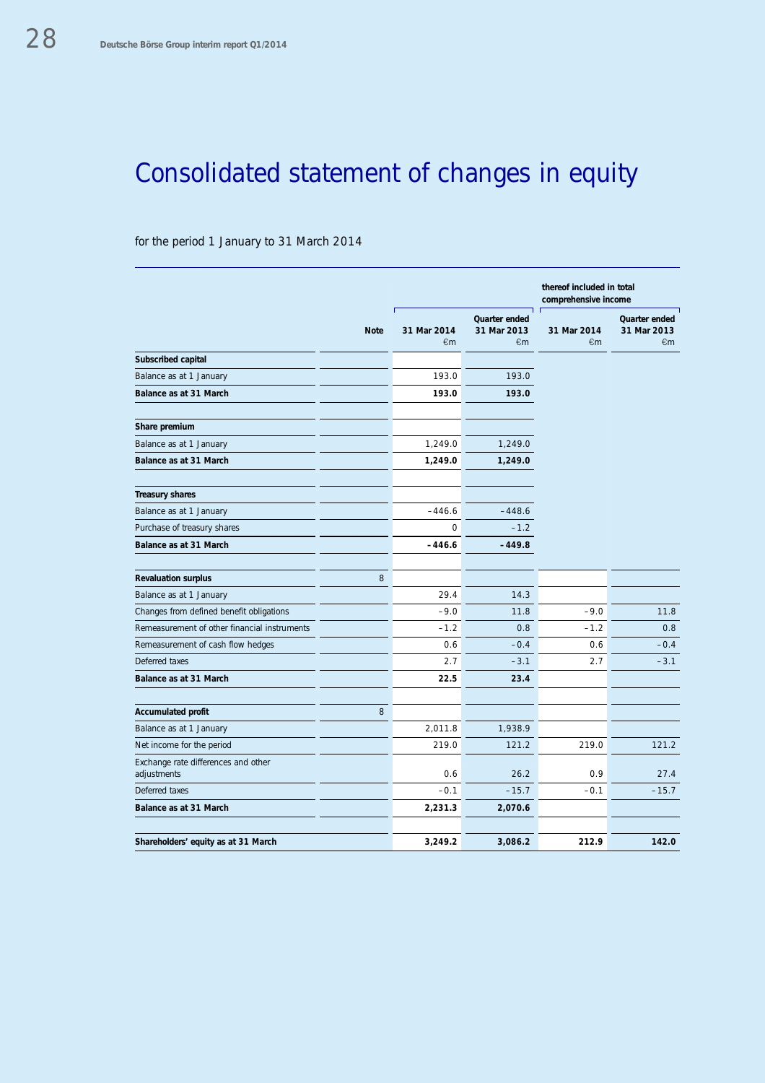# Consolidated statement of changes in equity

# for the period 1 January to 31 March 2014

|                                                    | <b>Note</b> |                   |                                              | thereof included in total<br>comprehensive income |                                    |
|----------------------------------------------------|-------------|-------------------|----------------------------------------------|---------------------------------------------------|------------------------------------|
|                                                    |             | 31 Mar 2014<br>€m | Quarter ended<br>31 Mar 2013<br>$\epsilon$ m | 31 Mar 2014<br>€m                                 | Quarter ended<br>31 Mar 2013<br>€m |
| Subscribed capital                                 |             |                   |                                              |                                                   |                                    |
| Balance as at 1 January                            |             | 193.0             | 193.0                                        |                                                   |                                    |
| Balance as at 31 March                             |             | 193.0             | 193.0                                        |                                                   |                                    |
| Share premium                                      |             |                   |                                              |                                                   |                                    |
| Balance as at 1 January                            |             | 1,249.0           | 1,249.0                                      |                                                   |                                    |
| Balance as at 31 March                             |             | 1,249.0           | 1,249.0                                      |                                                   |                                    |
| Treasury shares                                    |             |                   |                                              |                                                   |                                    |
| Balance as at 1 January                            |             | $-446.6$          | $-448.6$                                     |                                                   |                                    |
| Purchase of treasury shares                        |             | $\mathbf 0$       | $-1.2$                                       |                                                   |                                    |
| Balance as at 31 March                             |             | $-446.6$          | $-449.8$                                     |                                                   |                                    |
| Revaluation surplus                                | 8           |                   |                                              |                                                   |                                    |
| Balance as at 1 January                            |             | 29.4              | 14.3                                         |                                                   |                                    |
| Changes from defined benefit obligations           |             | $-9.0$            | 11.8                                         | $-9.0$                                            | 11.8                               |
| Remeasurement of other financial instruments       |             | $-1.2$            | 0.8                                          | $-1.2$                                            | 0.8                                |
| Remeasurement of cash flow hedges                  |             | 0.6               | $-0.4$                                       | 0.6                                               | $-0.4$                             |
| Deferred taxes                                     |             | 2.7               | $-3.1$                                       | 2.7                                               | $-3.1$                             |
| Balance as at 31 March                             |             | 22.5              | 23.4                                         |                                                   |                                    |
| Accumulated profit                                 | 8           |                   |                                              |                                                   |                                    |
| Balance as at 1 January                            |             | 2,011.8           | 1,938.9                                      |                                                   |                                    |
| Net income for the period                          |             | 219.0             | 121.2                                        | 219.0                                             | 121.2                              |
| Exchange rate differences and other<br>adjustments |             | 0.6               | 26.2                                         | 0.9                                               | 27.4                               |
| Deferred taxes                                     |             | $-0.1$            | $-15.7$                                      | $-0.1$                                            | $-15.7$                            |
| Balance as at 31 March                             |             | 2,231.3           | 2,070.6                                      |                                                   |                                    |
| Shareholders' equity as at 31 March                |             | 3,249.2           | 3,086.2                                      | 212.9                                             | 142.0                              |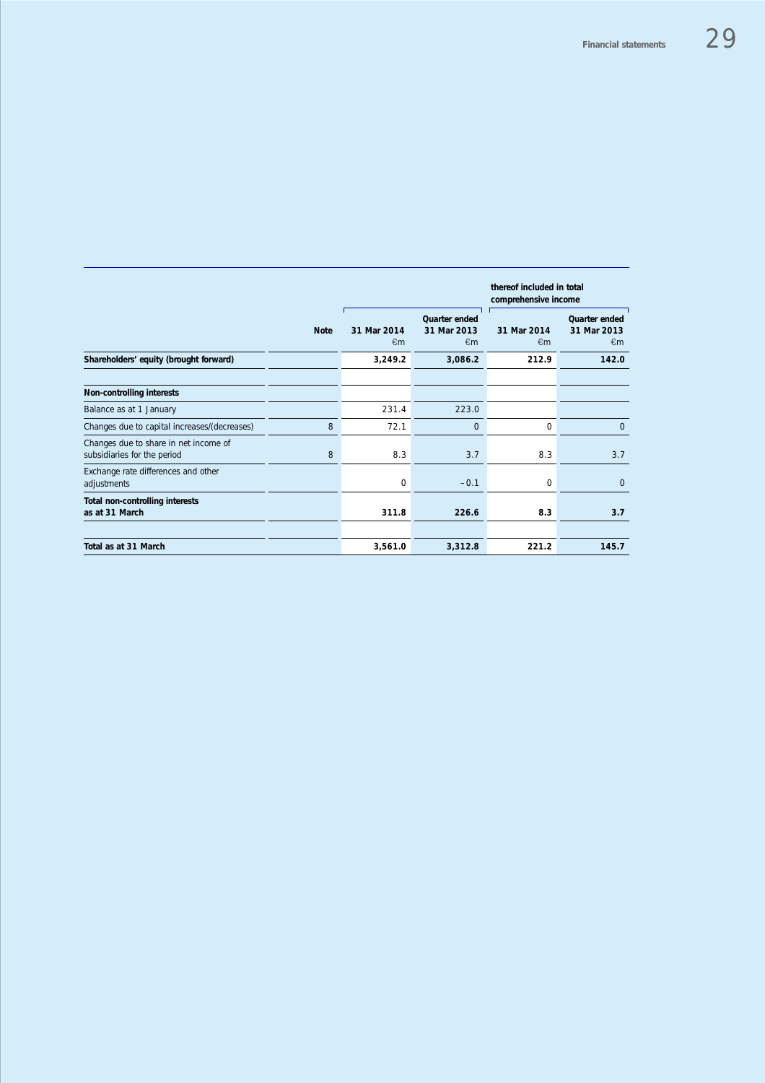|                                                                      |             |                             |                                              | thereof included in total<br>comprehensive income |                                              |
|----------------------------------------------------------------------|-------------|-----------------------------|----------------------------------------------|---------------------------------------------------|----------------------------------------------|
|                                                                      | <b>Note</b> | 31 Mar 2014<br>$\epsilon$ m | Quarter ended<br>31 Mar 2013<br>$\epsilon$ m | 31 Mar 2014<br>$\epsilon$ m                       | Quarter ended<br>31 Mar 2013<br>$\epsilon$ m |
| Shareholders' equity (brought forward)                               |             | 3,249.2                     | 3,086.2                                      | 212.9                                             | 142.0                                        |
|                                                                      |             |                             |                                              |                                                   |                                              |
| Non-controlling interests                                            |             |                             |                                              |                                                   |                                              |
| Balance as at 1 January                                              |             | 231.4                       | 223.0                                        |                                                   |                                              |
| Changes due to capital increases/(decreases)                         | 8           | 72.1                        | 0                                            | $\mathbf 0$                                       | $\Omega$                                     |
| Changes due to share in net income of<br>subsidiaries for the period | 8           | 8.3                         | 3.7                                          | 8.3                                               | 3.7                                          |
| Exchange rate differences and other<br>adjustments                   |             | 0                           | $-0.1$                                       | $\mathbf 0$                                       | $\mathbf{0}$                                 |
| Total non-controlling interests<br>as at 31 March                    |             | 311.8                       | 226.6                                        | 8.3                                               | 3.7                                          |
|                                                                      |             |                             |                                              |                                                   |                                              |
| Total as at 31 March                                                 |             | 3,561.0                     | 3,312.8                                      | 221.2                                             | 145.7                                        |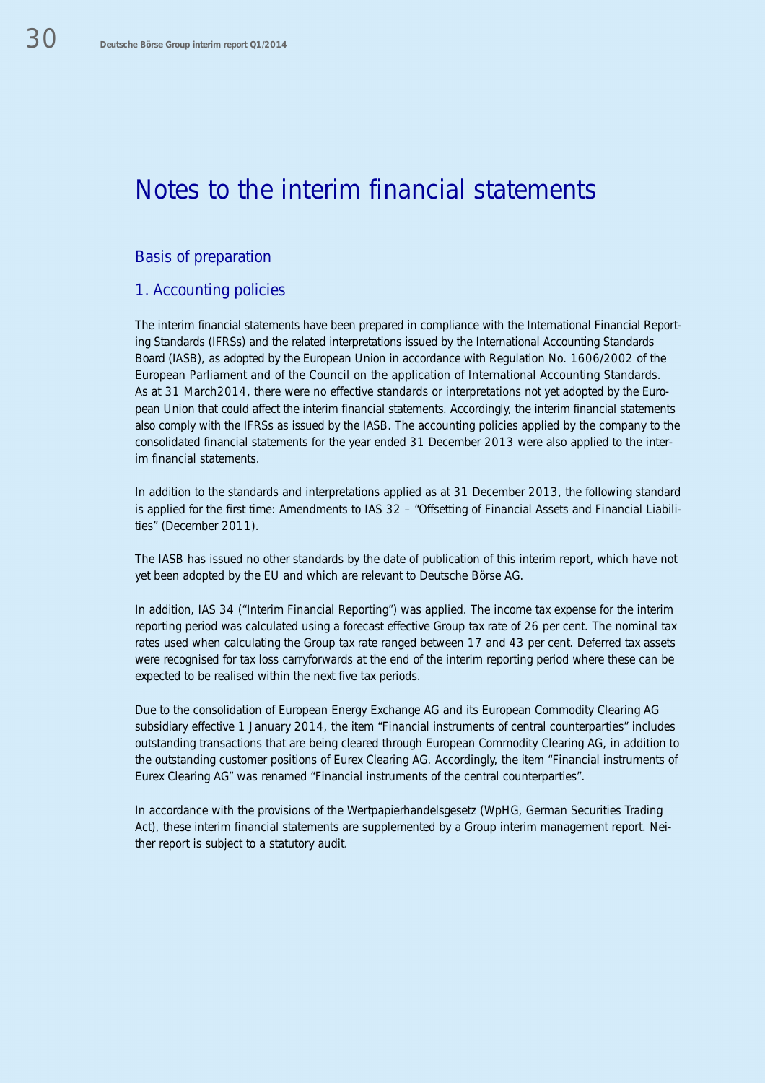# Notes to the interim financial statements

# Basis of preparation

# 1. Accounting policies

The interim financial statements have been prepared in compliance with the International Financial Reporting Standards (IFRSs) and the related interpretations issued by the International Accounting Standards Board (IASB), as adopted by the European Union in accordance with Regulation No. 1606/2002 of the European Parliament and of the Council on the application of International Accounting Standards. As at 31 March2014, there were no effective standards or interpretations not yet adopted by the European Union that could affect the interim financial statements. Accordingly, the interim financial statements also comply with the IFRSs as issued by the IASB. The accounting policies applied by the company to the consolidated financial statements for the year ended 31 December 2013 were also applied to the interim financial statements.

In addition to the standards and interpretations applied as at 31 December 2013, the following standard is applied for the first time: Amendments to IAS 32 – "Offsetting of Financial Assets and Financial Liabilities" (December 2011).

The IASB has issued no other standards by the date of publication of this interim report, which have not yet been adopted by the EU and which are relevant to Deutsche Börse AG.

In addition, IAS 34 ("Interim Financial Reporting") was applied. The income tax expense for the interim reporting period was calculated using a forecast effective Group tax rate of 26 per cent. The nominal tax rates used when calculating the Group tax rate ranged between 17 and 43 per cent. Deferred tax assets were recognised for tax loss carryforwards at the end of the interim reporting period where these can be expected to be realised within the next five tax periods.

Due to the consolidation of European Energy Exchange AG and its European Commodity Clearing AG subsidiary effective 1 January 2014, the item "Financial instruments of central counterparties" includes outstanding transactions that are being cleared through European Commodity Clearing AG, in addition to the outstanding customer positions of Eurex Clearing AG. Accordingly, the item "Financial instruments of Eurex Clearing AG" was renamed "Financial instruments of the central counterparties".

In accordance with the provisions of the Wertpapierhandelsgesetz (WpHG, German Securities Trading Act), these interim financial statements are supplemented by a Group interim management report. Neither report is subject to a statutory audit.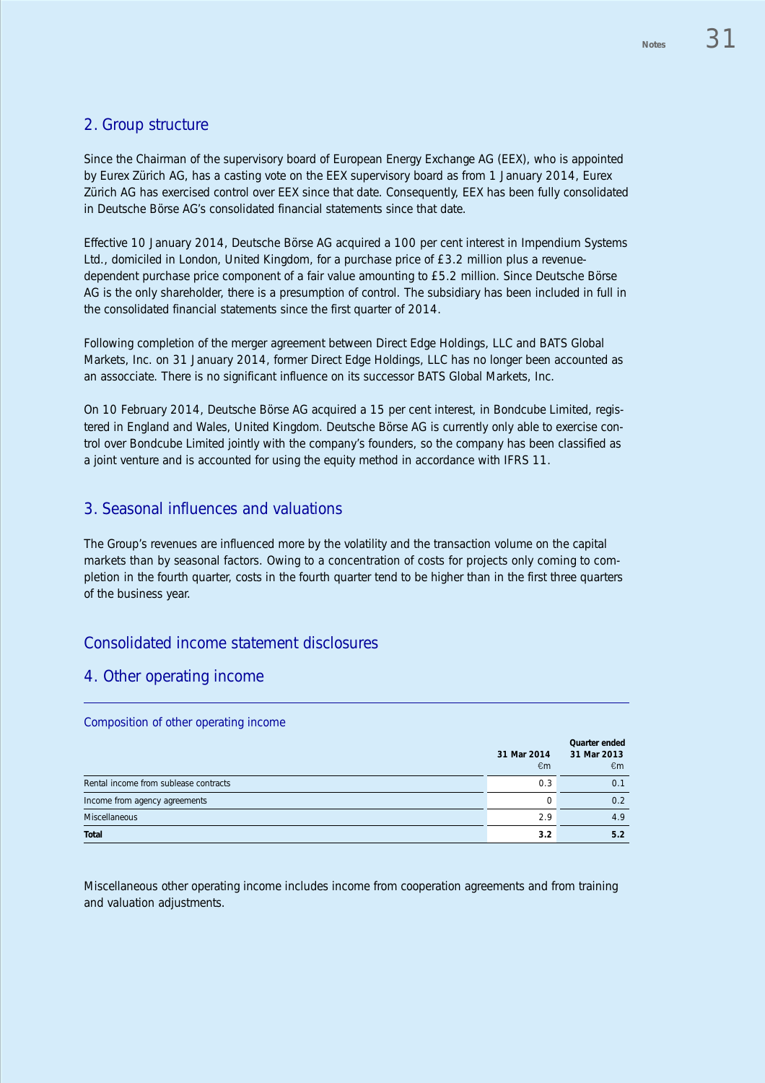# 2. Group structure

Since the Chairman of the supervisory board of European Energy Exchange AG (EEX), who is appointed by Eurex Zürich AG, has a casting vote on the EEX supervisory board as from 1 January 2014, Eurex Zürich AG has exercised control over EEX since that date. Consequently, EEX has been fully consolidated in Deutsche Börse AG's consolidated financial statements since that date.

Effective 10 January 2014, Deutsche Börse AG acquired a 100 per cent interest in Impendium Systems Ltd., domiciled in London, United Kingdom, for a purchase price of £3.2 million plus a revenuedependent purchase price component of a fair value amounting to £5.2 million. Since Deutsche Börse AG is the only shareholder, there is a presumption of control. The subsidiary has been included in full in the consolidated financial statements since the first quarter of 2014.

Following completion of the merger agreement between Direct Edge Holdings, LLC and BATS Global Markets, Inc. on 31 January 2014, former Direct Edge Holdings, LLC has no longer been accounted as an assocciate. There is no significant influence on its successor BATS Global Markets, Inc.

On 10 February 2014, Deutsche Börse AG acquired a 15 per cent interest, in Bondcube Limited, registered in England and Wales, United Kingdom. Deutsche Börse AG is currently only able to exercise control over Bondcube Limited jointly with the company's founders, so the company has been classified as a joint venture and is accounted for using the equity method in accordance with IFRS 11.

# 3. Seasonal influences and valuations

The Group's revenues are influenced more by the volatility and the transaction volume on the capital markets than by seasonal factors. Owing to a concentration of costs for projects only coming to completion in the fourth quarter, costs in the fourth quarter tend to be higher than in the first three quarters of the business year.

# Consolidated income statement disclosures

# 4. Other operating income

Composition of other operating income

|                                       | 31 Mar 2014 | Quarter ended<br>31 Mar 2013 |
|---------------------------------------|-------------|------------------------------|
|                                       | €m          | €m                           |
| Rental income from sublease contracts | 0.3         | 0.1                          |
| Income from agency agreements         | 0           | 0.2                          |
| <b>Miscellaneous</b>                  | 2.9         | 4.9                          |
| Total                                 | 3.2         | 5.2                          |

Miscellaneous other operating income includes income from cooperation agreements and from training and valuation adjustments.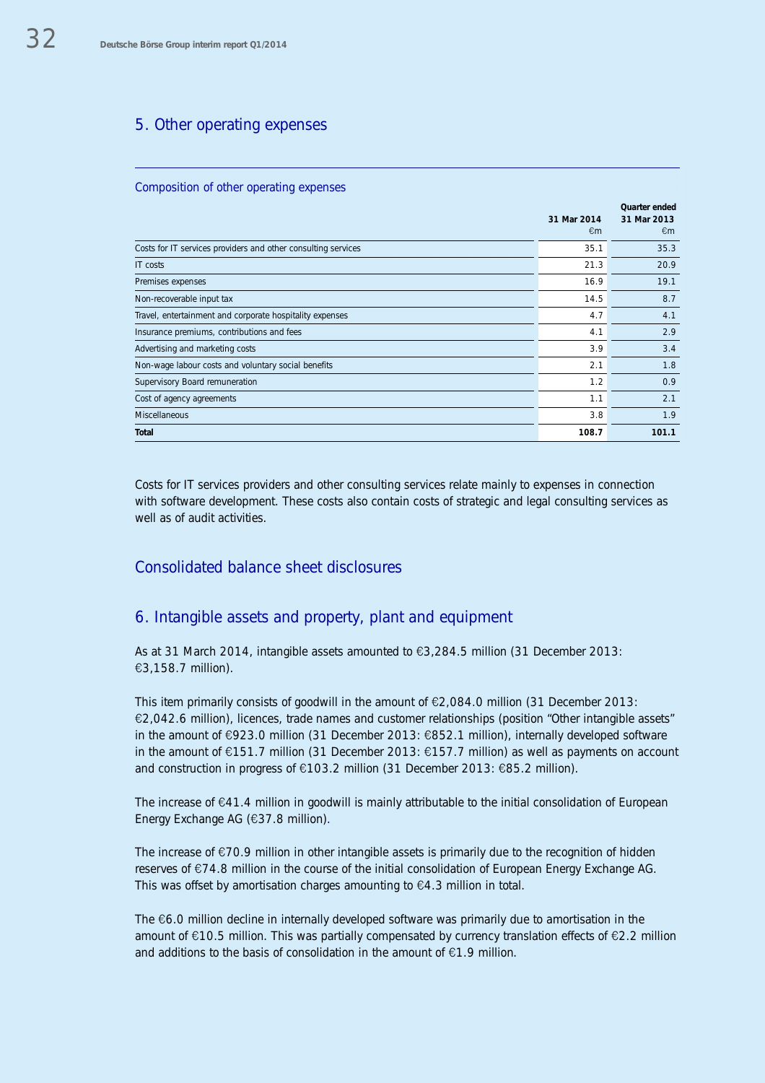# 5. Other operating expenses

#### Composition of other operating expenses

|                                                               |             | Quarter ended |
|---------------------------------------------------------------|-------------|---------------|
|                                                               | 31 Mar 2014 | 31 Mar 2013   |
|                                                               | €m          | €m            |
| Costs for IT services providers and other consulting services | 35.1        | 35.3          |
| IT costs                                                      | 21.3        | 20.9          |
| Premises expenses                                             | 16.9        | 19.1          |
| Non-recoverable input tax                                     | 14.5        | 8.7           |
| Travel, entertainment and corporate hospitality expenses      | 4.7         | 4.1           |
| Insurance premiums, contributions and fees                    | 4.1         | 2.9           |
| Advertising and marketing costs                               | 3.9         | 3.4           |
| Non-wage labour costs and voluntary social benefits           | 2.1         | 1.8           |
| Supervisory Board remuneration                                | 1.2         | 0.9           |
| Cost of agency agreements                                     | 1.1         | 2.1           |
| Miscellaneous                                                 | 3.8         | 1.9           |
| Total                                                         | 108.7       | 101.1         |

Costs for IT services providers and other consulting services relate mainly to expenses in connection with software development. These costs also contain costs of strategic and legal consulting services as well as of audit activities.

# Consolidated balance sheet disclosures

# 6. Intangible assets and property, plant and equipment

As at 31 March 2014, intangible assets amounted to €3,284.5 million (31 December 2013: €3,158.7 million).

This item primarily consists of goodwill in the amount of €2,084.0 million (31 December 2013: €2,042.6 million), licences, trade names and customer relationships (position "Other intangible assets" in the amount of €923.0 million (31 December 2013: €852.1 million), internally developed software in the amount of €151.7 million (31 December 2013: €157.7 million) as well as payments on account and construction in progress of €103.2 million (31 December 2013: €85.2 million).

The increase of €41.4 million in goodwill is mainly attributable to the initial consolidation of European Energy Exchange AG (€37.8 million).

The increase of  $E$ 70.9 million in other intangible assets is primarily due to the recognition of hidden reserves of €74.8 million in the course of the initial consolidation of European Energy Exchange AG. This was offset by amortisation charges amounting to  $\epsilon$ 4.3 million in total.

The €6.0 million decline in internally developed software was primarily due to amortisation in the amount of €10.5 million. This was partially compensated by currency translation effects of €2.2 million and additions to the basis of consolidation in the amount of €1.9 million.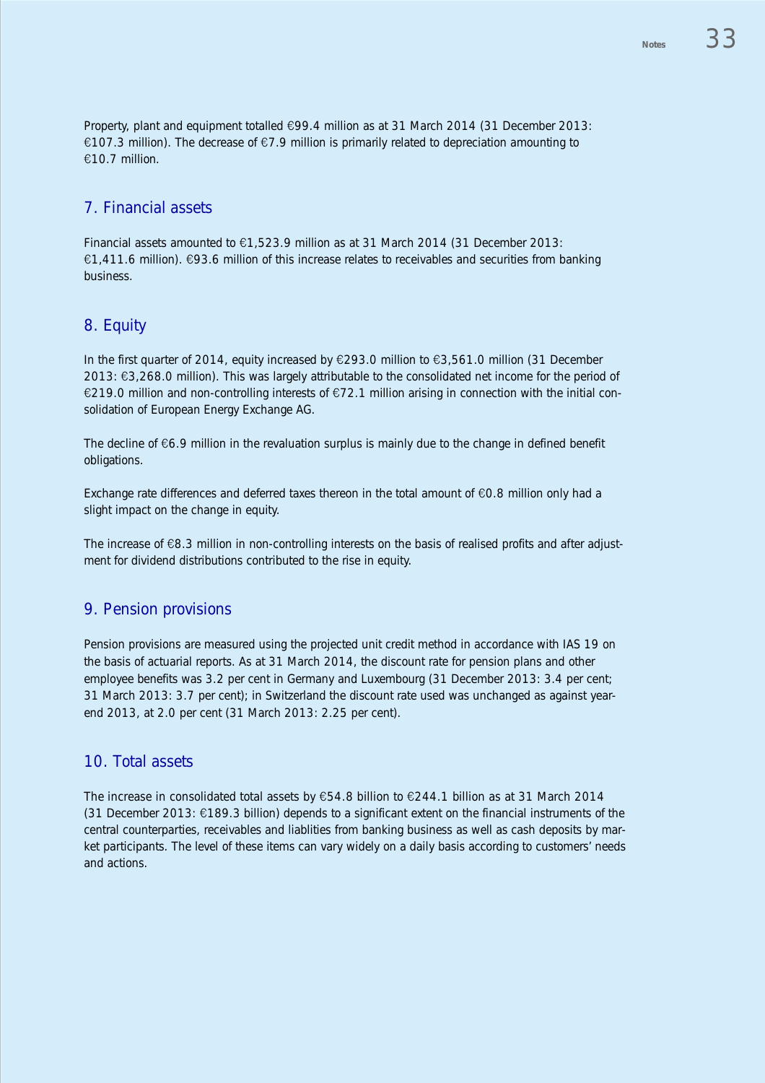Property, plant and equipment totalled €99.4 million as at 31 March 2014 (31 December 2013: €107.3 million). The decrease of €7.9 million is primarily related to depreciation amounting to €10.7 million.

# 7. Financial assets

Financial assets amounted to  $61,523.9$  million as at 31 March 2014 (31 December 2013: €1,411.6 million). €93.6 million of this increase relates to receivables and securities from banking business.

# 8. Equity

In the first quarter of 2014, equity increased by €293.0 million to €3,561.0 million (31 December 2013: €3,268.0 million). This was largely attributable to the consolidated net income for the period of €219.0 million and non-controlling interests of €72.1 million arising in connection with the initial consolidation of European Energy Exchange AG.

The decline of €6.9 million in the revaluation surplus is mainly due to the change in defined benefit obligations.

Exchange rate differences and deferred taxes thereon in the total amount of €0.8 million only had a slight impact on the change in equity.

The increase of €8.3 million in non-controlling interests on the basis of realised profits and after adjustment for dividend distributions contributed to the rise in equity.

# 9. Pension provisions

Pension provisions are measured using the projected unit credit method in accordance with IAS 19 on the basis of actuarial reports. As at 31 March 2014, the discount rate for pension plans and other employee benefits was 3.2 per cent in Germany and Luxembourg (31 December 2013: 3.4 per cent; 31 March 2013: 3.7 per cent); in Switzerland the discount rate used was unchanged as against yearend 2013, at 2.0 per cent (31 March 2013: 2.25 per cent).

# 10. Total assets

The increase in consolidated total assets by €54.8 billion to €244.1 billion as at 31 March 2014 (31 December 2013: €189.3 billion) depends to a significant extent on the financial instruments of the central counterparties, receivables and liablities from banking business as well as cash deposits by market participants. The level of these items can vary widely on a daily basis according to customers' needs and actions.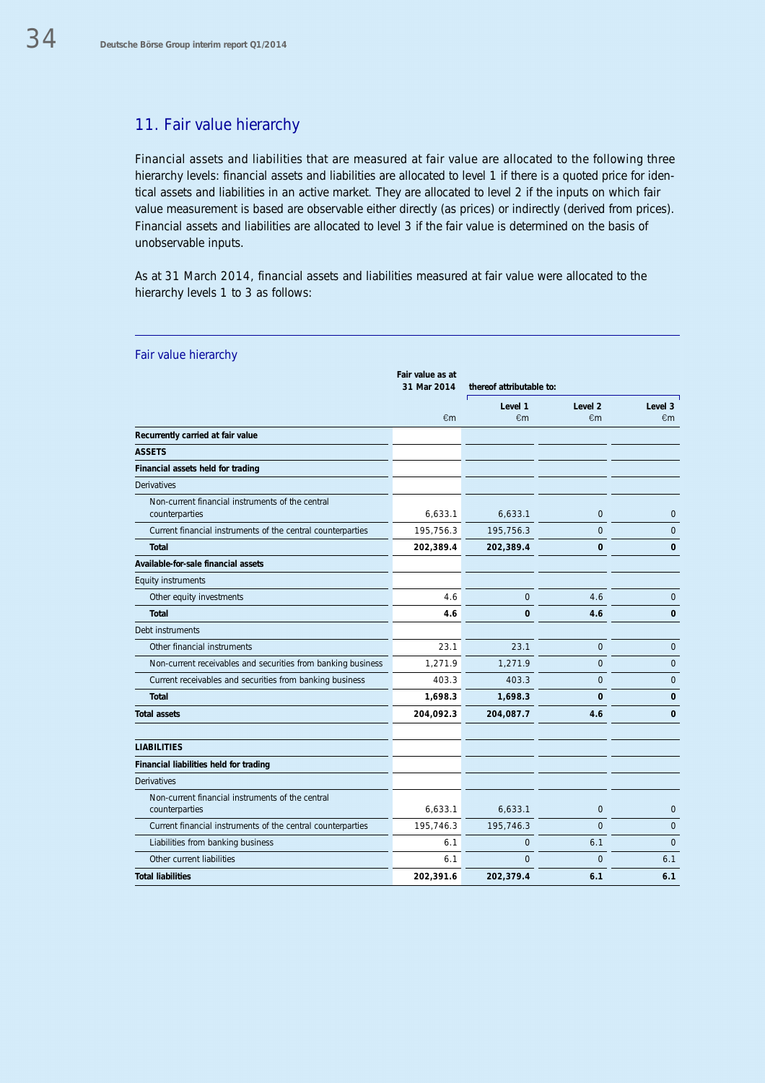# 11. Fair value hierarchy

Financial assets and liabilities that are measured at fair value are allocated to the following three hierarchy levels: financial assets and liabilities are allocated to level 1 if there is a quoted price for identical assets and liabilities in an active market. They are allocated to level 2 if the inputs on which fair value measurement is based are observable either directly (as prices) or indirectly (derived from prices). Financial assets and liabilities are allocated to level 3 if the fair value is determined on the basis of unobservable inputs.

As at 31 March 2014, financial assets and liabilities measured at fair value were allocated to the hierarchy levels 1 to 3 as follows:

|                                                                    | Fair value as at<br>31 Mar 2014 | thereof attributable to: |                                    |                         |
|--------------------------------------------------------------------|---------------------------------|--------------------------|------------------------------------|-------------------------|
|                                                                    | €m                              | Level 1<br>$\epsilon$ m  | Level <sub>2</sub><br>$\epsilon$ m | Level 3<br>$\epsilon$ m |
| Recurrently carried at fair value                                  |                                 |                          |                                    |                         |
| <b>ASSETS</b>                                                      |                                 |                          |                                    |                         |
| Financial assets held for trading                                  |                                 |                          |                                    |                         |
| <b>Derivatives</b>                                                 |                                 |                          |                                    |                         |
| Non-current financial instruments of the central<br>counterparties | 6,633.1                         | 6,633.1                  | $\mathbf{O}$                       | 0                       |
| Current financial instruments of the central counterparties        | 195,756.3                       | 195,756.3                | $\overline{O}$                     | $\mathbf{O}$            |
| <b>Total</b>                                                       | 202,389.4                       | 202,389.4                | 0                                  | $\overline{O}$          |
| Available-for-sale financial assets                                |                                 |                          |                                    |                         |
| <b>Equity instruments</b>                                          |                                 |                          |                                    |                         |
| Other equity investments                                           | 4.6                             | $\mathbf{O}$             | 4.6                                | $\mathbf 0$             |
| Total                                                              | 4.6                             | $\overline{O}$           | 4.6                                | $\mathbf{O}$            |
| Debt instruments                                                   |                                 |                          |                                    |                         |
| Other financial instruments                                        | 23.1                            | 23.1                     | $\mathbf{O}$                       | $\mathbf 0$             |
| Non-current receivables and securities from banking business       | 1,271.9                         | 1,271.9                  | 0                                  | $\mathbf 0$             |
| Current receivables and securities from banking business           | 403.3                           | 403.3                    | $\mathbf{O}$                       | $\mathbf 0$             |
| Total                                                              | 1,698.3                         | 1,698.3                  | 0                                  | 0                       |
| <b>Total assets</b>                                                | 204,092.3                       | 204,087.7                | 4.6                                | $\mathbf{O}$            |
| <b>LIABILITIES</b>                                                 |                                 |                          |                                    |                         |
| Financial liabilities held for trading                             |                                 |                          |                                    |                         |
| <b>Derivatives</b>                                                 |                                 |                          |                                    |                         |
| Non-current financial instruments of the central<br>counterparties | 6,633.1                         | 6,633.1                  | 0                                  | $\mathbf 0$             |
| Current financial instruments of the central counterparties        | 195,746.3                       | 195,746.3                | $\mathbf{O}$                       | $\mathbf 0$             |
| Liabilities from banking business                                  | 6.1                             | $\mathbf{O}$             | 6.1                                | $\mathbf{O}$            |
| Other current liabilities                                          | 6.1                             | $\mathbf{O}$             | $\mathbf{O}$                       | 6.1                     |
| <b>Total liabilities</b>                                           | 202,391.6                       | 202,379.4                | 6.1                                | 6.1                     |

Fair value hierarchy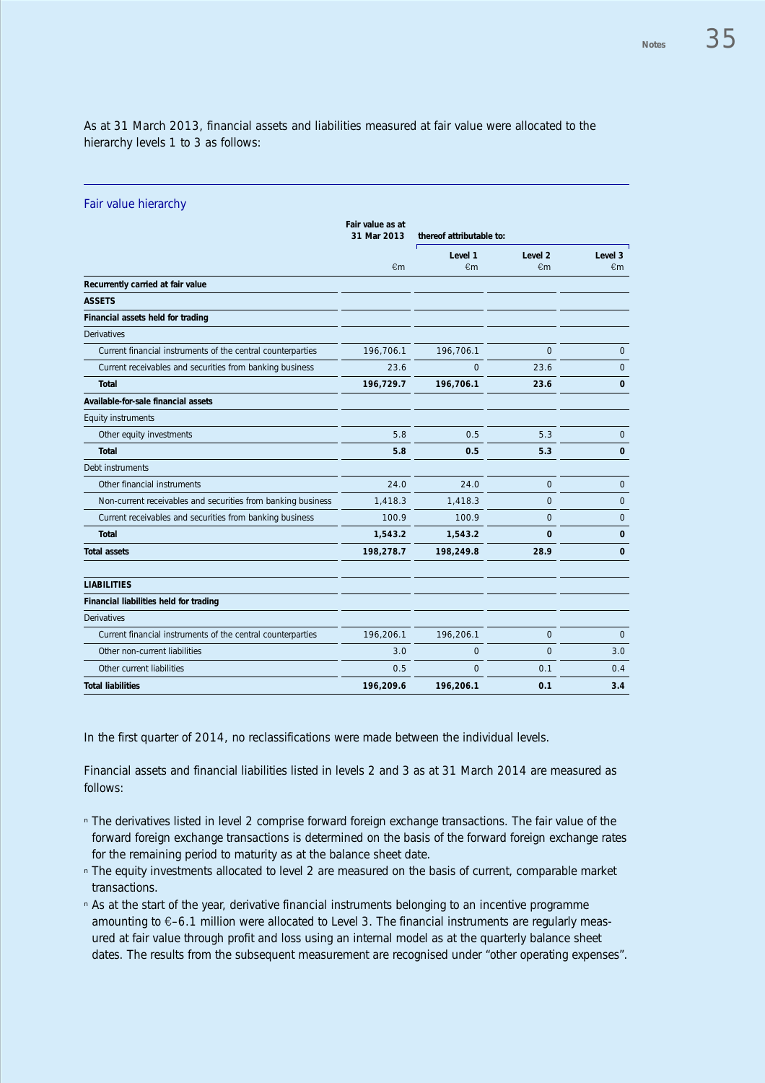As at 31 March 2013, financial assets and liabilities measured at fair value were allocated to the hierarchy levels 1 to 3 as follows:

#### Fair value hierarchy

|                                                              | Fair value as at<br>31 Mar 2013 | thereof attributable to: |                                    |               |
|--------------------------------------------------------------|---------------------------------|--------------------------|------------------------------------|---------------|
|                                                              | $\epsilon$ m                    | Level 1<br>$\epsilon$ m  | Level <sub>2</sub><br>$\epsilon$ m | Level 3<br>€m |
| Recurrently carried at fair value                            |                                 |                          |                                    |               |
| <b>ASSETS</b>                                                |                                 |                          |                                    |               |
| Financial assets held for trading                            |                                 |                          |                                    |               |
| <b>Derivatives</b>                                           |                                 |                          |                                    |               |
| Current financial instruments of the central counterparties  | 196,706.1                       | 196,706.1                | $\mathbf{0}$                       | 0             |
| Current receivables and securities from banking business     | 23.6                            | $\mathbf{0}$             | 23.6                               | $\mathbf 0$   |
| Total                                                        | 196,729.7                       | 196,706.1                | 23.6                               | $\mathbf{O}$  |
| Available-for-sale financial assets                          |                                 |                          |                                    |               |
| <b>Equity instruments</b>                                    |                                 |                          |                                    |               |
| Other equity investments                                     | 5.8                             | 0.5                      | 5.3                                | $\mathbf 0$   |
| Total                                                        | 5.8                             | 0.5                      | 5.3                                | $\mathbf{O}$  |
| Debt instruments                                             |                                 |                          |                                    |               |
| Other financial instruments                                  | 24.0                            | 24.0                     | $\mathbf{O}$                       | $\mathbf 0$   |
| Non-current receivables and securities from banking business | 1,418.3                         | 1,418.3                  | $\mathbf{O}$                       | $\mathbf{O}$  |
| Current receivables and securities from banking business     | 100.9                           | 100.9                    | $\mathbf{O}$                       | $\mathbf 0$   |
| Total                                                        | 1,543.2                         | 1,543.2                  | $\mathbf{O}$                       | $\mathbf 0$   |
| <b>Total assets</b>                                          | 198,278.7                       | 198,249.8                | 28.9                               | $\mathbf{O}$  |
| <b>LIABILITIES</b>                                           |                                 |                          |                                    |               |
| Financial liabilities held for trading                       |                                 |                          |                                    |               |
| Derivatives                                                  |                                 |                          |                                    |               |
| Current financial instruments of the central counterparties  | 196,206.1                       | 196,206.1                | $\mathbf{O}$                       | $\mathbf 0$   |
| Other non-current liabilities                                | 3.0                             | $\mathbf{0}$             | $\Omega$                           | 3.0           |
| Other current liabilities                                    | 0.5                             | $\mathbf{O}$             | 0.1                                | 0.4           |
| <b>Total liabilities</b>                                     | 196,209.6                       | 196,206.1                | 0.1                                | 3.4           |

In the first quarter of 2014, no reclassifications were made between the individual levels.

Financial assets and financial liabilities listed in levels 2 and 3 as at 31 March 2014 are measured as follows:

- n The derivatives listed in level 2 comprise forward foreign exchange transactions. The fair value of the forward foreign exchange transactions is determined on the basis of the forward foreign exchange rates for the remaining period to maturity as at the balance sheet date.
- n The equity investments allocated to level 2 are measured on the basis of current, comparable market transactions.
- <sup>n</sup> As at the start of the year, derivative financial instruments belonging to an incentive programme amounting to €–6.1 million were allocated to Level 3. The financial instruments are regularly measured at fair value through profit and loss using an internal model as at the quarterly balance sheet dates. The results from the subsequent measurement are recognised under "other operating expenses".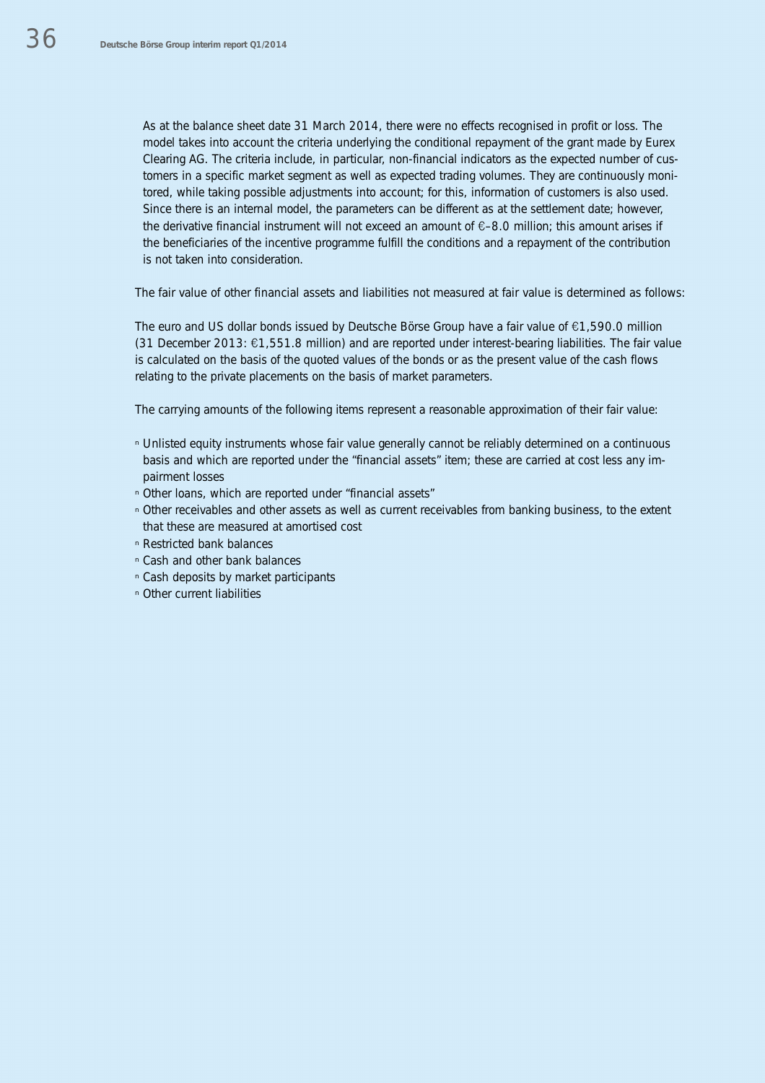As at the balance sheet date 31 March 2014, there were no effects recognised in profit or loss. The model takes into account the criteria underlying the conditional repayment of the grant made by Eurex Clearing AG. The criteria include, in particular, non-financial indicators as the expected number of customers in a specific market segment as well as expected trading volumes. They are continuously monitored, while taking possible adjustments into account; for this, information of customers is also used. Since there is an internal model, the parameters can be different as at the settlement date; however, the derivative financial instrument will not exceed an amount of €–8.0 million; this amount arises if the beneficiaries of the incentive programme fulfill the conditions and a repayment of the contribution is not taken into consideration.

The fair value of other financial assets and liabilities not measured at fair value is determined as follows:

The euro and US dollar bonds issued by Deutsche Börse Group have a fair value of €1,590.0 million (31 December 2013: €1,551.8 million) and are reported under interest-bearing liabilities. The fair value is calculated on the basis of the quoted values of the bonds or as the present value of the cash flows relating to the private placements on the basis of market parameters.

The carrying amounts of the following items represent a reasonable approximation of their fair value:

- <sup>n</sup> Unlisted equity instruments whose fair value generally cannot be reliably determined on a continuous basis and which are reported under the "financial assets" item; these are carried at cost less any impairment losses
- <sup>n</sup> Other loans, which are reported under "financial assets"
- <sup>n</sup> Other receivables and other assets as well as current receivables from banking business, to the extent that these are measured at amortised cost
- <sup>n</sup> Restricted bank balances
- <sup>n</sup> Cash and other bank balances
- <sup>n</sup> Cash deposits by market participants
- <sup>n</sup> Other current liabilities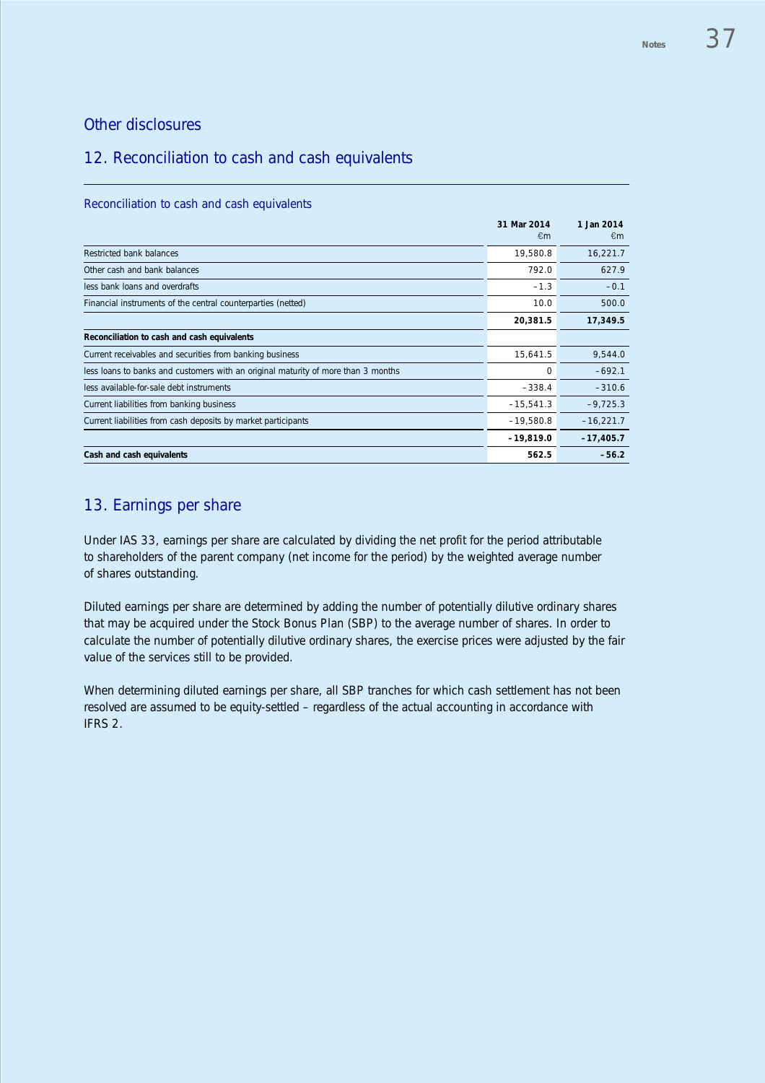# Other disclosures

# 12. Reconciliation to cash and cash equivalents

# Reconciliation to cash and cash equivalents

|                                                                                   | 31 Mar 2014<br>€m | 1 Jan 2014<br>$\epsilon$ m |
|-----------------------------------------------------------------------------------|-------------------|----------------------------|
| Restricted bank balances                                                          | 19,580.8          | 16,221.7                   |
| Other cash and bank balances                                                      | 792.0             | 627.9                      |
| less bank loans and overdrafts                                                    | $-1.3$            | $-0.1$                     |
| Financial instruments of the central counterparties (netted)                      | 10.0              | 500.0                      |
|                                                                                   | 20,381.5          | 17,349.5                   |
| Reconciliation to cash and cash equivalents                                       |                   |                            |
| Current receivables and securities from banking business                          | 15,641.5          | 9,544.0                    |
| less loans to banks and customers with an original maturity of more than 3 months | 0                 | $-692.1$                   |
| less available-for-sale debt instruments                                          | $-338.4$          | $-310.6$                   |
| Current liabilities from banking business                                         | $-15,541.3$       | $-9,725.3$                 |
| Current liabilities from cash deposits by market participants                     | $-19,580.8$       | $-16,221.7$                |
|                                                                                   | $-19,819.0$       | $-17,405.7$                |
| Cash and cash equivalents                                                         | 562.5             | $-56.2$                    |

# 13. Earnings per share

Under IAS 33, earnings per share are calculated by dividing the net profit for the period attributable to shareholders of the parent company (net income for the period) by the weighted average number of shares outstanding.

Diluted earnings per share are determined by adding the number of potentially dilutive ordinary shares that may be acquired under the Stock Bonus Plan (SBP) to the average number of shares. In order to calculate the number of potentially dilutive ordinary shares, the exercise prices were adjusted by the fair value of the services still to be provided.

When determining diluted earnings per share, all SBP tranches for which cash settlement has not been resolved are assumed to be equity-settled – regardless of the actual accounting in accordance with IFRS 2.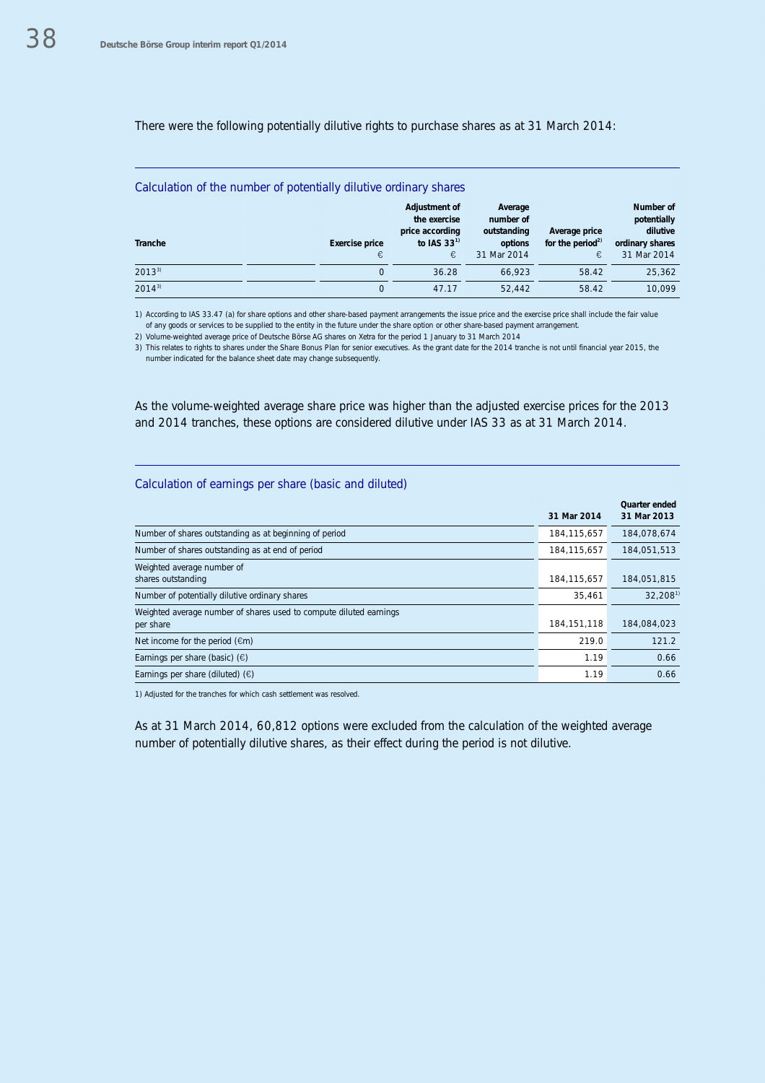#### There were the following potentially dilutive rights to purchase shares as at 31 March 2014:

#### Calculation of the number of potentially dilutive ordinary shares

| Tranche    | Exercise price<br>€ | Adjustment of<br>the exercise<br>price according<br>to IAS $33^{1}$<br>€ | Average<br>number of<br>outstanding<br>options<br>31 Mar 2014 | Average price<br>for the period <sup>2)</sup><br>€ | Number of<br>potentially<br>dilutive<br>ordinary shares<br>31 Mar 2014 |
|------------|---------------------|--------------------------------------------------------------------------|---------------------------------------------------------------|----------------------------------------------------|------------------------------------------------------------------------|
| $2013^{3}$ | $\Omega$            | 36.28                                                                    | 66.923                                                        | 58.42                                              | 25,362                                                                 |
| $2014^{3}$ | 0                   | 47.17                                                                    | 52,442                                                        | 58.42                                              | 10,099                                                                 |

1) According to IAS 33.47 (a) for share options and other share-based payment arrangements the issue price and the exercise price shall include the fair value of any goods or services to be supplied to the entity in the future under the share option or other share-based payment arrangement.

2) Volume-weighted average price of Deutsche Börse AG shares on Xetra for the period 1 January to 31 March 2014

3) This relates to rights to shares under the Share Bonus Plan for senior executives. As the grant date for the 2014 tranche is not until financial year 2015, the number indicated for the balance sheet date may change subsequently.

As the volume-weighted average share price was higher than the adjusted exercise prices for the 2013 and 2014 tranches, these options are considered dilutive under IAS 33 as at 31 March 2014.

#### Calculation of earnings per share (basic and diluted)

|                                                                    |               | Ouarter ended       |
|--------------------------------------------------------------------|---------------|---------------------|
|                                                                    | 31 Mar 2014   | 31 Mar 2013         |
| Number of shares outstanding as at beginning of period             | 184,115,657   | 184,078,674         |
| Number of shares outstanding as at end of period                   | 184, 115, 657 | 184.051.513         |
| Weighted average number of                                         |               |                     |
| shares outstanding                                                 | 184,115,657   | 184,051,815         |
| Number of potentially dilutive ordinary shares                     | 35,461        | 32.208 <sup>1</sup> |
| Weighted average number of shares used to compute diluted earnings |               |                     |
| per share                                                          | 184, 151, 118 | 184.084.023         |
| Net income for the period $(\epsilon m)$                           | 219.0         | 121.2               |
| Earnings per share (basic) $(\epsilon)$                            | 1.19          | 0.66                |
| Earnings per share (diluted) $(\epsilon)$                          | 1.19          | 0.66                |

1) Adjusted for the tranches for which cash settlement was resolved.

As at 31 March 2014, 60,812 options were excluded from the calculation of the weighted average number of potentially dilutive shares, as their effect during the period is not dilutive.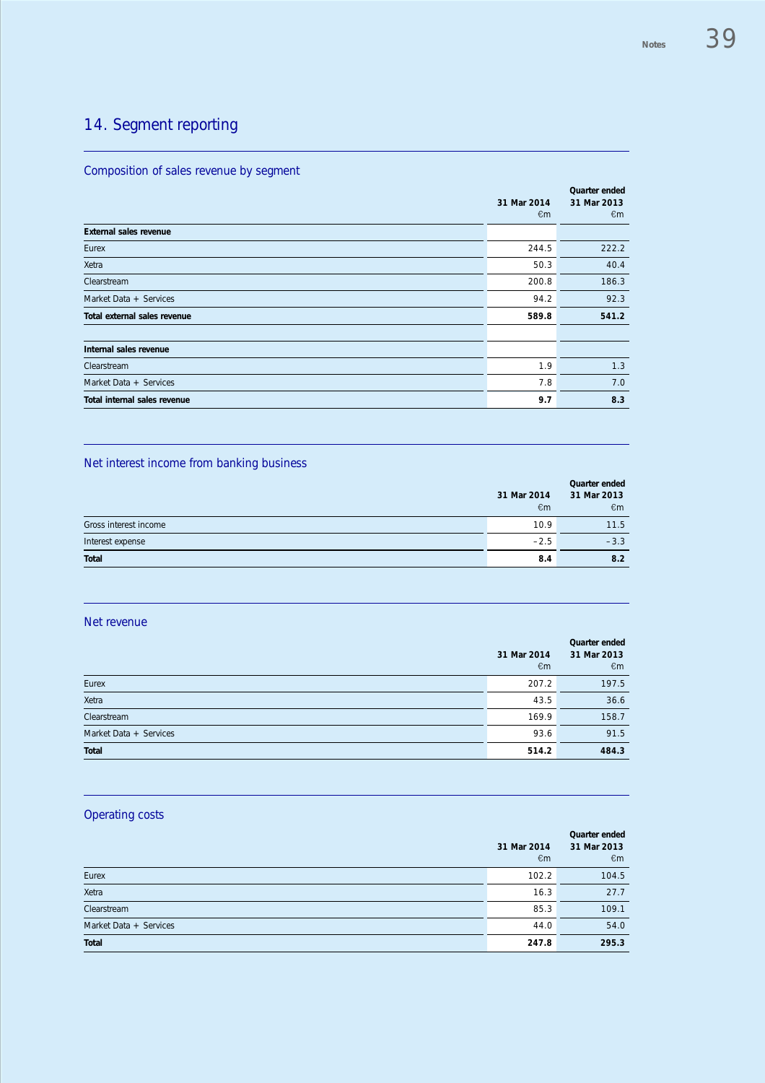# 14. Segment reporting

# Composition of sales revenue by segment

|                              | 31 Mar 2014<br>€m | Quarter ended<br>31 Mar 2013<br>€m |
|------------------------------|-------------------|------------------------------------|
| External sales revenue       |                   |                                    |
| Eurex                        | 244.5             | 222.2                              |
| Xetra                        | 50.3              | 40.4                               |
| Clearstream                  | 200.8             | 186.3                              |
| Market Data + Services       | 94.2              | 92.3                               |
| Total external sales revenue | 589.8             | 541.2                              |
|                              |                   |                                    |
| Internal sales revenue       |                   |                                    |
| Clearstream                  | 1.9               | 1.3                                |
| Market Data + Services       | 7.8               | 7.0                                |
| Total internal sales revenue | 9.7               | 8.3                                |

# Net interest income from banking business

|                       |             | Quarter ended |
|-----------------------|-------------|---------------|
|                       | 31 Mar 2014 | 31 Mar 2013   |
|                       | €m          | $\epsilon$ m  |
| Gross interest income | 10.9        | 11.5          |
| Interest expense      | $-2.5$      | $-3.3$        |
| Total                 | 8.4         | 8.2           |

# Net revenue

|                        | 31 Mar 2014<br>€m | Quarter ended<br>31 Mar 2013<br>$\epsilon$ m |
|------------------------|-------------------|----------------------------------------------|
| Eurex                  | 207.2             | 197.5                                        |
| Xetra                  | 43.5              | 36.6                                         |
| Clearstream            | 169.9             | 158.7                                        |
| Market Data + Services | 93.6              | 91.5                                         |
| Total                  | 514.2             | 484.3                                        |

# Operating costs

|                        | 31 Mar 2014<br>€m | Quarter ended<br>31 Mar 2013<br>$\epsilon$ m |
|------------------------|-------------------|----------------------------------------------|
| Eurex                  | 102.2             | 104.5                                        |
| Xetra                  | 16.3              | 27.7                                         |
| Clearstream            | 85.3              | 109.1                                        |
| Market Data + Services | 44.0              | 54.0                                         |
| Total                  | 247.8             | 295.3                                        |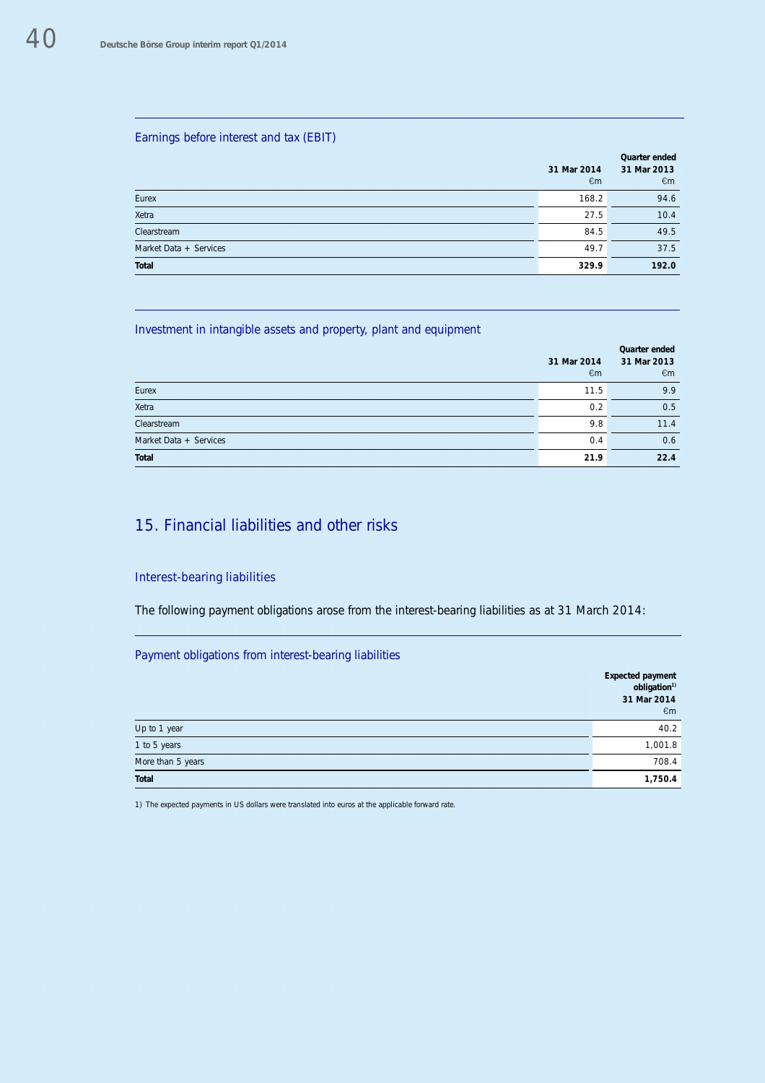# Earnings before interest and tax (EBIT)

|                        |                             | Quarter ended               |
|------------------------|-----------------------------|-----------------------------|
|                        | 31 Mar 2014<br>$\epsilon$ m | 31 Mar 2013<br>$\epsilon$ m |
| Eurex                  | 168.2                       | 94.6                        |
| Xetra                  | 27.5                        | 10.4                        |
| Clearstream            | 84.5                        | 49.5                        |
| Market Data + Services | 49.7                        | 37.5                        |
| Total                  | 329.9                       | 192.0                       |

# Investment in intangible assets and property, plant and equipment

|                        | 31 Mar 2014<br>$\epsilon$ m | Quarter ended<br>31 Mar 2013<br>$\epsilon$ m |
|------------------------|-----------------------------|----------------------------------------------|
| Eurex                  | 11.5                        | 9.9                                          |
| Xetra                  | 0.2                         | 0.5                                          |
| Clearstream            | 9.8                         | 11.4                                         |
| Market Data + Services | 0.4                         | 0.6                                          |
| Total                  | 21.9                        | 22.4                                         |

# 15. Financial liabilities and other risks

# **Interest-bearing liabilities**

The following payment obligations arose from the interest-bearing liabilities as at 31 March 2014:

# Payment obligations from interest-bearing liabilities

|                   | Expected payment<br>$obligation1$<br>31 Mar 2014<br>€m |
|-------------------|--------------------------------------------------------|
| Up to 1 year      | 40.2                                                   |
| 1 to 5 years      | 1,001.8                                                |
| More than 5 years | 708.4                                                  |
| Total             | 1,750.4                                                |

1) The expected payments in US dollars were translated into euros at the applicable forward rate.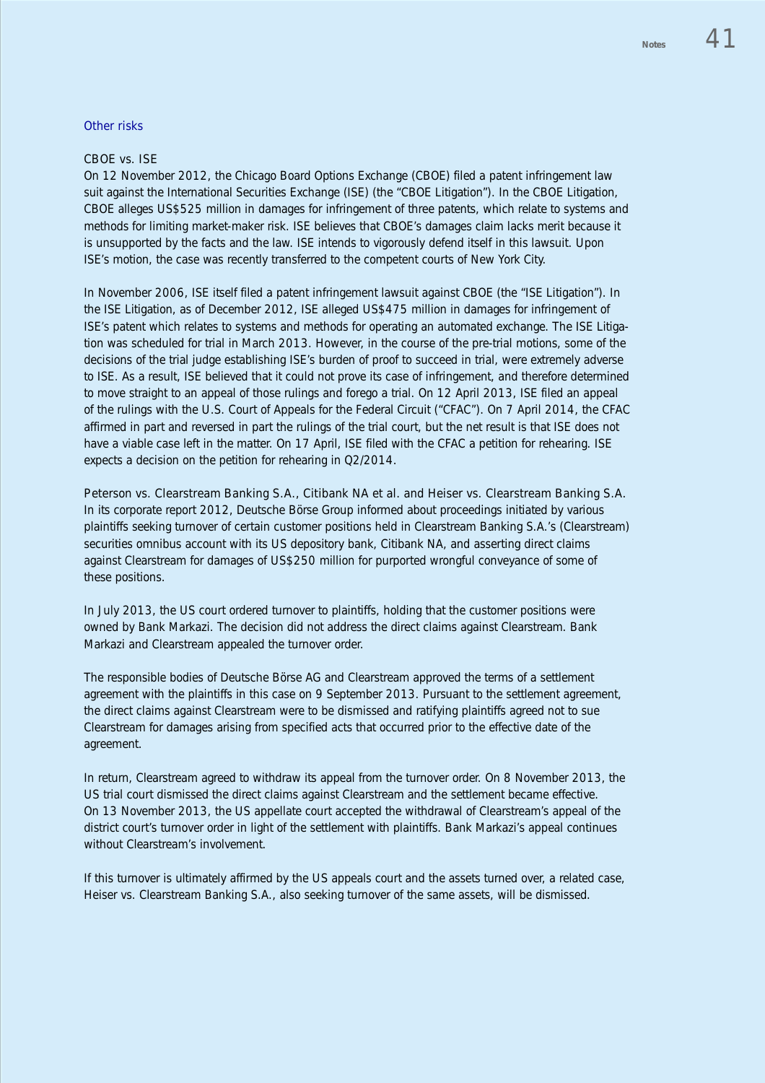#### **CBOE vs. ISE**

On 12 November 2012, the Chicago Board Options Exchange (CBOE) filed a patent infringement law suit against the International Securities Exchange (ISE) (the "CBOE Litigation"). In the CBOE Litigation, CBOE alleges US\$525 million in damages for infringement of three patents, which relate to systems and methods for limiting market-maker risk. ISE believes that CBOE's damages claim lacks merit because it is unsupported by the facts and the law. ISE intends to vigorously defend itself in this lawsuit. Upon ISE's motion, the case was recently transferred to the competent courts of New York City.

In November 2006, ISE itself filed a patent infringement lawsuit against CBOE (the "ISE Litigation"). In the ISE Litigation, as of December 2012, ISE alleged US\$475 million in damages for infringement of ISE's patent which relates to systems and methods for operating an automated exchange. The ISE Litigation was scheduled for trial in March 2013. However, in the course of the pre-trial motions, some of the decisions of the trial judge establishing ISE's burden of proof to succeed in trial, were extremely adverse to ISE. As a result, ISE believed that it could not prove its case of infringement, and therefore determined to move straight to an appeal of those rulings and forego a trial. On 12 April 2013, ISE filed an appeal of the rulings with the U.S. Court of Appeals for the Federal Circuit ("CFAC"). On 7 April 2014, the CFAC affirmed in part and reversed in part the rulings of the trial court, but the net result is that ISE does not have a viable case left in the matter. On 17 April, ISE filed with the CFAC a petition for rehearing. ISE expects a decision on the petition for rehearing in Q2/2014.

**Peterson vs. Clearstream Banking S.A., Citibank NA et al. and Heiser vs. Clearstream Banking S.A.**  In its corporate report 2012, Deutsche Börse Group informed about proceedings initiated by various plaintiffs seeking turnover of certain customer positions held in Clearstream Banking S.A.'s (Clearstream) securities omnibus account with its US depository bank, Citibank NA, and asserting direct claims against Clearstream for damages of US\$250 million for purported wrongful conveyance of some of these positions.

In July 2013, the US court ordered turnover to plaintiffs, holding that the customer positions were owned by Bank Markazi. The decision did not address the direct claims against Clearstream. Bank Markazi and Clearstream appealed the turnover order.

The responsible bodies of Deutsche Börse AG and Clearstream approved the terms of a settlement agreement with the plaintiffs in this case on 9 September 2013. Pursuant to the settlement agreement, the direct claims against Clearstream were to be dismissed and ratifying plaintiffs agreed not to sue Clearstream for damages arising from specified acts that occurred prior to the effective date of the agreement.

In return, Clearstream agreed to withdraw its appeal from the turnover order. On 8 November 2013, the US trial court dismissed the direct claims against Clearstream and the settlement became effective. On 13 November 2013, the US appellate court accepted the withdrawal of Clearstream's appeal of the district court's turnover order in light of the settlement with plaintiffs. Bank Markazi's appeal continues without Clearstream's involvement.

If this turnover is ultimately affirmed by the US appeals court and the assets turned over, a related case, Heiser vs. Clearstream Banking S.A., also seeking turnover of the same assets, will be dismissed.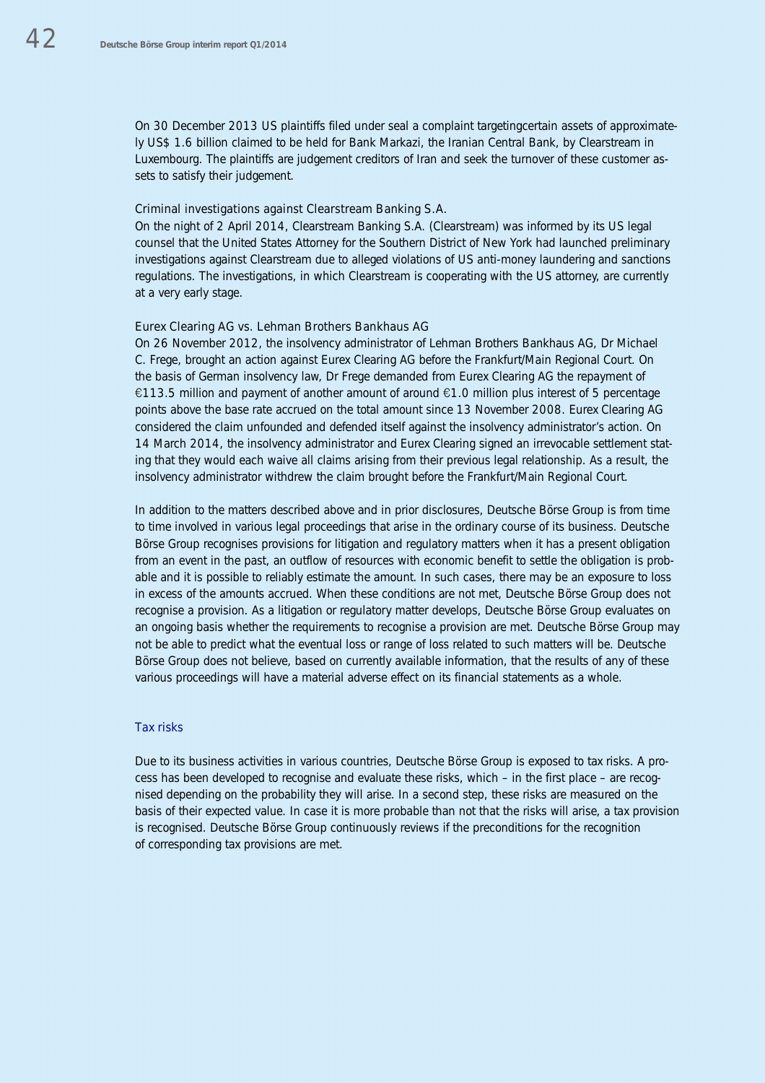On 30 December 2013 US plaintiffs filed under seal a complaint targetingcertain assets of approximately US\$ 1.6 billion claimed to be held for Bank Markazi, the Iranian Central Bank, by Clearstream in Luxembourg. The plaintiffs are judgement creditors of Iran and seek the turnover of these customer assets to satisfy their judgement.

# **Criminal investigations against Clearstream Banking S.A.**

On the night of 2 April 2014, Clearstream Banking S.A. (Clearstream) was informed by its US legal counsel that the United States Attorney for the Southern District of New York had launched preliminary investigations against Clearstream due to alleged violations of US anti-money laundering and sanctions regulations. The investigations, in which Clearstream is cooperating with the US attorney, are currently at a very early stage.

# **Eurex Clearing AG vs. Lehman Brothers Bankhaus AG**

On 26 November 2012, the insolvency administrator of Lehman Brothers Bankhaus AG, Dr Michael C. Frege, brought an action against Eurex Clearing AG before the Frankfurt/Main Regional Court. On the basis of German insolvency law, Dr Frege demanded from Eurex Clearing AG the repayment of €113.5 million and payment of another amount of around €1.0 million plus interest of 5 percentage points above the base rate accrued on the total amount since 13 November 2008. Eurex Clearing AG considered the claim unfounded and defended itself against the insolvency administrator's action. On 14 March 2014, the insolvency administrator and Eurex Clearing signed an irrevocable settlement stating that they would each waive all claims arising from their previous legal relationship. As a result, the insolvency administrator withdrew the claim brought before the Frankfurt/Main Regional Court.

In addition to the matters described above and in prior disclosures, Deutsche Börse Group is from time to time involved in various legal proceedings that arise in the ordinary course of its business. Deutsche Börse Group recognises provisions for litigation and regulatory matters when it has a present obligation from an event in the past, an outflow of resources with economic benefit to settle the obligation is probable and it is possible to reliably estimate the amount. In such cases, there may be an exposure to loss in excess of the amounts accrued. When these conditions are not met, Deutsche Börse Group does not recognise a provision. As a litigation or regulatory matter develops, Deutsche Börse Group evaluates on an ongoing basis whether the requirements to recognise a provision are met. Deutsche Börse Group may not be able to predict what the eventual loss or range of loss related to such matters will be. Deutsche Börse Group does not believe, based on currently available information, that the results of any of these various proceedings will have a material adverse effect on its financial statements as a whole.

### **Tax risks**

Due to its business activities in various countries, Deutsche Börse Group is exposed to tax risks. A process has been developed to recognise and evaluate these risks, which – in the first place – are recognised depending on the probability they will arise. In a second step, these risks are measured on the basis of their expected value. In case it is more probable than not that the risks will arise, a tax provision is recognised. Deutsche Börse Group continuously reviews if the preconditions for the recognition of corresponding tax provisions are met.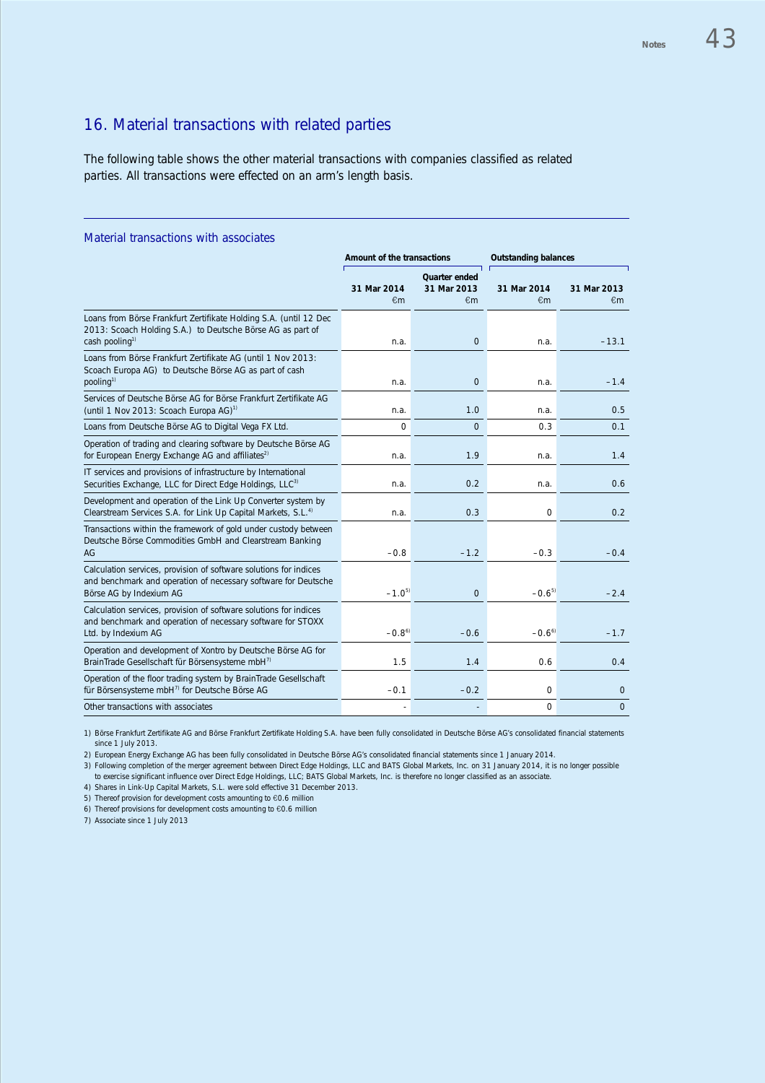# 16. Material transactions with related parties

The following table shows the other material transactions with companies classified as related parties. All transactions were effected on an arm's length basis.

#### Material transactions with associates

|                                                                                                                                                                | Amount of the transactions  |                                    | <b>Outstanding balances</b> |                   |
|----------------------------------------------------------------------------------------------------------------------------------------------------------------|-----------------------------|------------------------------------|-----------------------------|-------------------|
|                                                                                                                                                                | 31 Mar 2014<br>$\epsilon$ m | Quarter ended<br>31 Mar 2013<br>€m | 31 Mar 2014<br>€m           | 31 Mar 2013<br>€m |
| Loans from Börse Frankfurt Zertifikate Holding S.A. (until 12 Dec<br>2013: Scoach Holding S.A.) to Deutsche Börse AG as part of<br>cash pooling <sup>1)</sup>  | n.a.                        | $\mathbf{O}$                       | n.a.                        | $-13.1$           |
| Loans from Börse Frankfurt Zertifikate AG (until 1 Nov 2013:<br>Scoach Europa AG) to Deutsche Börse AG as part of cash<br>pooling <sup>1</sup>                 | n.a.                        | 0                                  | n.a.                        | $-1.4$            |
| Services of Deutsche Börse AG for Börse Frankfurt Zertifikate AG<br>(until 1 Nov 2013: Scoach Europa AG) <sup>1)</sup>                                         | n.a.                        | 1.0                                | n.a.                        | 0.5               |
| Loans from Deutsche Börse AG to Digital Vega FX Ltd.                                                                                                           | 0                           | $\mathbf{O}$                       | 0.3                         | 0.1               |
| Operation of trading and clearing software by Deutsche Börse AG<br>for European Energy Exchange AG and affiliates <sup>2)</sup>                                | n.a.                        | 1.9                                | n.a.                        | 1.4               |
| IT services and provisions of infrastructure by International<br>Securities Exchange, LLC for Direct Edge Holdings, LLC <sup>3)</sup>                          | n.a.                        | 0.2                                | n.a.                        | 0.6               |
| Development and operation of the Link Up Converter system by<br>Clearstream Services S.A. for Link Up Capital Markets, S.L. <sup>4)</sup>                      | n.a.                        | 0.3                                | $\mathbf 0$                 | 0.2               |
| Transactions within the framework of gold under custody between<br>Deutsche Börse Commodities GmbH and Clearstream Banking<br>AG                               | $-0.8$                      | $-1.2$                             | $-0.3$                      | $-0.4$            |
| Calculation services, provision of software solutions for indices<br>and benchmark and operation of necessary software for Deutsche<br>Börse AG by Indexium AG | $-1.0^{5}$                  | $\mathbf{O}$                       | $-0.6^{5}$                  | $-2.4$            |
| Calculation services, provision of software solutions for indices<br>and benchmark and operation of necessary software for STOXX<br>Ltd. by Indexium AG        | $-0.86$                     | $-0.6$                             | $-0.6^{6}$                  | $-1.7$            |
| Operation and development of Xontro by Deutsche Börse AG for<br>BrainTrade Gesellschaft für Börsensysteme mbH <sup>7)</sup>                                    | 1.5                         | 1.4                                | 0.6                         | 0.4               |
| Operation of the floor trading system by BrainTrade Gesellschaft<br>für Börsensysteme mbH7) for Deutsche Börse AG                                              | $-0.1$                      | $-0.2$                             | 0                           | $\mathbf{O}$      |
| Other transactions with associates                                                                                                                             |                             | $\overline{a}$                     | $\mathbf{O}$                | $\overline{O}$    |

1) Börse Frankfurt Zertifikate AG and Börse Frankfurt Zertifikate Holding S.A. have been fully consolidated in Deutsche Börse AG's consolidated financial statements since 1 July 2013.

2) European Energy Exchange AG has been fully consolidated in Deutsche Börse AG's consolidated financial statements since 1 January 2014.

3) Following completion of the merger agreement between Direct Edge Holdings, LLC and BATS Global Markets, Inc. on 31 January 2014, it is no longer possible to exercise significant influence over Direct Edge Holdings, LLC; BATS Global Markets, Inc. is therefore no longer classified as an associate.

4) Shares in Link-Up Capital Markets, S.L. were sold effective 31 December 2013.

5) Thereof provision for development costs amounting to €0.6 million

6) Thereof provisions for development costs amounting to €0.6 million

7) Associate since 1 July 2013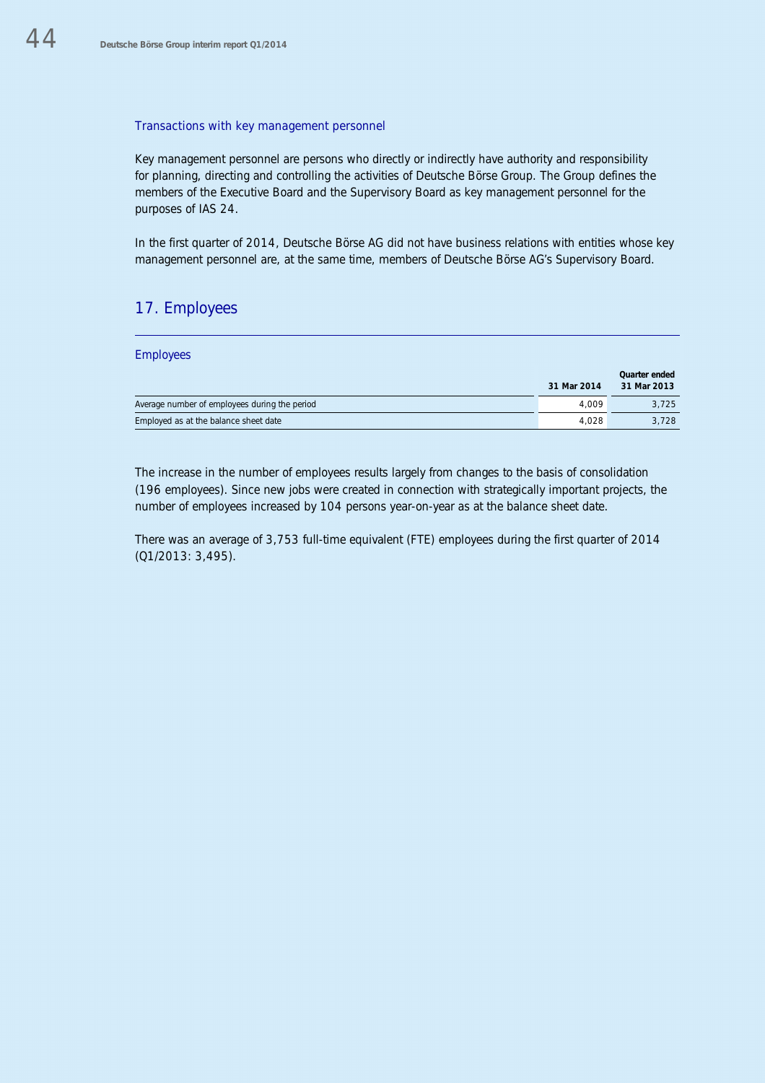### **Transactions with key management personnel**

Key management personnel are persons who directly or indirectly have authority and responsibility for planning, directing and controlling the activities of Deutsche Börse Group. The Group defines the members of the Executive Board and the Supervisory Board as key management personnel for the purposes of IAS 24.

In the first quarter of 2014, Deutsche Börse AG did not have business relations with entities whose key management personnel are, at the same time, members of Deutsche Börse AG's Supervisory Board.

# 17. Employees

| <b>Employees</b>                              |             |                              |
|-----------------------------------------------|-------------|------------------------------|
|                                               | 31 Mar 2014 | Quarter ended<br>31 Mar 2013 |
| Average number of employees during the period | 4.009       | 3,725                        |
| Employed as at the balance sheet date         | 4,028       | 3,728                        |

The increase in the number of employees results largely from changes to the basis of consolidation (196 employees). Since new jobs were created in connection with strategically important projects, the number of employees increased by 104 persons year-on-year as at the balance sheet date.

There was an average of 3,753 full-time equivalent (FTE) employees during the first quarter of 2014 (Q1/2013: 3,495).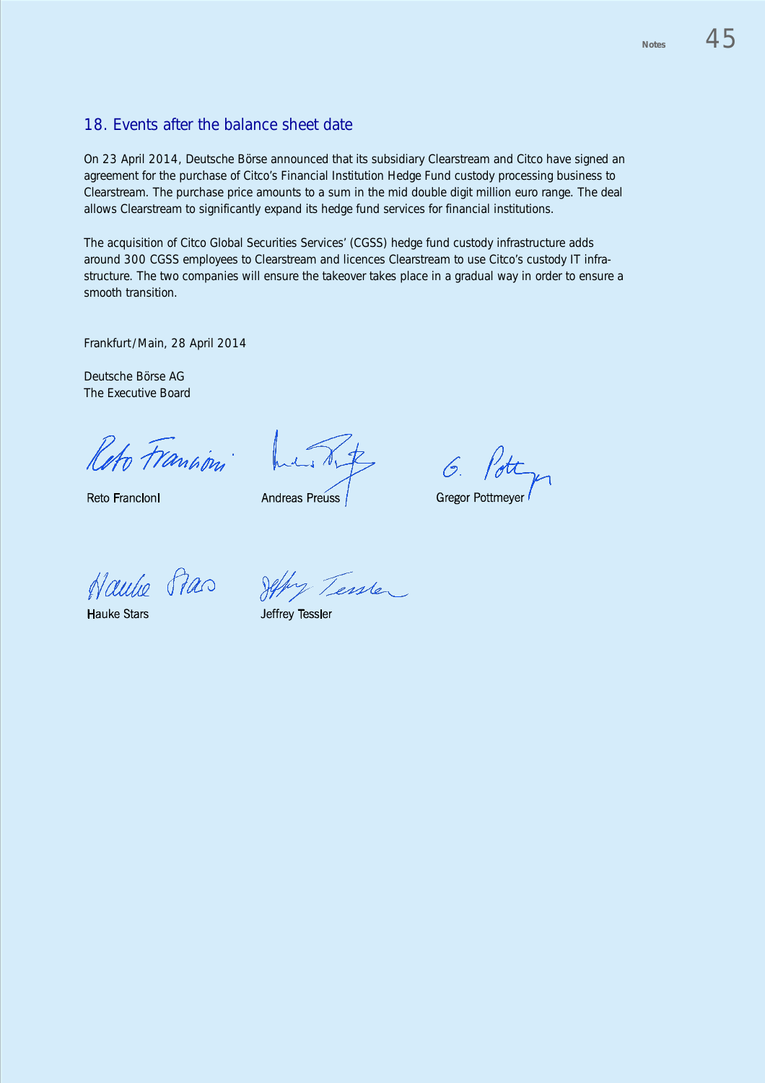# 18. Events after the balance sheet date

On 23 April 2014, Deutsche Börse announced that its subsidiary Clearstream and Citco have signed an agreement for the purchase of Citco's Financial Institution Hedge Fund custody processing business to Clearstream. The purchase price amounts to a sum in the mid double digit million euro range. The deal allows Clearstream to significantly expand its hedge fund services for financial institutions.

The acquisition of Citco Global Securities Services' (CGSS) hedge fund custody infrastructure adds around 300 CGSS employees to Clearstream and licences Clearstream to use Citco's custody IT infrastructure. The two companies will ensure the takeover takes place in a gradual way in order to ensure a smooth transition.

Frankfurt/Main, 28 April 2014

Deutsche Börse AG The Executive Board

Reto Francion

Reto Francioni

**Andreas Preuss** 

**Gregor Pottmever** 

Naulie Pras

**Hauke Stars** 

Jeffry Tenser

**Jeffrey Tessler**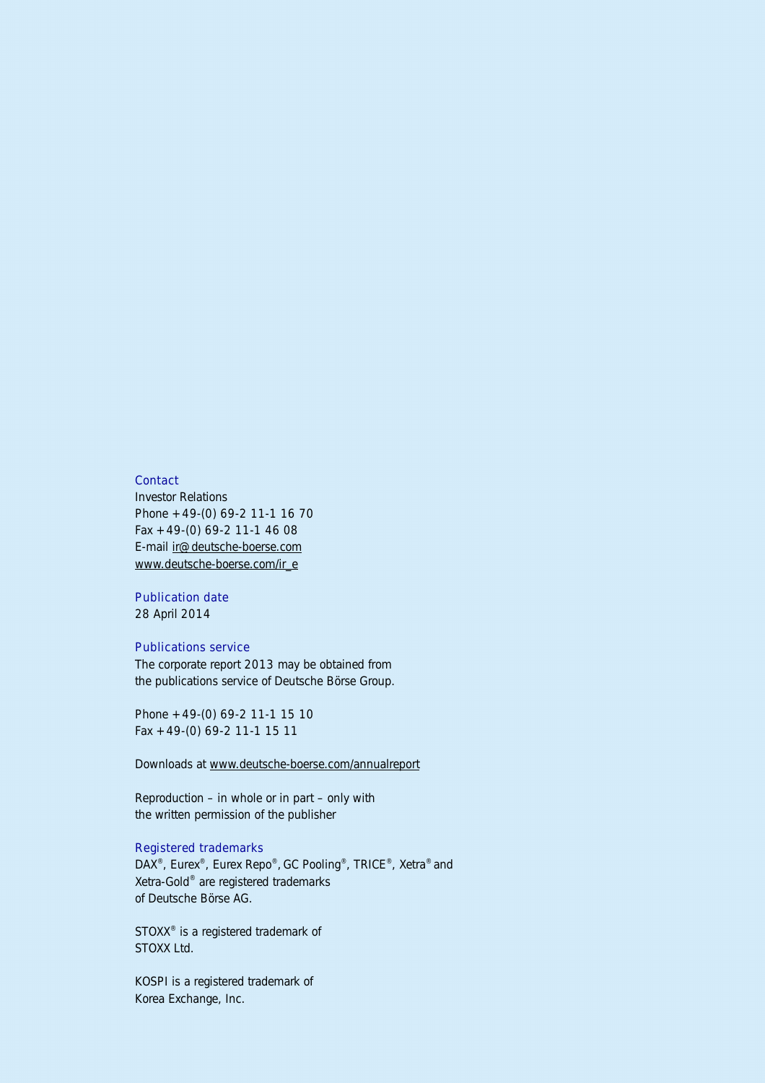#### **Contact**

Investor Relations Phone +49-(0) 69-2 11-1 16 70 Fax +49-(0) 69-2 11-1 46 08 E-mail ir@deutsche-boerse.com www.deutsche-boerse.com/ir\_e

**Publication date**  28 April 2014

### **Publications service**

The corporate report 2013 may be obtained from the publications service of Deutsche Börse Group.

Phone +49-(0) 69-2 11-1 15 10 Fax +49-(0) 69-2 11-1 15 11

Downloads at www.deutsche-boerse.com/annualreport

Reproduction – in whole or in part – only with the written permission of the publisher

### **Registered trademarks**

DAX<sup>®</sup>, Eurex<sup>®</sup>, Eurex Repo<sup>®</sup>, GC Pooling<sup>®</sup>, TRICE<sup>®</sup>, Xetra<sup>®</sup> and Xetra-Gold® are registered trademarks of Deutsche Börse AG.

STOXX® is a registered trademark of STOXX Ltd.

KOSPI is a registered trademark of Korea Exchange, Inc.